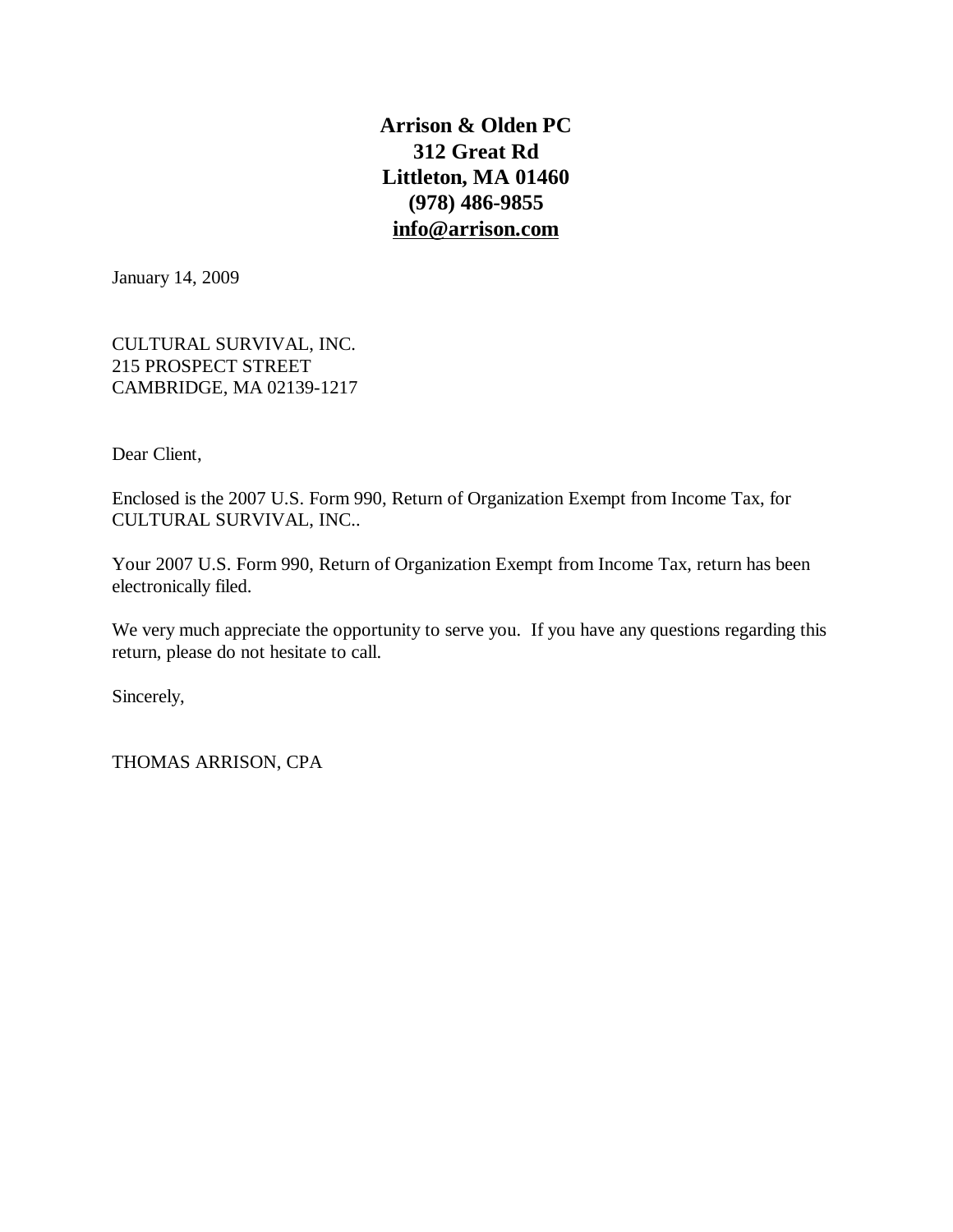**Arrison & Olden PC 312 Great Rd Littleton, MA 01460 (978) 486-9855 [info@arrison.com](mailto:info@arrison.com)**

January 14, 2009

CULTURAL SURVIVAL, INC. 215 PROSPECT STREET CAMBRIDGE, MA 02139-1217

Dear Client,

Enclosed is the 2007 U.S. Form 990, Return of Organization Exempt from Income Tax, for CULTURAL SURVIVAL, INC..

Your 2007 U.S. Form 990, Return of Organization Exempt from Income Tax, return has been electronically filed.

We very much appreciate the opportunity to serve you. If you have any questions regarding this return, please do not hesitate to call.

Sincerely,

THOMAS ARRISON, CPA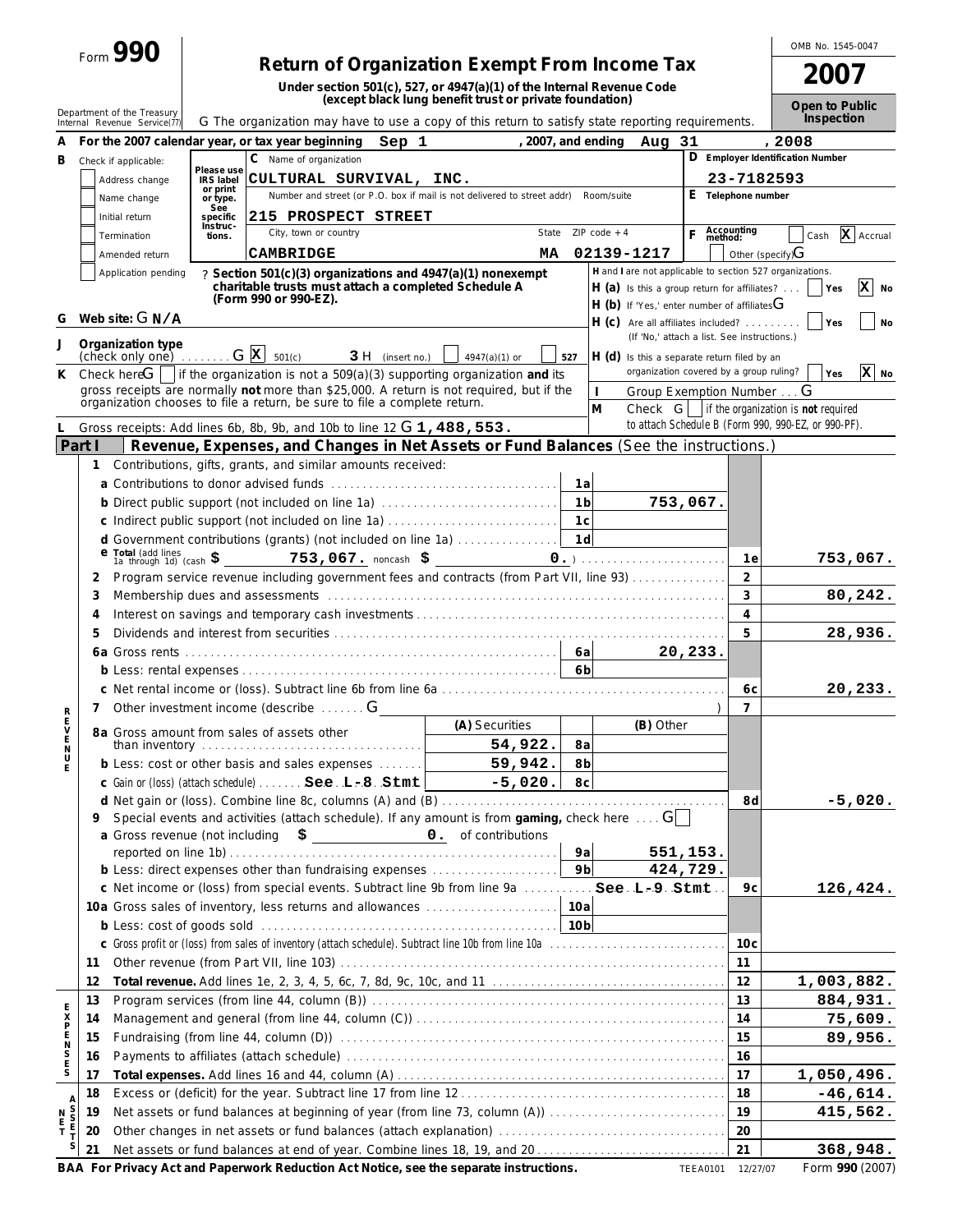| Form | DOL. |  |
|------|------|--|
|      |      |  |

# Form **990 Return of Organization Exempt From Income Tax**

**Under section 501(c), 527, or 4947(a)(1) of the Internal Revenue Code (except black lung benefit trust or private foundation)**

**2007 Open to Public**

OMB No. 1545-0047

| Sep 1<br>2008<br>For the 2007 calendar year, or tax year beginning<br>, 2007, and ending Aug 31<br>A<br>D Employer Identification Number<br>C Name of organization<br>B<br>Check if applicable:<br>Please use<br>CULTURAL SURVIVAL, INC.<br>23-7182593<br>Address change<br><b>IRS</b> label<br>or print<br>E Telephone number<br>Number and street (or P.O. box if mail is not delivered to street addr) Room/suite<br>Name change<br>or type.<br>See<br>215 PROSPECT STREET<br>Initial return<br>specific<br>Instruc-<br>Accounting<br>method:<br>F.<br>State $ZIP code + 4$<br>City, town or country<br>X Accrual<br>Termination<br>Cash<br>tions.<br>Other (specify)G<br>02139-1217<br><b>CAMBRIDGE</b><br>MA.<br>Amended return<br>H and I are not applicable to section 527 organizations.<br>Application pending<br>? Section 501(c)(3) organizations and 4947(a)(1) nonexempt<br>charitable trusts must attach a completed Schedule A<br>x<br>$H(a)$ is this a group return for affiliates?<br>Yes<br>No<br>(Form 990 or 990-EZ).<br>$H$ (b) If 'Yes,' enter number of affiliates $G$<br>Web site: $G N/A$<br>G<br>$H(C)$ Are all affiliates included?<br>Yes<br><b>No</b><br>(If 'No,' attach a list. See instructions.)<br>Organization type<br>J<br>(check only one) $\ldots$ $G[X]$ 501(c)<br>$3H$ (insert no.)<br>$4947(a)(1)$ or<br>$H(d)$ is this a separate return filed by an<br>527<br>organization covered by a group ruling?<br>$\mathbf{x}$ No<br>Check here $\boxed{\phantom{a}}$   if the organization is not a 509(a)(3) supporting organization and its<br>Yes<br>К<br>gross receipts are normally not more than \$25,000. A return is not required, but if the<br>Group Exemption Number G<br>organization chooses to file a return, be sure to file a complete return.<br>M<br>Check $G$ if the organization is not required<br>to attach Schedule B (Form 990, 990-EZ, or 990-PF).<br>Gross receipts: Add lines 6b, 8b, 9b, and 10b to line 12 G 1, 488, 553.<br>Part I<br>Revenue, Expenses, and Changes in Net Assets or Fund Balances (See the instructions.)<br>Contributions, gifts, grants, and similar amounts received:<br>1<br>1a<br>1 <sub>b</sub><br>b Direct public support (not included on line 1a)<br>753,067.<br>c Indirect public support (not included on line 1a)<br>1c<br>1d<br>d Government contributions (grants) (not included on line 1a)<br>$\frac{e \text{ Total (add lines)}}{1a \text{ through 1d}}$ (cash $\frac{e}{2}$ 753,067. noncash $\frac{e}{2}$<br>753,067.<br>1e<br>$\overline{2}$<br>Program service revenue including government fees and contracts (from Part VII, line 93)<br>2<br>3<br>Membership dues and assessments (and accommodation of the control of the control of the control of the control of the control of the control of the control of the control of the control of the control of the control of the<br>80,242.<br>3<br>$\overline{4}$<br>4<br>5<br>28,936.<br>5<br>20,233.<br>6 <sub>b</sub><br>20, 233.<br>6c<br>Other investment income (describe  G<br>7<br>7<br>アステム<br>(A) Securities<br>(B) Other<br>8a Gross amount from sales of assets other<br>54,922.<br>8a<br>than inventory $\ldots \ldots \ldots \ldots \ldots \ldots \ldots \ldots \ldots \ldots \ldots$<br>$_\mathrm{U}^\mathrm{N}$<br>59,942.<br>8b<br>b Less: cost or other basis and sales expenses<br>E<br>c Gain or (loss) (attach schedule)  See. L-8. Stmt<br>$-5,020.$<br>8c<br>8d<br>d Net gain or (loss). Combine line 8c, columns (A) and (B)<br>-5,020<br>Special events and activities (attach schedule). If any amount is from gaming, check here $\dots$ G  <br>a Gross revenue (not including<br>$\frac{1}{2}$ <b>c</b> $\frac{1}{2}$ <b>c</b> $\frac{1}{2}$ <b>c</b> $\frac{1}{2}$ <b>c</b> $\frac{1}{2}$ <b>c</b> $\frac{1}{2}$ <b>c</b> $\frac{1}{2}$ <b>c</b> $\frac{1}{2}$ <b>c</b> $\frac{1}{2}$ <b>c</b> $\frac{1}{2}$ <b>c</b> $\frac{1}{2}$ <b>c</b> $\frac{1}{2}$ <b>c</b> $\frac{1}{2}$ <b>c</b> $\frac{1}{2}$ <b>c</b> $\frac{1}{2}$ <b>c</b> $\frac{1}{2}$ <b></b><br>9a<br>551,153.<br>9 <sub>b</sub><br>424,729.<br>b Less: direct expenses other than fundraising expenses<br>c Net income or (loss) from special events. Subtract line 9b from line 9a  See . L-9 . Stmt<br>9 c<br>126,424.<br>10a<br>10a Gross sales of inventory, less returns and allowances<br>10 <sub>c</sub><br>11<br>11<br>12<br>1,003,882.<br>12<br>13<br>884,931.<br>13<br><b>KKDNNDXE</b><br>14<br>75,609.<br>14<br>15<br>89,956.<br>15<br>16<br>16<br>17<br>1,050,496.<br>17<br>18<br>$-46,614.$<br>18<br>A<br>S<br>S<br>E<br>T<br>19<br>Net assets or fund balances at beginning of year (from line 73, column (A))<br>415,562.<br>$\begin{array}{c} N \\ E \\ T \end{array}$<br>19<br>20<br>20<br>S<br>21<br>368,948.<br>21<br><u>Driveou</u> Act and Depension's Deduction Act Natios ass the concrete instructions<br>$L_{\text{arm}}$ 000 (2007)<br>$\mathsf{D}\wedge\wedge\mathsf{F}\sim\mathsf{L}$ |  | Department of the Treasury<br>Internal Revenue Service(17) | G The organization may have to use a copy of this return to satisfy state reporting requirements. |  |  |  | Open to Public<br>Inspection |
|-------------------------------------------------------------------------------------------------------------------------------------------------------------------------------------------------------------------------------------------------------------------------------------------------------------------------------------------------------------------------------------------------------------------------------------------------------------------------------------------------------------------------------------------------------------------------------------------------------------------------------------------------------------------------------------------------------------------------------------------------------------------------------------------------------------------------------------------------------------------------------------------------------------------------------------------------------------------------------------------------------------------------------------------------------------------------------------------------------------------------------------------------------------------------------------------------------------------------------------------------------------------------------------------------------------------------------------------------------------------------------------------------------------------------------------------------------------------------------------------------------------------------------------------------------------------------------------------------------------------------------------------------------------------------------------------------------------------------------------------------------------------------------------------------------------------------------------------------------------------------------------------------------------------------------------------------------------------------------------------------------------------------------------------------------------------------------------------------------------------------------------------------------------------------------------------------------------------------------------------------------------------------------------------------------------------------------------------------------------------------------------------------------------------------------------------------------------------------------------------------------------------------------------------------------------------------------------------------------------------------------------------------------------------------------------------------------------------------------------------------------------------------------------------------------------------------------------------------------------------------------------------------------------------------------------------------------------------------------------------------------------------------------------------------------------------------------------------------------------------------------------------------------------------------------------------------------------------------------------------------------------------------------------------------------------------------------------------------------------------------------------------------------------------------------------------------------------------------------------------------------------------------------------------------------------------------------------------------------------------------------------------------------------------------------------------------------------------------------------------------------------------------------------------------------------------------------------------------------------------------------------------------------------------------------------------------------------------------------------------------------------------------------------------------------------------------------------------------------------------------------------------------------------------------------------------------------------------------------------------------------------------------------------------------------------------------------------------------------------------------------------------------------------------------------------------------------------------------------------------------------------------------------------------------------------------------------------------------------------------------------------------------------------------------------------------------------------------------------------------------------------------------------------------------------------------------------------------------------------------------------------------------------------------------------------------------------------------------------|--|------------------------------------------------------------|---------------------------------------------------------------------------------------------------|--|--|--|------------------------------|
|                                                                                                                                                                                                                                                                                                                                                                                                                                                                                                                                                                                                                                                                                                                                                                                                                                                                                                                                                                                                                                                                                                                                                                                                                                                                                                                                                                                                                                                                                                                                                                                                                                                                                                                                                                                                                                                                                                                                                                                                                                                                                                                                                                                                                                                                                                                                                                                                                                                                                                                                                                                                                                                                                                                                                                                                                                                                                                                                                                                                                                                                                                                                                                                                                                                                                                                                                                                                                                                                                                                                                                                                                                                                                                                                                                                                                                                                                                                                                                                                                                                                                                                                                                                                                                                                                                                                                                                                                                                                                                                                                                                                                                                                                                                                                                                                                                                                                                                                                                               |  |                                                            |                                                                                                   |  |  |  |                              |
|                                                                                                                                                                                                                                                                                                                                                                                                                                                                                                                                                                                                                                                                                                                                                                                                                                                                                                                                                                                                                                                                                                                                                                                                                                                                                                                                                                                                                                                                                                                                                                                                                                                                                                                                                                                                                                                                                                                                                                                                                                                                                                                                                                                                                                                                                                                                                                                                                                                                                                                                                                                                                                                                                                                                                                                                                                                                                                                                                                                                                                                                                                                                                                                                                                                                                                                                                                                                                                                                                                                                                                                                                                                                                                                                                                                                                                                                                                                                                                                                                                                                                                                                                                                                                                                                                                                                                                                                                                                                                                                                                                                                                                                                                                                                                                                                                                                                                                                                                                               |  |                                                            |                                                                                                   |  |  |  |                              |
|                                                                                                                                                                                                                                                                                                                                                                                                                                                                                                                                                                                                                                                                                                                                                                                                                                                                                                                                                                                                                                                                                                                                                                                                                                                                                                                                                                                                                                                                                                                                                                                                                                                                                                                                                                                                                                                                                                                                                                                                                                                                                                                                                                                                                                                                                                                                                                                                                                                                                                                                                                                                                                                                                                                                                                                                                                                                                                                                                                                                                                                                                                                                                                                                                                                                                                                                                                                                                                                                                                                                                                                                                                                                                                                                                                                                                                                                                                                                                                                                                                                                                                                                                                                                                                                                                                                                                                                                                                                                                                                                                                                                                                                                                                                                                                                                                                                                                                                                                                               |  |                                                            |                                                                                                   |  |  |  |                              |
|                                                                                                                                                                                                                                                                                                                                                                                                                                                                                                                                                                                                                                                                                                                                                                                                                                                                                                                                                                                                                                                                                                                                                                                                                                                                                                                                                                                                                                                                                                                                                                                                                                                                                                                                                                                                                                                                                                                                                                                                                                                                                                                                                                                                                                                                                                                                                                                                                                                                                                                                                                                                                                                                                                                                                                                                                                                                                                                                                                                                                                                                                                                                                                                                                                                                                                                                                                                                                                                                                                                                                                                                                                                                                                                                                                                                                                                                                                                                                                                                                                                                                                                                                                                                                                                                                                                                                                                                                                                                                                                                                                                                                                                                                                                                                                                                                                                                                                                                                                               |  |                                                            |                                                                                                   |  |  |  |                              |
|                                                                                                                                                                                                                                                                                                                                                                                                                                                                                                                                                                                                                                                                                                                                                                                                                                                                                                                                                                                                                                                                                                                                                                                                                                                                                                                                                                                                                                                                                                                                                                                                                                                                                                                                                                                                                                                                                                                                                                                                                                                                                                                                                                                                                                                                                                                                                                                                                                                                                                                                                                                                                                                                                                                                                                                                                                                                                                                                                                                                                                                                                                                                                                                                                                                                                                                                                                                                                                                                                                                                                                                                                                                                                                                                                                                                                                                                                                                                                                                                                                                                                                                                                                                                                                                                                                                                                                                                                                                                                                                                                                                                                                                                                                                                                                                                                                                                                                                                                                               |  |                                                            |                                                                                                   |  |  |  |                              |
|                                                                                                                                                                                                                                                                                                                                                                                                                                                                                                                                                                                                                                                                                                                                                                                                                                                                                                                                                                                                                                                                                                                                                                                                                                                                                                                                                                                                                                                                                                                                                                                                                                                                                                                                                                                                                                                                                                                                                                                                                                                                                                                                                                                                                                                                                                                                                                                                                                                                                                                                                                                                                                                                                                                                                                                                                                                                                                                                                                                                                                                                                                                                                                                                                                                                                                                                                                                                                                                                                                                                                                                                                                                                                                                                                                                                                                                                                                                                                                                                                                                                                                                                                                                                                                                                                                                                                                                                                                                                                                                                                                                                                                                                                                                                                                                                                                                                                                                                                                               |  |                                                            |                                                                                                   |  |  |  |                              |
|                                                                                                                                                                                                                                                                                                                                                                                                                                                                                                                                                                                                                                                                                                                                                                                                                                                                                                                                                                                                                                                                                                                                                                                                                                                                                                                                                                                                                                                                                                                                                                                                                                                                                                                                                                                                                                                                                                                                                                                                                                                                                                                                                                                                                                                                                                                                                                                                                                                                                                                                                                                                                                                                                                                                                                                                                                                                                                                                                                                                                                                                                                                                                                                                                                                                                                                                                                                                                                                                                                                                                                                                                                                                                                                                                                                                                                                                                                                                                                                                                                                                                                                                                                                                                                                                                                                                                                                                                                                                                                                                                                                                                                                                                                                                                                                                                                                                                                                                                                               |  |                                                            |                                                                                                   |  |  |  |                              |
|                                                                                                                                                                                                                                                                                                                                                                                                                                                                                                                                                                                                                                                                                                                                                                                                                                                                                                                                                                                                                                                                                                                                                                                                                                                                                                                                                                                                                                                                                                                                                                                                                                                                                                                                                                                                                                                                                                                                                                                                                                                                                                                                                                                                                                                                                                                                                                                                                                                                                                                                                                                                                                                                                                                                                                                                                                                                                                                                                                                                                                                                                                                                                                                                                                                                                                                                                                                                                                                                                                                                                                                                                                                                                                                                                                                                                                                                                                                                                                                                                                                                                                                                                                                                                                                                                                                                                                                                                                                                                                                                                                                                                                                                                                                                                                                                                                                                                                                                                                               |  |                                                            |                                                                                                   |  |  |  |                              |
|                                                                                                                                                                                                                                                                                                                                                                                                                                                                                                                                                                                                                                                                                                                                                                                                                                                                                                                                                                                                                                                                                                                                                                                                                                                                                                                                                                                                                                                                                                                                                                                                                                                                                                                                                                                                                                                                                                                                                                                                                                                                                                                                                                                                                                                                                                                                                                                                                                                                                                                                                                                                                                                                                                                                                                                                                                                                                                                                                                                                                                                                                                                                                                                                                                                                                                                                                                                                                                                                                                                                                                                                                                                                                                                                                                                                                                                                                                                                                                                                                                                                                                                                                                                                                                                                                                                                                                                                                                                                                                                                                                                                                                                                                                                                                                                                                                                                                                                                                                               |  |                                                            |                                                                                                   |  |  |  |                              |
|                                                                                                                                                                                                                                                                                                                                                                                                                                                                                                                                                                                                                                                                                                                                                                                                                                                                                                                                                                                                                                                                                                                                                                                                                                                                                                                                                                                                                                                                                                                                                                                                                                                                                                                                                                                                                                                                                                                                                                                                                                                                                                                                                                                                                                                                                                                                                                                                                                                                                                                                                                                                                                                                                                                                                                                                                                                                                                                                                                                                                                                                                                                                                                                                                                                                                                                                                                                                                                                                                                                                                                                                                                                                                                                                                                                                                                                                                                                                                                                                                                                                                                                                                                                                                                                                                                                                                                                                                                                                                                                                                                                                                                                                                                                                                                                                                                                                                                                                                                               |  |                                                            |                                                                                                   |  |  |  |                              |
|                                                                                                                                                                                                                                                                                                                                                                                                                                                                                                                                                                                                                                                                                                                                                                                                                                                                                                                                                                                                                                                                                                                                                                                                                                                                                                                                                                                                                                                                                                                                                                                                                                                                                                                                                                                                                                                                                                                                                                                                                                                                                                                                                                                                                                                                                                                                                                                                                                                                                                                                                                                                                                                                                                                                                                                                                                                                                                                                                                                                                                                                                                                                                                                                                                                                                                                                                                                                                                                                                                                                                                                                                                                                                                                                                                                                                                                                                                                                                                                                                                                                                                                                                                                                                                                                                                                                                                                                                                                                                                                                                                                                                                                                                                                                                                                                                                                                                                                                                                               |  |                                                            |                                                                                                   |  |  |  |                              |
|                                                                                                                                                                                                                                                                                                                                                                                                                                                                                                                                                                                                                                                                                                                                                                                                                                                                                                                                                                                                                                                                                                                                                                                                                                                                                                                                                                                                                                                                                                                                                                                                                                                                                                                                                                                                                                                                                                                                                                                                                                                                                                                                                                                                                                                                                                                                                                                                                                                                                                                                                                                                                                                                                                                                                                                                                                                                                                                                                                                                                                                                                                                                                                                                                                                                                                                                                                                                                                                                                                                                                                                                                                                                                                                                                                                                                                                                                                                                                                                                                                                                                                                                                                                                                                                                                                                                                                                                                                                                                                                                                                                                                                                                                                                                                                                                                                                                                                                                                                               |  |                                                            |                                                                                                   |  |  |  |                              |
|                                                                                                                                                                                                                                                                                                                                                                                                                                                                                                                                                                                                                                                                                                                                                                                                                                                                                                                                                                                                                                                                                                                                                                                                                                                                                                                                                                                                                                                                                                                                                                                                                                                                                                                                                                                                                                                                                                                                                                                                                                                                                                                                                                                                                                                                                                                                                                                                                                                                                                                                                                                                                                                                                                                                                                                                                                                                                                                                                                                                                                                                                                                                                                                                                                                                                                                                                                                                                                                                                                                                                                                                                                                                                                                                                                                                                                                                                                                                                                                                                                                                                                                                                                                                                                                                                                                                                                                                                                                                                                                                                                                                                                                                                                                                                                                                                                                                                                                                                                               |  |                                                            |                                                                                                   |  |  |  |                              |
|                                                                                                                                                                                                                                                                                                                                                                                                                                                                                                                                                                                                                                                                                                                                                                                                                                                                                                                                                                                                                                                                                                                                                                                                                                                                                                                                                                                                                                                                                                                                                                                                                                                                                                                                                                                                                                                                                                                                                                                                                                                                                                                                                                                                                                                                                                                                                                                                                                                                                                                                                                                                                                                                                                                                                                                                                                                                                                                                                                                                                                                                                                                                                                                                                                                                                                                                                                                                                                                                                                                                                                                                                                                                                                                                                                                                                                                                                                                                                                                                                                                                                                                                                                                                                                                                                                                                                                                                                                                                                                                                                                                                                                                                                                                                                                                                                                                                                                                                                                               |  |                                                            |                                                                                                   |  |  |  |                              |
|                                                                                                                                                                                                                                                                                                                                                                                                                                                                                                                                                                                                                                                                                                                                                                                                                                                                                                                                                                                                                                                                                                                                                                                                                                                                                                                                                                                                                                                                                                                                                                                                                                                                                                                                                                                                                                                                                                                                                                                                                                                                                                                                                                                                                                                                                                                                                                                                                                                                                                                                                                                                                                                                                                                                                                                                                                                                                                                                                                                                                                                                                                                                                                                                                                                                                                                                                                                                                                                                                                                                                                                                                                                                                                                                                                                                                                                                                                                                                                                                                                                                                                                                                                                                                                                                                                                                                                                                                                                                                                                                                                                                                                                                                                                                                                                                                                                                                                                                                                               |  |                                                            |                                                                                                   |  |  |  |                              |
|                                                                                                                                                                                                                                                                                                                                                                                                                                                                                                                                                                                                                                                                                                                                                                                                                                                                                                                                                                                                                                                                                                                                                                                                                                                                                                                                                                                                                                                                                                                                                                                                                                                                                                                                                                                                                                                                                                                                                                                                                                                                                                                                                                                                                                                                                                                                                                                                                                                                                                                                                                                                                                                                                                                                                                                                                                                                                                                                                                                                                                                                                                                                                                                                                                                                                                                                                                                                                                                                                                                                                                                                                                                                                                                                                                                                                                                                                                                                                                                                                                                                                                                                                                                                                                                                                                                                                                                                                                                                                                                                                                                                                                                                                                                                                                                                                                                                                                                                                                               |  |                                                            |                                                                                                   |  |  |  |                              |
|                                                                                                                                                                                                                                                                                                                                                                                                                                                                                                                                                                                                                                                                                                                                                                                                                                                                                                                                                                                                                                                                                                                                                                                                                                                                                                                                                                                                                                                                                                                                                                                                                                                                                                                                                                                                                                                                                                                                                                                                                                                                                                                                                                                                                                                                                                                                                                                                                                                                                                                                                                                                                                                                                                                                                                                                                                                                                                                                                                                                                                                                                                                                                                                                                                                                                                                                                                                                                                                                                                                                                                                                                                                                                                                                                                                                                                                                                                                                                                                                                                                                                                                                                                                                                                                                                                                                                                                                                                                                                                                                                                                                                                                                                                                                                                                                                                                                                                                                                                               |  |                                                            |                                                                                                   |  |  |  |                              |
|                                                                                                                                                                                                                                                                                                                                                                                                                                                                                                                                                                                                                                                                                                                                                                                                                                                                                                                                                                                                                                                                                                                                                                                                                                                                                                                                                                                                                                                                                                                                                                                                                                                                                                                                                                                                                                                                                                                                                                                                                                                                                                                                                                                                                                                                                                                                                                                                                                                                                                                                                                                                                                                                                                                                                                                                                                                                                                                                                                                                                                                                                                                                                                                                                                                                                                                                                                                                                                                                                                                                                                                                                                                                                                                                                                                                                                                                                                                                                                                                                                                                                                                                                                                                                                                                                                                                                                                                                                                                                                                                                                                                                                                                                                                                                                                                                                                                                                                                                                               |  |                                                            |                                                                                                   |  |  |  |                              |
|                                                                                                                                                                                                                                                                                                                                                                                                                                                                                                                                                                                                                                                                                                                                                                                                                                                                                                                                                                                                                                                                                                                                                                                                                                                                                                                                                                                                                                                                                                                                                                                                                                                                                                                                                                                                                                                                                                                                                                                                                                                                                                                                                                                                                                                                                                                                                                                                                                                                                                                                                                                                                                                                                                                                                                                                                                                                                                                                                                                                                                                                                                                                                                                                                                                                                                                                                                                                                                                                                                                                                                                                                                                                                                                                                                                                                                                                                                                                                                                                                                                                                                                                                                                                                                                                                                                                                                                                                                                                                                                                                                                                                                                                                                                                                                                                                                                                                                                                                                               |  |                                                            |                                                                                                   |  |  |  |                              |
|                                                                                                                                                                                                                                                                                                                                                                                                                                                                                                                                                                                                                                                                                                                                                                                                                                                                                                                                                                                                                                                                                                                                                                                                                                                                                                                                                                                                                                                                                                                                                                                                                                                                                                                                                                                                                                                                                                                                                                                                                                                                                                                                                                                                                                                                                                                                                                                                                                                                                                                                                                                                                                                                                                                                                                                                                                                                                                                                                                                                                                                                                                                                                                                                                                                                                                                                                                                                                                                                                                                                                                                                                                                                                                                                                                                                                                                                                                                                                                                                                                                                                                                                                                                                                                                                                                                                                                                                                                                                                                                                                                                                                                                                                                                                                                                                                                                                                                                                                                               |  |                                                            |                                                                                                   |  |  |  |                              |
|                                                                                                                                                                                                                                                                                                                                                                                                                                                                                                                                                                                                                                                                                                                                                                                                                                                                                                                                                                                                                                                                                                                                                                                                                                                                                                                                                                                                                                                                                                                                                                                                                                                                                                                                                                                                                                                                                                                                                                                                                                                                                                                                                                                                                                                                                                                                                                                                                                                                                                                                                                                                                                                                                                                                                                                                                                                                                                                                                                                                                                                                                                                                                                                                                                                                                                                                                                                                                                                                                                                                                                                                                                                                                                                                                                                                                                                                                                                                                                                                                                                                                                                                                                                                                                                                                                                                                                                                                                                                                                                                                                                                                                                                                                                                                                                                                                                                                                                                                                               |  |                                                            |                                                                                                   |  |  |  |                              |
|                                                                                                                                                                                                                                                                                                                                                                                                                                                                                                                                                                                                                                                                                                                                                                                                                                                                                                                                                                                                                                                                                                                                                                                                                                                                                                                                                                                                                                                                                                                                                                                                                                                                                                                                                                                                                                                                                                                                                                                                                                                                                                                                                                                                                                                                                                                                                                                                                                                                                                                                                                                                                                                                                                                                                                                                                                                                                                                                                                                                                                                                                                                                                                                                                                                                                                                                                                                                                                                                                                                                                                                                                                                                                                                                                                                                                                                                                                                                                                                                                                                                                                                                                                                                                                                                                                                                                                                                                                                                                                                                                                                                                                                                                                                                                                                                                                                                                                                                                                               |  |                                                            |                                                                                                   |  |  |  |                              |
|                                                                                                                                                                                                                                                                                                                                                                                                                                                                                                                                                                                                                                                                                                                                                                                                                                                                                                                                                                                                                                                                                                                                                                                                                                                                                                                                                                                                                                                                                                                                                                                                                                                                                                                                                                                                                                                                                                                                                                                                                                                                                                                                                                                                                                                                                                                                                                                                                                                                                                                                                                                                                                                                                                                                                                                                                                                                                                                                                                                                                                                                                                                                                                                                                                                                                                                                                                                                                                                                                                                                                                                                                                                                                                                                                                                                                                                                                                                                                                                                                                                                                                                                                                                                                                                                                                                                                                                                                                                                                                                                                                                                                                                                                                                                                                                                                                                                                                                                                                               |  |                                                            |                                                                                                   |  |  |  |                              |
|                                                                                                                                                                                                                                                                                                                                                                                                                                                                                                                                                                                                                                                                                                                                                                                                                                                                                                                                                                                                                                                                                                                                                                                                                                                                                                                                                                                                                                                                                                                                                                                                                                                                                                                                                                                                                                                                                                                                                                                                                                                                                                                                                                                                                                                                                                                                                                                                                                                                                                                                                                                                                                                                                                                                                                                                                                                                                                                                                                                                                                                                                                                                                                                                                                                                                                                                                                                                                                                                                                                                                                                                                                                                                                                                                                                                                                                                                                                                                                                                                                                                                                                                                                                                                                                                                                                                                                                                                                                                                                                                                                                                                                                                                                                                                                                                                                                                                                                                                                               |  |                                                            |                                                                                                   |  |  |  |                              |
|                                                                                                                                                                                                                                                                                                                                                                                                                                                                                                                                                                                                                                                                                                                                                                                                                                                                                                                                                                                                                                                                                                                                                                                                                                                                                                                                                                                                                                                                                                                                                                                                                                                                                                                                                                                                                                                                                                                                                                                                                                                                                                                                                                                                                                                                                                                                                                                                                                                                                                                                                                                                                                                                                                                                                                                                                                                                                                                                                                                                                                                                                                                                                                                                                                                                                                                                                                                                                                                                                                                                                                                                                                                                                                                                                                                                                                                                                                                                                                                                                                                                                                                                                                                                                                                                                                                                                                                                                                                                                                                                                                                                                                                                                                                                                                                                                                                                                                                                                                               |  |                                                            |                                                                                                   |  |  |  |                              |
|                                                                                                                                                                                                                                                                                                                                                                                                                                                                                                                                                                                                                                                                                                                                                                                                                                                                                                                                                                                                                                                                                                                                                                                                                                                                                                                                                                                                                                                                                                                                                                                                                                                                                                                                                                                                                                                                                                                                                                                                                                                                                                                                                                                                                                                                                                                                                                                                                                                                                                                                                                                                                                                                                                                                                                                                                                                                                                                                                                                                                                                                                                                                                                                                                                                                                                                                                                                                                                                                                                                                                                                                                                                                                                                                                                                                                                                                                                                                                                                                                                                                                                                                                                                                                                                                                                                                                                                                                                                                                                                                                                                                                                                                                                                                                                                                                                                                                                                                                                               |  |                                                            |                                                                                                   |  |  |  |                              |
|                                                                                                                                                                                                                                                                                                                                                                                                                                                                                                                                                                                                                                                                                                                                                                                                                                                                                                                                                                                                                                                                                                                                                                                                                                                                                                                                                                                                                                                                                                                                                                                                                                                                                                                                                                                                                                                                                                                                                                                                                                                                                                                                                                                                                                                                                                                                                                                                                                                                                                                                                                                                                                                                                                                                                                                                                                                                                                                                                                                                                                                                                                                                                                                                                                                                                                                                                                                                                                                                                                                                                                                                                                                                                                                                                                                                                                                                                                                                                                                                                                                                                                                                                                                                                                                                                                                                                                                                                                                                                                                                                                                                                                                                                                                                                                                                                                                                                                                                                                               |  |                                                            |                                                                                                   |  |  |  |                              |
|                                                                                                                                                                                                                                                                                                                                                                                                                                                                                                                                                                                                                                                                                                                                                                                                                                                                                                                                                                                                                                                                                                                                                                                                                                                                                                                                                                                                                                                                                                                                                                                                                                                                                                                                                                                                                                                                                                                                                                                                                                                                                                                                                                                                                                                                                                                                                                                                                                                                                                                                                                                                                                                                                                                                                                                                                                                                                                                                                                                                                                                                                                                                                                                                                                                                                                                                                                                                                                                                                                                                                                                                                                                                                                                                                                                                                                                                                                                                                                                                                                                                                                                                                                                                                                                                                                                                                                                                                                                                                                                                                                                                                                                                                                                                                                                                                                                                                                                                                                               |  |                                                            |                                                                                                   |  |  |  |                              |
|                                                                                                                                                                                                                                                                                                                                                                                                                                                                                                                                                                                                                                                                                                                                                                                                                                                                                                                                                                                                                                                                                                                                                                                                                                                                                                                                                                                                                                                                                                                                                                                                                                                                                                                                                                                                                                                                                                                                                                                                                                                                                                                                                                                                                                                                                                                                                                                                                                                                                                                                                                                                                                                                                                                                                                                                                                                                                                                                                                                                                                                                                                                                                                                                                                                                                                                                                                                                                                                                                                                                                                                                                                                                                                                                                                                                                                                                                                                                                                                                                                                                                                                                                                                                                                                                                                                                                                                                                                                                                                                                                                                                                                                                                                                                                                                                                                                                                                                                                                               |  |                                                            |                                                                                                   |  |  |  |                              |
|                                                                                                                                                                                                                                                                                                                                                                                                                                                                                                                                                                                                                                                                                                                                                                                                                                                                                                                                                                                                                                                                                                                                                                                                                                                                                                                                                                                                                                                                                                                                                                                                                                                                                                                                                                                                                                                                                                                                                                                                                                                                                                                                                                                                                                                                                                                                                                                                                                                                                                                                                                                                                                                                                                                                                                                                                                                                                                                                                                                                                                                                                                                                                                                                                                                                                                                                                                                                                                                                                                                                                                                                                                                                                                                                                                                                                                                                                                                                                                                                                                                                                                                                                                                                                                                                                                                                                                                                                                                                                                                                                                                                                                                                                                                                                                                                                                                                                                                                                                               |  |                                                            |                                                                                                   |  |  |  |                              |
|                                                                                                                                                                                                                                                                                                                                                                                                                                                                                                                                                                                                                                                                                                                                                                                                                                                                                                                                                                                                                                                                                                                                                                                                                                                                                                                                                                                                                                                                                                                                                                                                                                                                                                                                                                                                                                                                                                                                                                                                                                                                                                                                                                                                                                                                                                                                                                                                                                                                                                                                                                                                                                                                                                                                                                                                                                                                                                                                                                                                                                                                                                                                                                                                                                                                                                                                                                                                                                                                                                                                                                                                                                                                                                                                                                                                                                                                                                                                                                                                                                                                                                                                                                                                                                                                                                                                                                                                                                                                                                                                                                                                                                                                                                                                                                                                                                                                                                                                                                               |  |                                                            |                                                                                                   |  |  |  |                              |
|                                                                                                                                                                                                                                                                                                                                                                                                                                                                                                                                                                                                                                                                                                                                                                                                                                                                                                                                                                                                                                                                                                                                                                                                                                                                                                                                                                                                                                                                                                                                                                                                                                                                                                                                                                                                                                                                                                                                                                                                                                                                                                                                                                                                                                                                                                                                                                                                                                                                                                                                                                                                                                                                                                                                                                                                                                                                                                                                                                                                                                                                                                                                                                                                                                                                                                                                                                                                                                                                                                                                                                                                                                                                                                                                                                                                                                                                                                                                                                                                                                                                                                                                                                                                                                                                                                                                                                                                                                                                                                                                                                                                                                                                                                                                                                                                                                                                                                                                                                               |  |                                                            |                                                                                                   |  |  |  |                              |
|                                                                                                                                                                                                                                                                                                                                                                                                                                                                                                                                                                                                                                                                                                                                                                                                                                                                                                                                                                                                                                                                                                                                                                                                                                                                                                                                                                                                                                                                                                                                                                                                                                                                                                                                                                                                                                                                                                                                                                                                                                                                                                                                                                                                                                                                                                                                                                                                                                                                                                                                                                                                                                                                                                                                                                                                                                                                                                                                                                                                                                                                                                                                                                                                                                                                                                                                                                                                                                                                                                                                                                                                                                                                                                                                                                                                                                                                                                                                                                                                                                                                                                                                                                                                                                                                                                                                                                                                                                                                                                                                                                                                                                                                                                                                                                                                                                                                                                                                                                               |  |                                                            |                                                                                                   |  |  |  |                              |
|                                                                                                                                                                                                                                                                                                                                                                                                                                                                                                                                                                                                                                                                                                                                                                                                                                                                                                                                                                                                                                                                                                                                                                                                                                                                                                                                                                                                                                                                                                                                                                                                                                                                                                                                                                                                                                                                                                                                                                                                                                                                                                                                                                                                                                                                                                                                                                                                                                                                                                                                                                                                                                                                                                                                                                                                                                                                                                                                                                                                                                                                                                                                                                                                                                                                                                                                                                                                                                                                                                                                                                                                                                                                                                                                                                                                                                                                                                                                                                                                                                                                                                                                                                                                                                                                                                                                                                                                                                                                                                                                                                                                                                                                                                                                                                                                                                                                                                                                                                               |  |                                                            |                                                                                                   |  |  |  |                              |
|                                                                                                                                                                                                                                                                                                                                                                                                                                                                                                                                                                                                                                                                                                                                                                                                                                                                                                                                                                                                                                                                                                                                                                                                                                                                                                                                                                                                                                                                                                                                                                                                                                                                                                                                                                                                                                                                                                                                                                                                                                                                                                                                                                                                                                                                                                                                                                                                                                                                                                                                                                                                                                                                                                                                                                                                                                                                                                                                                                                                                                                                                                                                                                                                                                                                                                                                                                                                                                                                                                                                                                                                                                                                                                                                                                                                                                                                                                                                                                                                                                                                                                                                                                                                                                                                                                                                                                                                                                                                                                                                                                                                                                                                                                                                                                                                                                                                                                                                                                               |  |                                                            |                                                                                                   |  |  |  |                              |
|                                                                                                                                                                                                                                                                                                                                                                                                                                                                                                                                                                                                                                                                                                                                                                                                                                                                                                                                                                                                                                                                                                                                                                                                                                                                                                                                                                                                                                                                                                                                                                                                                                                                                                                                                                                                                                                                                                                                                                                                                                                                                                                                                                                                                                                                                                                                                                                                                                                                                                                                                                                                                                                                                                                                                                                                                                                                                                                                                                                                                                                                                                                                                                                                                                                                                                                                                                                                                                                                                                                                                                                                                                                                                                                                                                                                                                                                                                                                                                                                                                                                                                                                                                                                                                                                                                                                                                                                                                                                                                                                                                                                                                                                                                                                                                                                                                                                                                                                                                               |  |                                                            |                                                                                                   |  |  |  |                              |
|                                                                                                                                                                                                                                                                                                                                                                                                                                                                                                                                                                                                                                                                                                                                                                                                                                                                                                                                                                                                                                                                                                                                                                                                                                                                                                                                                                                                                                                                                                                                                                                                                                                                                                                                                                                                                                                                                                                                                                                                                                                                                                                                                                                                                                                                                                                                                                                                                                                                                                                                                                                                                                                                                                                                                                                                                                                                                                                                                                                                                                                                                                                                                                                                                                                                                                                                                                                                                                                                                                                                                                                                                                                                                                                                                                                                                                                                                                                                                                                                                                                                                                                                                                                                                                                                                                                                                                                                                                                                                                                                                                                                                                                                                                                                                                                                                                                                                                                                                                               |  |                                                            |                                                                                                   |  |  |  |                              |
|                                                                                                                                                                                                                                                                                                                                                                                                                                                                                                                                                                                                                                                                                                                                                                                                                                                                                                                                                                                                                                                                                                                                                                                                                                                                                                                                                                                                                                                                                                                                                                                                                                                                                                                                                                                                                                                                                                                                                                                                                                                                                                                                                                                                                                                                                                                                                                                                                                                                                                                                                                                                                                                                                                                                                                                                                                                                                                                                                                                                                                                                                                                                                                                                                                                                                                                                                                                                                                                                                                                                                                                                                                                                                                                                                                                                                                                                                                                                                                                                                                                                                                                                                                                                                                                                                                                                                                                                                                                                                                                                                                                                                                                                                                                                                                                                                                                                                                                                                                               |  |                                                            |                                                                                                   |  |  |  |                              |
|                                                                                                                                                                                                                                                                                                                                                                                                                                                                                                                                                                                                                                                                                                                                                                                                                                                                                                                                                                                                                                                                                                                                                                                                                                                                                                                                                                                                                                                                                                                                                                                                                                                                                                                                                                                                                                                                                                                                                                                                                                                                                                                                                                                                                                                                                                                                                                                                                                                                                                                                                                                                                                                                                                                                                                                                                                                                                                                                                                                                                                                                                                                                                                                                                                                                                                                                                                                                                                                                                                                                                                                                                                                                                                                                                                                                                                                                                                                                                                                                                                                                                                                                                                                                                                                                                                                                                                                                                                                                                                                                                                                                                                                                                                                                                                                                                                                                                                                                                                               |  |                                                            |                                                                                                   |  |  |  |                              |
|                                                                                                                                                                                                                                                                                                                                                                                                                                                                                                                                                                                                                                                                                                                                                                                                                                                                                                                                                                                                                                                                                                                                                                                                                                                                                                                                                                                                                                                                                                                                                                                                                                                                                                                                                                                                                                                                                                                                                                                                                                                                                                                                                                                                                                                                                                                                                                                                                                                                                                                                                                                                                                                                                                                                                                                                                                                                                                                                                                                                                                                                                                                                                                                                                                                                                                                                                                                                                                                                                                                                                                                                                                                                                                                                                                                                                                                                                                                                                                                                                                                                                                                                                                                                                                                                                                                                                                                                                                                                                                                                                                                                                                                                                                                                                                                                                                                                                                                                                                               |  |                                                            |                                                                                                   |  |  |  |                              |
|                                                                                                                                                                                                                                                                                                                                                                                                                                                                                                                                                                                                                                                                                                                                                                                                                                                                                                                                                                                                                                                                                                                                                                                                                                                                                                                                                                                                                                                                                                                                                                                                                                                                                                                                                                                                                                                                                                                                                                                                                                                                                                                                                                                                                                                                                                                                                                                                                                                                                                                                                                                                                                                                                                                                                                                                                                                                                                                                                                                                                                                                                                                                                                                                                                                                                                                                                                                                                                                                                                                                                                                                                                                                                                                                                                                                                                                                                                                                                                                                                                                                                                                                                                                                                                                                                                                                                                                                                                                                                                                                                                                                                                                                                                                                                                                                                                                                                                                                                                               |  |                                                            |                                                                                                   |  |  |  |                              |
|                                                                                                                                                                                                                                                                                                                                                                                                                                                                                                                                                                                                                                                                                                                                                                                                                                                                                                                                                                                                                                                                                                                                                                                                                                                                                                                                                                                                                                                                                                                                                                                                                                                                                                                                                                                                                                                                                                                                                                                                                                                                                                                                                                                                                                                                                                                                                                                                                                                                                                                                                                                                                                                                                                                                                                                                                                                                                                                                                                                                                                                                                                                                                                                                                                                                                                                                                                                                                                                                                                                                                                                                                                                                                                                                                                                                                                                                                                                                                                                                                                                                                                                                                                                                                                                                                                                                                                                                                                                                                                                                                                                                                                                                                                                                                                                                                                                                                                                                                                               |  |                                                            |                                                                                                   |  |  |  |                              |
|                                                                                                                                                                                                                                                                                                                                                                                                                                                                                                                                                                                                                                                                                                                                                                                                                                                                                                                                                                                                                                                                                                                                                                                                                                                                                                                                                                                                                                                                                                                                                                                                                                                                                                                                                                                                                                                                                                                                                                                                                                                                                                                                                                                                                                                                                                                                                                                                                                                                                                                                                                                                                                                                                                                                                                                                                                                                                                                                                                                                                                                                                                                                                                                                                                                                                                                                                                                                                                                                                                                                                                                                                                                                                                                                                                                                                                                                                                                                                                                                                                                                                                                                                                                                                                                                                                                                                                                                                                                                                                                                                                                                                                                                                                                                                                                                                                                                                                                                                                               |  |                                                            |                                                                                                   |  |  |  |                              |
|                                                                                                                                                                                                                                                                                                                                                                                                                                                                                                                                                                                                                                                                                                                                                                                                                                                                                                                                                                                                                                                                                                                                                                                                                                                                                                                                                                                                                                                                                                                                                                                                                                                                                                                                                                                                                                                                                                                                                                                                                                                                                                                                                                                                                                                                                                                                                                                                                                                                                                                                                                                                                                                                                                                                                                                                                                                                                                                                                                                                                                                                                                                                                                                                                                                                                                                                                                                                                                                                                                                                                                                                                                                                                                                                                                                                                                                                                                                                                                                                                                                                                                                                                                                                                                                                                                                                                                                                                                                                                                                                                                                                                                                                                                                                                                                                                                                                                                                                                                               |  |                                                            |                                                                                                   |  |  |  |                              |
|                                                                                                                                                                                                                                                                                                                                                                                                                                                                                                                                                                                                                                                                                                                                                                                                                                                                                                                                                                                                                                                                                                                                                                                                                                                                                                                                                                                                                                                                                                                                                                                                                                                                                                                                                                                                                                                                                                                                                                                                                                                                                                                                                                                                                                                                                                                                                                                                                                                                                                                                                                                                                                                                                                                                                                                                                                                                                                                                                                                                                                                                                                                                                                                                                                                                                                                                                                                                                                                                                                                                                                                                                                                                                                                                                                                                                                                                                                                                                                                                                                                                                                                                                                                                                                                                                                                                                                                                                                                                                                                                                                                                                                                                                                                                                                                                                                                                                                                                                                               |  |                                                            |                                                                                                   |  |  |  |                              |
|                                                                                                                                                                                                                                                                                                                                                                                                                                                                                                                                                                                                                                                                                                                                                                                                                                                                                                                                                                                                                                                                                                                                                                                                                                                                                                                                                                                                                                                                                                                                                                                                                                                                                                                                                                                                                                                                                                                                                                                                                                                                                                                                                                                                                                                                                                                                                                                                                                                                                                                                                                                                                                                                                                                                                                                                                                                                                                                                                                                                                                                                                                                                                                                                                                                                                                                                                                                                                                                                                                                                                                                                                                                                                                                                                                                                                                                                                                                                                                                                                                                                                                                                                                                                                                                                                                                                                                                                                                                                                                                                                                                                                                                                                                                                                                                                                                                                                                                                                                               |  |                                                            |                                                                                                   |  |  |  |                              |
|                                                                                                                                                                                                                                                                                                                                                                                                                                                                                                                                                                                                                                                                                                                                                                                                                                                                                                                                                                                                                                                                                                                                                                                                                                                                                                                                                                                                                                                                                                                                                                                                                                                                                                                                                                                                                                                                                                                                                                                                                                                                                                                                                                                                                                                                                                                                                                                                                                                                                                                                                                                                                                                                                                                                                                                                                                                                                                                                                                                                                                                                                                                                                                                                                                                                                                                                                                                                                                                                                                                                                                                                                                                                                                                                                                                                                                                                                                                                                                                                                                                                                                                                                                                                                                                                                                                                                                                                                                                                                                                                                                                                                                                                                                                                                                                                                                                                                                                                                                               |  |                                                            |                                                                                                   |  |  |  |                              |
|                                                                                                                                                                                                                                                                                                                                                                                                                                                                                                                                                                                                                                                                                                                                                                                                                                                                                                                                                                                                                                                                                                                                                                                                                                                                                                                                                                                                                                                                                                                                                                                                                                                                                                                                                                                                                                                                                                                                                                                                                                                                                                                                                                                                                                                                                                                                                                                                                                                                                                                                                                                                                                                                                                                                                                                                                                                                                                                                                                                                                                                                                                                                                                                                                                                                                                                                                                                                                                                                                                                                                                                                                                                                                                                                                                                                                                                                                                                                                                                                                                                                                                                                                                                                                                                                                                                                                                                                                                                                                                                                                                                                                                                                                                                                                                                                                                                                                                                                                                               |  |                                                            |                                                                                                   |  |  |  |                              |
|                                                                                                                                                                                                                                                                                                                                                                                                                                                                                                                                                                                                                                                                                                                                                                                                                                                                                                                                                                                                                                                                                                                                                                                                                                                                                                                                                                                                                                                                                                                                                                                                                                                                                                                                                                                                                                                                                                                                                                                                                                                                                                                                                                                                                                                                                                                                                                                                                                                                                                                                                                                                                                                                                                                                                                                                                                                                                                                                                                                                                                                                                                                                                                                                                                                                                                                                                                                                                                                                                                                                                                                                                                                                                                                                                                                                                                                                                                                                                                                                                                                                                                                                                                                                                                                                                                                                                                                                                                                                                                                                                                                                                                                                                                                                                                                                                                                                                                                                                                               |  |                                                            |                                                                                                   |  |  |  |                              |
|                                                                                                                                                                                                                                                                                                                                                                                                                                                                                                                                                                                                                                                                                                                                                                                                                                                                                                                                                                                                                                                                                                                                                                                                                                                                                                                                                                                                                                                                                                                                                                                                                                                                                                                                                                                                                                                                                                                                                                                                                                                                                                                                                                                                                                                                                                                                                                                                                                                                                                                                                                                                                                                                                                                                                                                                                                                                                                                                                                                                                                                                                                                                                                                                                                                                                                                                                                                                                                                                                                                                                                                                                                                                                                                                                                                                                                                                                                                                                                                                                                                                                                                                                                                                                                                                                                                                                                                                                                                                                                                                                                                                                                                                                                                                                                                                                                                                                                                                                                               |  |                                                            |                                                                                                   |  |  |  |                              |
|                                                                                                                                                                                                                                                                                                                                                                                                                                                                                                                                                                                                                                                                                                                                                                                                                                                                                                                                                                                                                                                                                                                                                                                                                                                                                                                                                                                                                                                                                                                                                                                                                                                                                                                                                                                                                                                                                                                                                                                                                                                                                                                                                                                                                                                                                                                                                                                                                                                                                                                                                                                                                                                                                                                                                                                                                                                                                                                                                                                                                                                                                                                                                                                                                                                                                                                                                                                                                                                                                                                                                                                                                                                                                                                                                                                                                                                                                                                                                                                                                                                                                                                                                                                                                                                                                                                                                                                                                                                                                                                                                                                                                                                                                                                                                                                                                                                                                                                                                                               |  |                                                            |                                                                                                   |  |  |  |                              |
|                                                                                                                                                                                                                                                                                                                                                                                                                                                                                                                                                                                                                                                                                                                                                                                                                                                                                                                                                                                                                                                                                                                                                                                                                                                                                                                                                                                                                                                                                                                                                                                                                                                                                                                                                                                                                                                                                                                                                                                                                                                                                                                                                                                                                                                                                                                                                                                                                                                                                                                                                                                                                                                                                                                                                                                                                                                                                                                                                                                                                                                                                                                                                                                                                                                                                                                                                                                                                                                                                                                                                                                                                                                                                                                                                                                                                                                                                                                                                                                                                                                                                                                                                                                                                                                                                                                                                                                                                                                                                                                                                                                                                                                                                                                                                                                                                                                                                                                                                                               |  |                                                            |                                                                                                   |  |  |  |                              |
|                                                                                                                                                                                                                                                                                                                                                                                                                                                                                                                                                                                                                                                                                                                                                                                                                                                                                                                                                                                                                                                                                                                                                                                                                                                                                                                                                                                                                                                                                                                                                                                                                                                                                                                                                                                                                                                                                                                                                                                                                                                                                                                                                                                                                                                                                                                                                                                                                                                                                                                                                                                                                                                                                                                                                                                                                                                                                                                                                                                                                                                                                                                                                                                                                                                                                                                                                                                                                                                                                                                                                                                                                                                                                                                                                                                                                                                                                                                                                                                                                                                                                                                                                                                                                                                                                                                                                                                                                                                                                                                                                                                                                                                                                                                                                                                                                                                                                                                                                                               |  |                                                            |                                                                                                   |  |  |  |                              |

**BAA For Privacy Act and Paperwork Reduction Act Notice, see the separate instructions. THEA0101 12/27/07 Form 990 (2007)**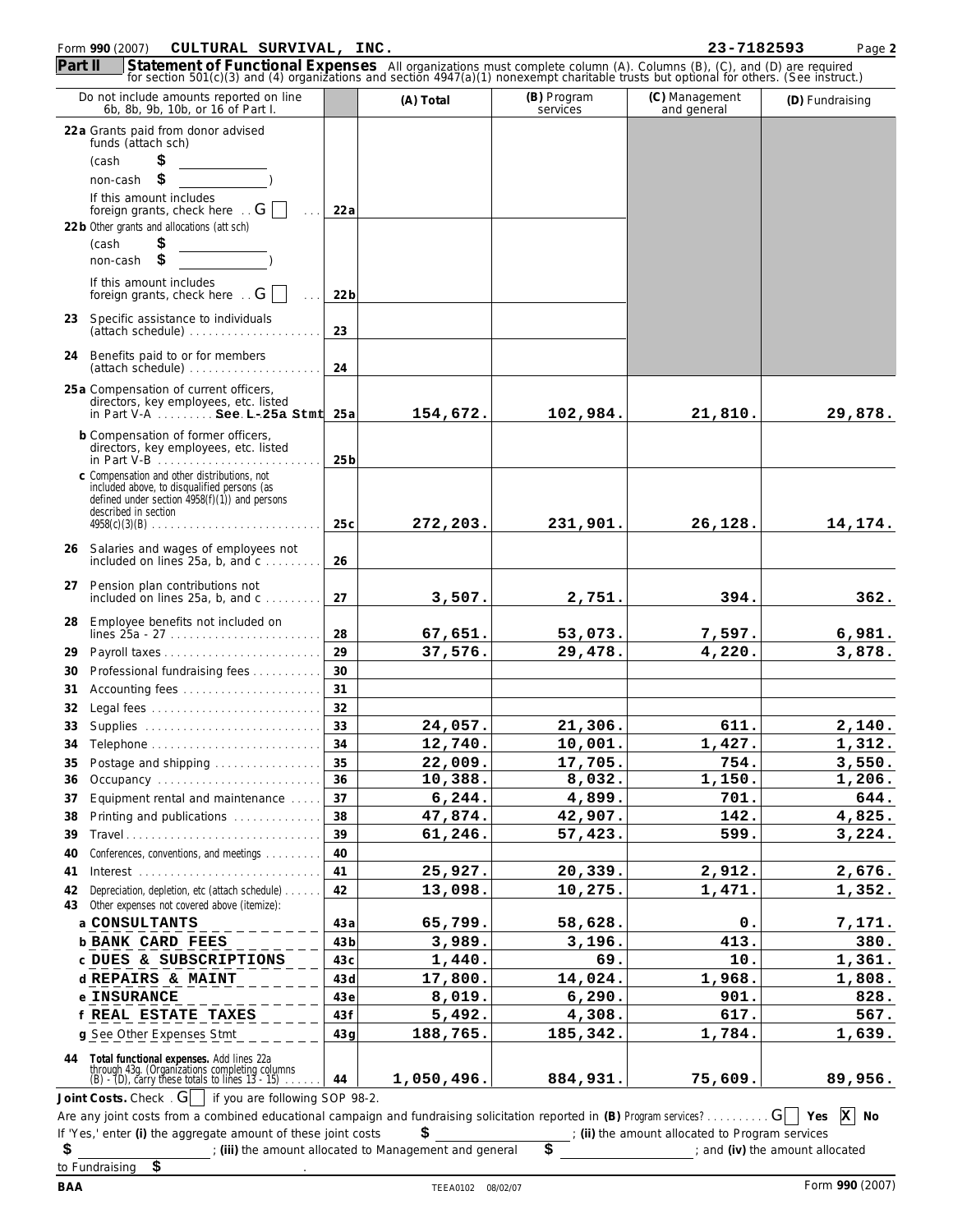## Form **990** (2007) Page **2 CULTURAL SURVIVAL, INC. 23-7182593**

|          | Do not include amounts reported on line<br>6b, 8b, 9b, 10b, or 16 of Part I.                                                                     |                 | (A) Total          | (B) Program<br>services | (C) Management<br>and general                 | (D) Fundraising       |
|----------|--------------------------------------------------------------------------------------------------------------------------------------------------|-----------------|--------------------|-------------------------|-----------------------------------------------|-----------------------|
|          | 22 a Grants paid from donor advised                                                                                                              |                 |                    |                         |                                               |                       |
|          | funds (attach sch)                                                                                                                               |                 |                    |                         |                                               |                       |
|          | \$<br>(cash                                                                                                                                      |                 |                    |                         |                                               |                       |
|          | \$<br>non-cash<br>If this amount includes                                                                                                        |                 |                    |                         |                                               |                       |
|          | foreign grants, check here $\overline{\phantom{a}}$ G                                                                                            | 22 a            |                    |                         |                                               |                       |
|          | 22 b Other grants and allocations (att sch)                                                                                                      |                 |                    |                         |                                               |                       |
|          | \$<br>(cash                                                                                                                                      |                 |                    |                         |                                               |                       |
|          | \$<br>non-cash                                                                                                                                   |                 |                    |                         |                                               |                       |
|          | If this amount includes<br>foreign grants, check here $\overline{G}$                                                                             | 22 <sub>b</sub> |                    |                         |                                               |                       |
| 23       | Specific assistance to individuals<br>(attach schedule)                                                                                          | 23              |                    |                         |                                               |                       |
|          | 24 Benefits paid to or for members<br>(attach schedule)                                                                                          | 24              |                    |                         |                                               |                       |
|          | 25 a Compensation of current officers,                                                                                                           |                 |                    |                         |                                               |                       |
|          | directors, key employees, etc. listed<br>in Part V-A $\ldots$ . See $L-25a$ Stmt $25a$                                                           |                 | 154,672.           | 102,984.                | 21,810.                                       | 29,878.               |
|          | b Compensation of former officers,                                                                                                               |                 |                    |                         |                                               |                       |
|          | directors, key employees, etc. listed<br>in Part V-B                                                                                             | 25 <sub>b</sub> |                    |                         |                                               |                       |
|          | c Compensation and other distributions, not<br>included above, to disqualified persons (as                                                       |                 |                    |                         |                                               |                       |
|          | defined under section $4958(f)(1)$ ) and persons                                                                                                 |                 |                    |                         |                                               |                       |
|          | described in section                                                                                                                             | 25c             | 272,203.           | 231,901.                | 26, 128.                                      | 14,174.               |
|          |                                                                                                                                                  |                 |                    |                         |                                               |                       |
|          | 26 Salaries and wages of employees not<br>included on lines $25a$ , b, and $c$                                                                   | 26              |                    |                         |                                               |                       |
|          | 27 Pension plan contributions not<br>included on lines $25a$ , b, and $c$                                                                        | 27              | 3,507.             | 2,751.                  | 394.                                          | 362.                  |
| 28       | Employee benefits not included on                                                                                                                |                 |                    |                         |                                               |                       |
|          | lines $25a - 27$                                                                                                                                 | 28              | 67,651.            | 53,073.                 | 7,597.                                        | 6,981.                |
| 29       |                                                                                                                                                  | 29              | 37,576.            | 29,478.                 | 4, 220.                                       | 3,878.                |
| 30       | Professional fundraising fees                                                                                                                    | 30              |                    |                         |                                               |                       |
| 31       | Accounting fees                                                                                                                                  | 31              |                    |                         |                                               |                       |
| 32       | Legal fees                                                                                                                                       | 32              |                    |                         |                                               |                       |
| 33       |                                                                                                                                                  | 33              | 24,057.            | 21,306.                 | 611.                                          | 2,140.                |
| 34       |                                                                                                                                                  | 34              | 12,740.            | 10,001.                 | 1,427.                                        | 1,312.                |
| 35       | Postage and shipping                                                                                                                             | 35              | 22,009.            | 17,705.                 | 754.                                          | 3,550.                |
| 36<br>37 | Occupancy<br>Equipment rental and maintenance                                                                                                    | 36<br>37        | 10,388.<br>6, 244. | 8,032.<br>4,899.        | 1,150.<br>701.                                | 1,206.<br>644.        |
| 38       | Printing and publications                                                                                                                        | 38              | 47,874.            | 42,907.                 | 142.                                          | 4,825.                |
| 39       | Travel                                                                                                                                           | 39              | 61,246.            | 57,423.                 | 599.                                          | 3,224.                |
| 40       | Conferences, conventions, and meetings                                                                                                           | 40              |                    |                         |                                               |                       |
| 41       |                                                                                                                                                  | 41              | 25,927.            | 20,339.                 | 2,912.                                        | 2,676.                |
| 42       | Depreciation, depletion, etc (attach schedule)                                                                                                   | 42              | 13,098.            | 10,275.                 | 1,471.                                        | 1,352.                |
| 43       | Other expenses not covered above (itemize):                                                                                                      |                 |                    |                         |                                               |                       |
|          | a CONSULTANTS                                                                                                                                    | 43 a            | 65,799.            | 58,628.                 | ο.                                            | 7,171.                |
|          | <b>b BANK CARD FEES</b>                                                                                                                          | 43b             | 3,989.             | 3,196.                  | 413.                                          | 380.                  |
|          | C DUES & SUBSCRIPTIONS                                                                                                                           | 43 c            | 1,440.             | 69.                     | 10.                                           | 1,361.                |
|          | d REPAIRS & MAINT                                                                                                                                | 43 d            | 17,800.            | 14,024.                 | 1,968.                                        | 1,808.                |
|          | e INSURANCE                                                                                                                                      | 43 e            | 8,019.             | 6, 290.                 | 901.                                          | 828.                  |
|          | f REAL ESTATE TAXES                                                                                                                              | 43 f            | 5,492.             | 4,308.                  | 617.                                          | 567.                  |
|          | g See Other Expenses Stmt                                                                                                                        | 43 g            | 188,765.           | 185,342.                | 1,784.                                        | 1,639.                |
|          | 44 Total functional expenses. Add lines 22a<br>through 43g. (Organizations completing columns<br>(B) - (D), carry these totals to lines 13 - 15) | 44              | 1,050,496.         | 884,931.                | 75,609.                                       | 89,956.               |
|          | Joint Costs. Check $\cdot$ G   if you are following SOP 98-2.                                                                                    |                 |                    |                         |                                               |                       |
|          | Are any joint costs from a combined educational campaign and fundraising solicitation reported in (B) Program services? $G \cap Y$ Yes           |                 |                    |                         |                                               | $\vert x \vert$<br>No |
|          | If 'Yes,' enter (i) the aggregate amount of these joint costs                                                                                    |                 | \$                 |                         | (ii) the amount allocated to Program services |                       |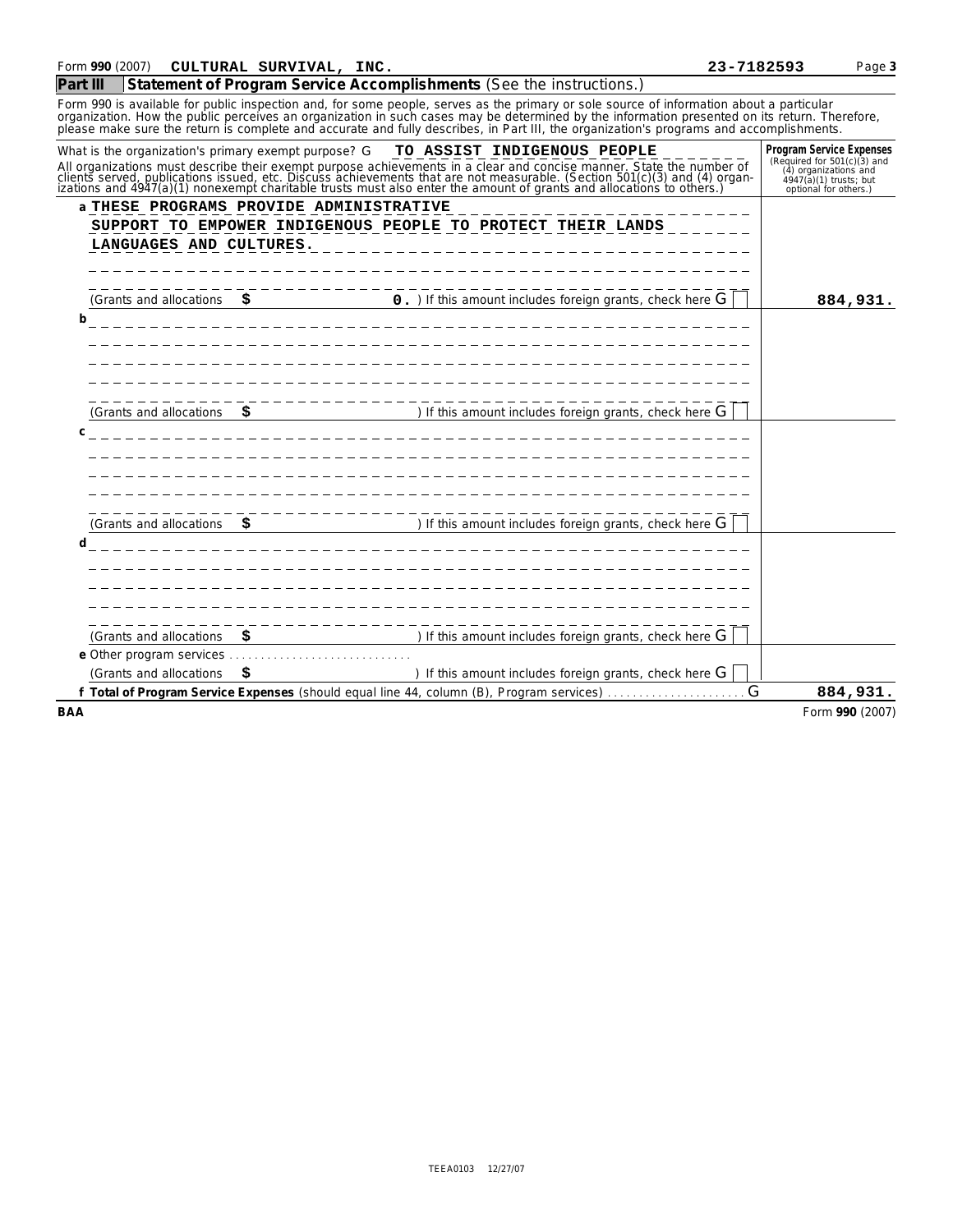|                                                      |                                         |                                                                                                           | Form 990 is available for public inspection and, for some people, serves as the primary or sole source of information about a particular<br>organization. How the public perceives an organization in such cases may be determined by the information presented on its return. Therefore,<br>please make sure the return is complete and accurate and fully describes, in Part III, the organization's programs and accomplishments. |                                                                                                                                     |
|------------------------------------------------------|-----------------------------------------|-----------------------------------------------------------------------------------------------------------|--------------------------------------------------------------------------------------------------------------------------------------------------------------------------------------------------------------------------------------------------------------------------------------------------------------------------------------------------------------------------------------------------------------------------------------|-------------------------------------------------------------------------------------------------------------------------------------|
| What is the organization's primary exempt purpose? G |                                         | TO ASSIST INDIGENOUS PEOPLE                                                                               | All organizations must describe their exempt purpose achievements in a clear and concise manner. State the number of clients served, publications issued, etc. Discuss achievements that are not measurable. (Section 501(c)(                                                                                                                                                                                                        | Program Service Expenses<br>(Required for 501(c)(3) and<br>(4) organizations and<br>4947(a)(1) trusts; but<br>optional for others.) |
| LANGUAGES AND CULTURES.                              | a THESE PROGRAMS PROVIDE ADMINISTRATIVE | SUPPORT TO EMPOWER INDIGENOUS PEOPLE TO PROTECT THEIR LANDS                                               |                                                                                                                                                                                                                                                                                                                                                                                                                                      |                                                                                                                                     |
| b                                                    |                                         | (Grants and allocations $\sharp$ 0.) If this amount includes foreign grants, check here G                 |                                                                                                                                                                                                                                                                                                                                                                                                                                      | 884,931.                                                                                                                            |
| C                                                    |                                         | (Grants and allocations $\sharp$ $\longrightarrow$ ) If this amount includes foreign grants, check here G |                                                                                                                                                                                                                                                                                                                                                                                                                                      |                                                                                                                                     |
| d                                                    |                                         | (Grants and allocations $\sharp$ $\longrightarrow$ ) If this amount includes foreign grants, check here G |                                                                                                                                                                                                                                                                                                                                                                                                                                      |                                                                                                                                     |
| (Grants and allocations)                             | -------------                           | ) If this amount includes foreign grants, check here ${\mathsf G}$                                        |                                                                                                                                                                                                                                                                                                                                                                                                                                      |                                                                                                                                     |
| (Grants and allocations                              | S.                                      |                                                                                                           | ) If this amount includes foreign grants, check here $G$                                                                                                                                                                                                                                                                                                                                                                             |                                                                                                                                     |
|                                                      |                                         |                                                                                                           |                                                                                                                                                                                                                                                                                                                                                                                                                                      | 884,931.                                                                                                                            |
| <b>BAA</b>                                           |                                         |                                                                                                           |                                                                                                                                                                                                                                                                                                                                                                                                                                      | Form 990 (2007)                                                                                                                     |

| 23-7182593 |  |  |
|------------|--|--|
|            |  |  |

# Form **990** (2007) Page **3 CULTURAL SURVIVAL, INC. 23-7182593**

**Part III Statement of Program Service Accomplishments** *(See the instructions.)*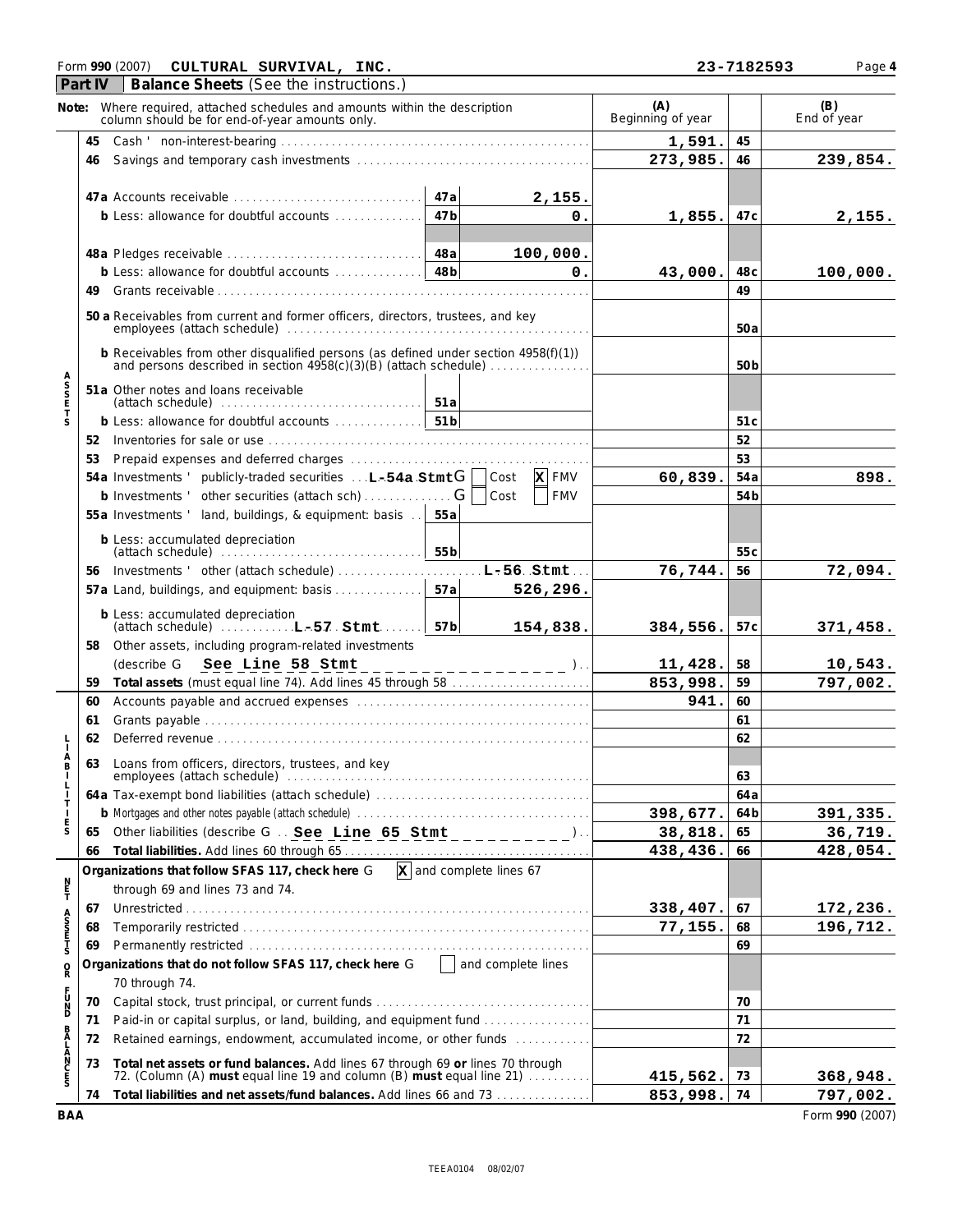### Form **990** (2007) Page **4 CULTURAL SURVIVAL, INC. 23-7182593**

| r |  |
|---|--|

|                                 | <b>Part IV</b> | Balance Sheets (See the instructions.)                                                                                                                                                                                         |                 |                                               |                          |                 |                    |
|---------------------------------|----------------|--------------------------------------------------------------------------------------------------------------------------------------------------------------------------------------------------------------------------------|-----------------|-----------------------------------------------|--------------------------|-----------------|--------------------|
| Note:                           |                | Where required, attached schedules and amounts within the description<br>column should be for end-of-year amounts only.                                                                                                        |                 |                                               | (A)<br>Beginning of year |                 | (B)<br>End of year |
|                                 | 45             |                                                                                                                                                                                                                                |                 |                                               | 1,591.                   | 45              |                    |
|                                 | 46             |                                                                                                                                                                                                                                |                 |                                               | 273,985.                 | 46              | 239,854.           |
|                                 |                |                                                                                                                                                                                                                                |                 |                                               |                          |                 |                    |
|                                 |                | 47a Accounts receivable                                                                                                                                                                                                        | 47a             | 2,155.                                        |                          |                 |                    |
|                                 |                | b Less: allowance for doubtful accounts                                                                                                                                                                                        | 47 <sub>b</sub> | 0.                                            | 1,855.                   | 47 <sub>c</sub> | 2,155.             |
|                                 |                |                                                                                                                                                                                                                                |                 |                                               |                          |                 |                    |
|                                 |                |                                                                                                                                                                                                                                | 48a             | 100,000.                                      |                          |                 |                    |
|                                 |                | b Less: allowance for doubtful accounts                                                                                                                                                                                        | 48 <sub>b</sub> | $\mathbf 0$ .                                 | 43,000.                  | 48 <sub>c</sub> | 100,000.           |
|                                 | 49             |                                                                                                                                                                                                                                |                 |                                               |                          | 49              |                    |
|                                 |                | 50 a Receivables from current and former officers, directors, trustees, and key                                                                                                                                                |                 |                                               |                          | 50a             |                    |
|                                 |                | b Receivables from other disqualified persons (as defined under section 4958(f)(1))<br>and persons described in section 4958(c)(3)(B) (attach schedule)                                                                        |                 |                                               |                          | 50 <sub>b</sub> |                    |
| A<br>S<br>S<br>E<br>T           |                | 51a Other notes and loans receivable                                                                                                                                                                                           |                 |                                               |                          |                 |                    |
|                                 |                |                                                                                                                                                                                                                                |                 |                                               |                          |                 |                    |
| S                               |                |                                                                                                                                                                                                                                |                 |                                               |                          | 51 <sub>c</sub> |                    |
|                                 |                |                                                                                                                                                                                                                                |                 |                                               |                          | 52              |                    |
|                                 | 53             |                                                                                                                                                                                                                                |                 |                                               |                          | 53              |                    |
|                                 |                | 54a Investments ' publicly-traded securities $\ldots$ <b>L-54a Stmt G</b>                                                                                                                                                      |                 | <b>X</b> FMV<br>Cost                          | 60,839.                  | 54a             | 898.               |
|                                 |                | b Investments ' other securities (attach sch) $\ldots$ G                                                                                                                                                                       |                 | Cost<br><b>FMV</b>                            |                          | 54 <sub>b</sub> |                    |
|                                 |                | 55a Investments ' land, buildings, & equipment: basis                                                                                                                                                                          | 55a             |                                               |                          |                 |                    |
|                                 |                | b Less: accumulated depreciation                                                                                                                                                                                               | 55 <sub>b</sub> |                                               |                          | 55c             |                    |
|                                 |                | 56 Investments ' other (attach schedule)                                                                                                                                                                                       |                 | $L - 56$ Stmt.                                | 76,744.                  | 56              | 72,094.            |
|                                 |                | 57a Land, buildings, and equipment: basis                                                                                                                                                                                      | 57a             | 526, 296.                                     |                          |                 |                    |
|                                 |                | b Less: accumulated depreciation<br>$(attach schedule)$ $L-57$ $Stmt$                                                                                                                                                          | 57 <sub>b</sub> | 154,838.                                      | 384,556.                 | 57 <sub>c</sub> | 371,458.           |
|                                 |                | 58 Other assets, including program-related investments                                                                                                                                                                         |                 |                                               |                          |                 |                    |
|                                 |                | (describe G See Line 58 Stmt                                                                                                                                                                                                   |                 | - – – – – – – – – – ). .                      | 11,428.                  | 58              | 10,543.            |
|                                 | 59             | Total assets (must equal line 74). Add lines 45 through 58                                                                                                                                                                     |                 |                                               | 853,998.                 | 59              | 797,002.           |
|                                 | 60             | Accounts payable and accrued expenses manufactured expenses and accrue and accrue expenses of the set of the set of the set of the set of the set of the set of the set of the set of the set of the set of the set of the set |                 |                                               | 941.                     | 60              |                    |
|                                 | 61             |                                                                                                                                                                                                                                |                 |                                               |                          | 61              |                    |
|                                 | 62             |                                                                                                                                                                                                                                |                 |                                               |                          | 62              |                    |
| A<br>B                          | 63             | Loans from officers, directors, trustees, and key                                                                                                                                                                              |                 |                                               |                          |                 |                    |
|                                 |                |                                                                                                                                                                                                                                |                 |                                               |                          | 63              |                    |
| $\mathbf{I}$                    |                |                                                                                                                                                                                                                                |                 |                                               |                          | 64 a            |                    |
| Т<br>-1                         |                | b Mortgages and other notes payable (attach schedule) Allen Communications and control of the Mortgages and other notes payable (attach schedule) Allen Communications and the Mortgages and other notes by an amount of Mortg |                 |                                               | 398,677.                 | 64 b            | 391,335.           |
| $_{\rm S}^{\rm E}$              | 65             |                                                                                                                                                                                                                                |                 |                                               | 38,818.                  | 65              | 36,719.            |
|                                 | 66             |                                                                                                                                                                                                                                |                 |                                               | 438,436.                 | 66              | 428,054.           |
|                                 |                | Organizations that follow SFAS 117, check here G                                                                                                                                                                               |                 | $\overline{\mathbf{x}}$ and complete lines 67 |                          |                 |                    |
| $\frac{N}{T}$                   |                | through 69 and lines 73 and 74.                                                                                                                                                                                                |                 |                                               |                          |                 |                    |
|                                 | 67             |                                                                                                                                                                                                                                |                 |                                               | 338,407.                 | 67              | 172,236.           |
| A<br>S<br>S<br>T<br>S<br>T<br>S | 68             |                                                                                                                                                                                                                                |                 | 77, 155.                                      | 68                       | 196,712.        |                    |
|                                 | 69             |                                                                                                                                                                                                                                |                 |                                               |                          | 69              |                    |
| $\rm _R^O$                      |                | Organizations that do not follow SFAS 117, check here G                                                                                                                                                                        |                 | and complete lines                            |                          |                 |                    |
|                                 |                | 70 through 74.                                                                                                                                                                                                                 |                 |                                               |                          |                 |                    |
| F<br>D<br>D<br>D                | 70             |                                                                                                                                                                                                                                |                 |                                               |                          | 70              |                    |
|                                 | 71             | Paid-in or capital surplus, or land, building, and equipment fund                                                                                                                                                              |                 |                                               |                          | 71              |                    |
| B                               | 72             | Retained earnings, endowment, accumulated income, or other funds                                                                                                                                                               |                 |                                               |                          | 72              |                    |
| ALANCES                         |                |                                                                                                                                                                                                                                |                 |                                               |                          |                 |                    |
|                                 | 73             | Total net assets or fund balances. Add lines 67 through 69 or lines 70 through<br>72. (Column (A) must equal line 19 and column (B) must equal line 21)                                                                        |                 |                                               | 415,562.                 | 73              | 368,948.           |
|                                 | 74             | Total liabilities and net assets/fund balances. Add lines 66 and 73                                                                                                                                                            | 853,998. 74     |                                               | 797,002.                 |                 |                    |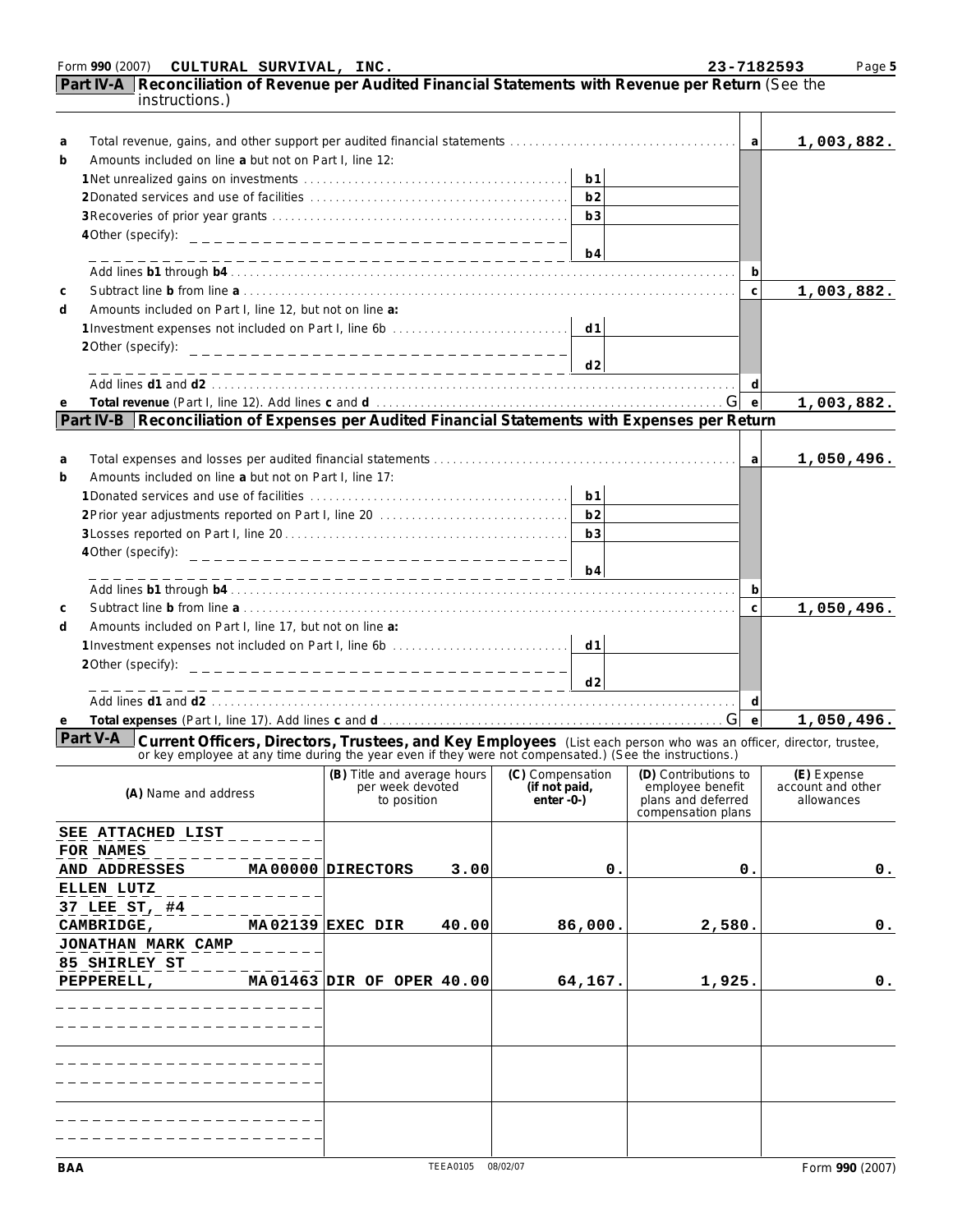|             | Form 990 (2007)                                                                                                                | CULTURAL SURVIVAL, INC. |                                    |       |                               |                | 23-7182593                                                                                                                                                                                                                |                                 | Page 5         |
|-------------|--------------------------------------------------------------------------------------------------------------------------------|-------------------------|------------------------------------|-------|-------------------------------|----------------|---------------------------------------------------------------------------------------------------------------------------------------------------------------------------------------------------------------------------|---------------------------------|----------------|
|             | Part IV-A Reconciliation of Revenue per Audited Financial Statements with Revenue per Return (See the<br><i>instructions.)</i> |                         |                                    |       |                               |                |                                                                                                                                                                                                                           |                                 |                |
| a           |                                                                                                                                |                         |                                    |       |                               |                | a                                                                                                                                                                                                                         |                                 | 1,003,882.     |
| b           | Amounts included on line a but not on Part I, line 12:                                                                         |                         |                                    |       |                               |                |                                                                                                                                                                                                                           |                                 |                |
|             |                                                                                                                                |                         |                                    |       |                               | b1             |                                                                                                                                                                                                                           |                                 |                |
|             |                                                                                                                                |                         |                                    |       |                               | h <sub>2</sub> |                                                                                                                                                                                                                           |                                 |                |
|             |                                                                                                                                |                         |                                    |       |                               | b3             |                                                                                                                                                                                                                           |                                 |                |
|             | 4 Other (specify):                                                                                                             |                         | __________________________________ |       |                               |                |                                                                                                                                                                                                                           |                                 |                |
|             |                                                                                                                                |                         |                                    |       |                               | b4             |                                                                                                                                                                                                                           |                                 |                |
|             |                                                                                                                                |                         |                                    |       |                               |                | b                                                                                                                                                                                                                         |                                 |                |
| $\mathsf C$ |                                                                                                                                |                         |                                    |       |                               |                | $\mathsf{C}$                                                                                                                                                                                                              |                                 | 1,003,882.     |
| d           | Amounts included on Part I, line 12, but not on line a:                                                                        |                         |                                    |       |                               |                |                                                                                                                                                                                                                           |                                 |                |
|             |                                                                                                                                |                         |                                    |       |                               |                |                                                                                                                                                                                                                           |                                 |                |
|             | 2Other (specify):                                                                                                              |                         | __________________________________ |       |                               |                |                                                                                                                                                                                                                           |                                 |                |
|             |                                                                                                                                |                         |                                    |       |                               | d2             |                                                                                                                                                                                                                           |                                 |                |
|             |                                                                                                                                |                         |                                    |       |                               |                | d                                                                                                                                                                                                                         |                                 |                |
| e           |                                                                                                                                |                         |                                    |       |                               |                | $\mathsf{e}$                                                                                                                                                                                                              |                                 | 1,003,882.     |
|             | Part IV-B Reconciliation of Expenses per Audited Financial Statements with Expenses per Return                                 |                         |                                    |       |                               |                |                                                                                                                                                                                                                           |                                 |                |
|             |                                                                                                                                |                         |                                    |       |                               |                |                                                                                                                                                                                                                           |                                 |                |
| a           |                                                                                                                                |                         |                                    |       |                               |                | a                                                                                                                                                                                                                         |                                 | 1,050,496.     |
| b           | Amounts included on line a but not on Part I. line 17:                                                                         |                         |                                    |       |                               |                |                                                                                                                                                                                                                           |                                 |                |
|             |                                                                                                                                |                         |                                    |       |                               | b1             |                                                                                                                                                                                                                           |                                 |                |
|             |                                                                                                                                |                         |                                    |       |                               |                |                                                                                                                                                                                                                           |                                 |                |
|             |                                                                                                                                |                         |                                    |       |                               | b3             |                                                                                                                                                                                                                           |                                 |                |
|             | 4 Other (specify):                                                                                                             |                         | __________________________________ |       |                               |                |                                                                                                                                                                                                                           |                                 |                |
|             |                                                                                                                                |                         |                                    |       |                               | b4             |                                                                                                                                                                                                                           |                                 |                |
|             |                                                                                                                                |                         |                                    |       |                               |                | b                                                                                                                                                                                                                         |                                 |                |
| C           |                                                                                                                                |                         |                                    |       |                               |                | $\mathsf{C}$                                                                                                                                                                                                              |                                 | 1,050,496.     |
| d           | Amounts included on Part I, line 17, but not on line a:                                                                        |                         |                                    |       |                               |                |                                                                                                                                                                                                                           |                                 |                |
|             | 2Other (specify):                                                                                                              |                         |                                    |       |                               |                |                                                                                                                                                                                                                           |                                 |                |
|             |                                                                                                                                |                         | __________________________________ |       |                               | d2             |                                                                                                                                                                                                                           |                                 |                |
|             |                                                                                                                                |                         |                                    |       |                               |                | d                                                                                                                                                                                                                         |                                 |                |
| e           |                                                                                                                                |                         |                                    |       |                               |                | $\mathbf{e}$                                                                                                                                                                                                              |                                 | 1,050,496.     |
|             | Part V-A                                                                                                                       |                         |                                    |       |                               |                |                                                                                                                                                                                                                           |                                 |                |
|             |                                                                                                                                |                         |                                    |       |                               |                | Current Officers, Directors, Trustees, and Key Employees (List each person who was an officer, director, trustee, or key employee at any time during the year even if they were not compensated.) (See the instructions.) |                                 |                |
|             |                                                                                                                                |                         | (B) Title and average hours        |       | (C) Compensation              |                | (D) Contributions to                                                                                                                                                                                                      | (E) Expense                     |                |
|             | (A) Name and address                                                                                                           |                         | per week devoted<br>to position    |       | (if not paid,<br>$enter - 0-$ |                | employee benefit<br>plans and deferred                                                                                                                                                                                    | account and other<br>allowances |                |
|             |                                                                                                                                |                         |                                    |       |                               |                | compensation plans                                                                                                                                                                                                        |                                 |                |
|             | SEE ATTACHED LIST                                                                                                              |                         |                                    |       |                               |                |                                                                                                                                                                                                                           |                                 |                |
|             | FOR NAMES                                                                                                                      |                         |                                    |       |                               |                |                                                                                                                                                                                                                           |                                 |                |
|             | AND ADDRESSES                                                                                                                  |                         | MA00000 DIRECTORS                  | 3.00  |                               | 0.             | 0.                                                                                                                                                                                                                        |                                 | $\mathbf{0}$ . |
|             | ELLEN LUTZ                                                                                                                     |                         |                                    |       |                               |                |                                                                                                                                                                                                                           |                                 |                |
|             | 37 LEE ST, #4                                                                                                                  |                         |                                    |       |                               |                |                                                                                                                                                                                                                           |                                 |                |
|             | CAMBRIDGE,                                                                                                                     |                         | MA02139 EXEC DIR                   | 40.00 |                               | 86,000.        | 2,580.                                                                                                                                                                                                                    |                                 | 0.             |
|             | JONATHAN MARK CAMP                                                                                                             |                         |                                    |       |                               |                |                                                                                                                                                                                                                           |                                 |                |
|             | 85 SHIRLEY ST                                                                                                                  |                         |                                    |       |                               |                |                                                                                                                                                                                                                           |                                 |                |
|             | PEPPERELL,                                                                                                                     |                         | MA01463 DIR OF OPER 40.00          |       |                               | 64,167.        | 1,925.                                                                                                                                                                                                                    |                                 | $\mathbf 0$ .  |
|             |                                                                                                                                |                         |                                    |       |                               |                |                                                                                                                                                                                                                           |                                 |                |
|             |                                                                                                                                |                         |                                    |       |                               |                |                                                                                                                                                                                                                           |                                 |                |
|             |                                                                                                                                |                         |                                    |       |                               |                |                                                                                                                                                                                                                           |                                 |                |
|             |                                                                                                                                |                         |                                    |       |                               |                |                                                                                                                                                                                                                           |                                 |                |
|             |                                                                                                                                |                         |                                    |       |                               |                |                                                                                                                                                                                                                           |                                 |                |
|             |                                                                                                                                |                         |                                    |       |                               |                |                                                                                                                                                                                                                           |                                 |                |
|             |                                                                                                                                |                         |                                    |       |                               |                |                                                                                                                                                                                                                           |                                 |                |
|             |                                                                                                                                |                         |                                    |       |                               |                |                                                                                                                                                                                                                           |                                 |                |
|             |                                                                                                                                |                         |                                    |       |                               |                |                                                                                                                                                                                                                           |                                 |                |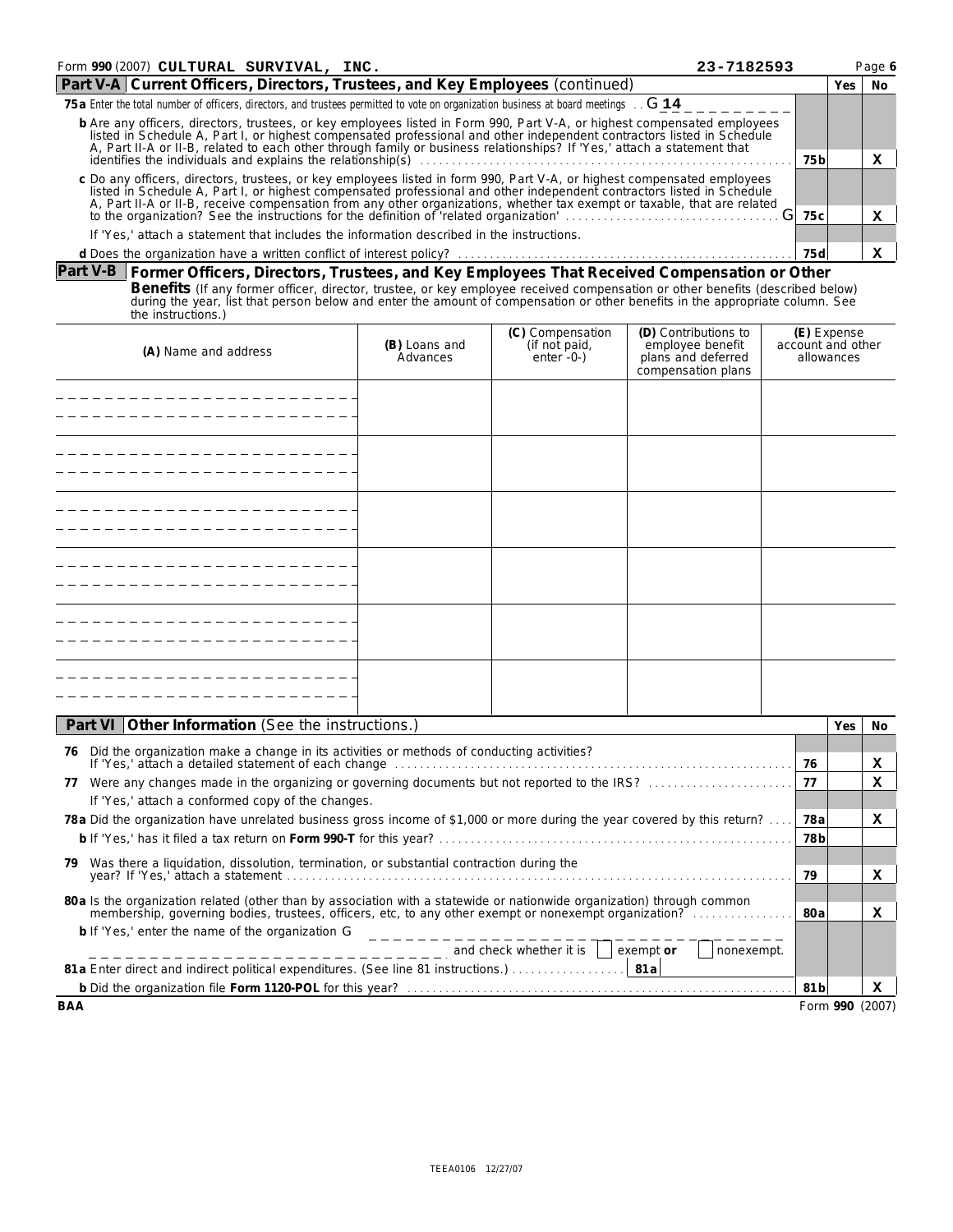| Form 990 (2007) CULTURAL SURVIVAL, INC.<br>23-7182593                                                                                                                                                                                                                                                                                                                         |      |  |  |  |  |  |
|-------------------------------------------------------------------------------------------------------------------------------------------------------------------------------------------------------------------------------------------------------------------------------------------------------------------------------------------------------------------------------|------|--|--|--|--|--|
| Part V-A Current Officers, Directors, Trustees, and Key Employees (continued)                                                                                                                                                                                                                                                                                                 |      |  |  |  |  |  |
| 75 a Enter the total number of officers, directors, and trustees permitted to vote on organization business at board meetings G 14                                                                                                                                                                                                                                            |      |  |  |  |  |  |
| b Are any officers, directors, trustees, or key employees listed in Form 990, Part V-A, or highest compensated employees<br>listed in Schedule A, Part I, or highest compensated professional and other independent contractors listed in Schedule                                                                                                                            |      |  |  |  |  |  |
| A, Part II-A or II-B, related to each other through family or business relationships? If 'Yes,' attach a statement that<br>identifies the individuals and explains the relationship(s)                                                                                                                                                                                        |      |  |  |  |  |  |
| c Do any officers, directors, trustees, or key employees listed in form 990, Part V-A, or highest compensated employees<br>listed in Schedule A, Part I, or highest compensated professional and other independent contractors listed in Schedule<br>A, Part II-A or II-B, receive compensation from any other organizations, whether tax exempt or taxable, that are related |      |  |  |  |  |  |
| to the organization? See the instructions for the definition of related organization                                                                                                                                                                                                                                                                                          | 75 c |  |  |  |  |  |
| If 'Yes,' attach a statement that includes the information described in the instructions.                                                                                                                                                                                                                                                                                     |      |  |  |  |  |  |
|                                                                                                                                                                                                                                                                                                                                                                               | 75 d |  |  |  |  |  |

# **Part V-B Former Officers, Directors, Trustees, and Key Employees That Received Compensation or Other** Benefits (If any former officer, director, trustee, or key employee received compensation or other benefits (described below)<br>during the year, list that person below and enter the amount of compensation or other benefits i the instructions.)

| (A) Name and address | (B) Loans and<br>Advances | (C) Compensation<br>(if not paid,<br>enter -0-) | (D) Contributions to<br>employee benefit<br>plans and deferred<br>compensation plans | (E) Expense<br>account and other<br>allowances |
|----------------------|---------------------------|-------------------------------------------------|--------------------------------------------------------------------------------------|------------------------------------------------|
|                      |                           |                                                 |                                                                                      |                                                |
|                      |                           |                                                 |                                                                                      |                                                |
|                      |                           |                                                 |                                                                                      |                                                |
|                      |                           |                                                 |                                                                                      |                                                |
|                      |                           |                                                 |                                                                                      |                                                |
|                      |                           |                                                 |                                                                                      |                                                |
|                      |                           |                                                 |                                                                                      |                                                |
|                      |                           |                                                 |                                                                                      |                                                |
|                      |                           |                                                 |                                                                                      |                                                |
|                      |                           |                                                 |                                                                                      |                                                |
|                      |                           |                                                 |                                                                                      |                                                |
|                      |                           |                                                 |                                                                                      |                                                |

| Part VI Other Information (See the instructions.)                                                                                              |                 | Yes.            | No. |
|------------------------------------------------------------------------------------------------------------------------------------------------|-----------------|-----------------|-----|
| Did the organization make a change in its activities or methods of conducting activities?<br>76                                                |                 |                 |     |
|                                                                                                                                                | 76              |                 | x   |
| Were any changes made in the organizing or governing documents but not reported to the IRS?<br>77                                              | 77              |                 | x   |
| If 'Yes,' attach a conformed copy of the changes.                                                                                              |                 |                 |     |
| 78 a Did the organization have unrelated business gross income of \$1,000 or more during the year covered by this return?                      | 78a             |                 | x   |
|                                                                                                                                                | 78 <sub>b</sub> |                 |     |
| Was there a liquidation, dissolution, termination, or substantial contraction during the<br>79.                                                |                 |                 |     |
|                                                                                                                                                | 79              |                 | x   |
| 80 a Is the organization related (other than by association with a statewide or nationwide organization) through common                        |                 |                 |     |
| membership, governing bodies, trustees, officers, etc, to any other exempt or nonexempt organization?                                          | 80a             |                 | x   |
| b If 'Yes,' enter the name of the organization G                                                                                               |                 |                 |     |
| $\frac{1}{1}$ = $\frac{1}{2}$ = $\frac{1}{2}$ = $\frac{1}{2}$ = $\frac{1}{2}$ and check whether it is $\frac{1}{2}$<br>exempt or<br>nonexempt. |                 |                 |     |
|                                                                                                                                                |                 |                 |     |
|                                                                                                                                                | 81 <sub>b</sub> |                 | x   |
| BAA                                                                                                                                            |                 | Form 990 (2007) |     |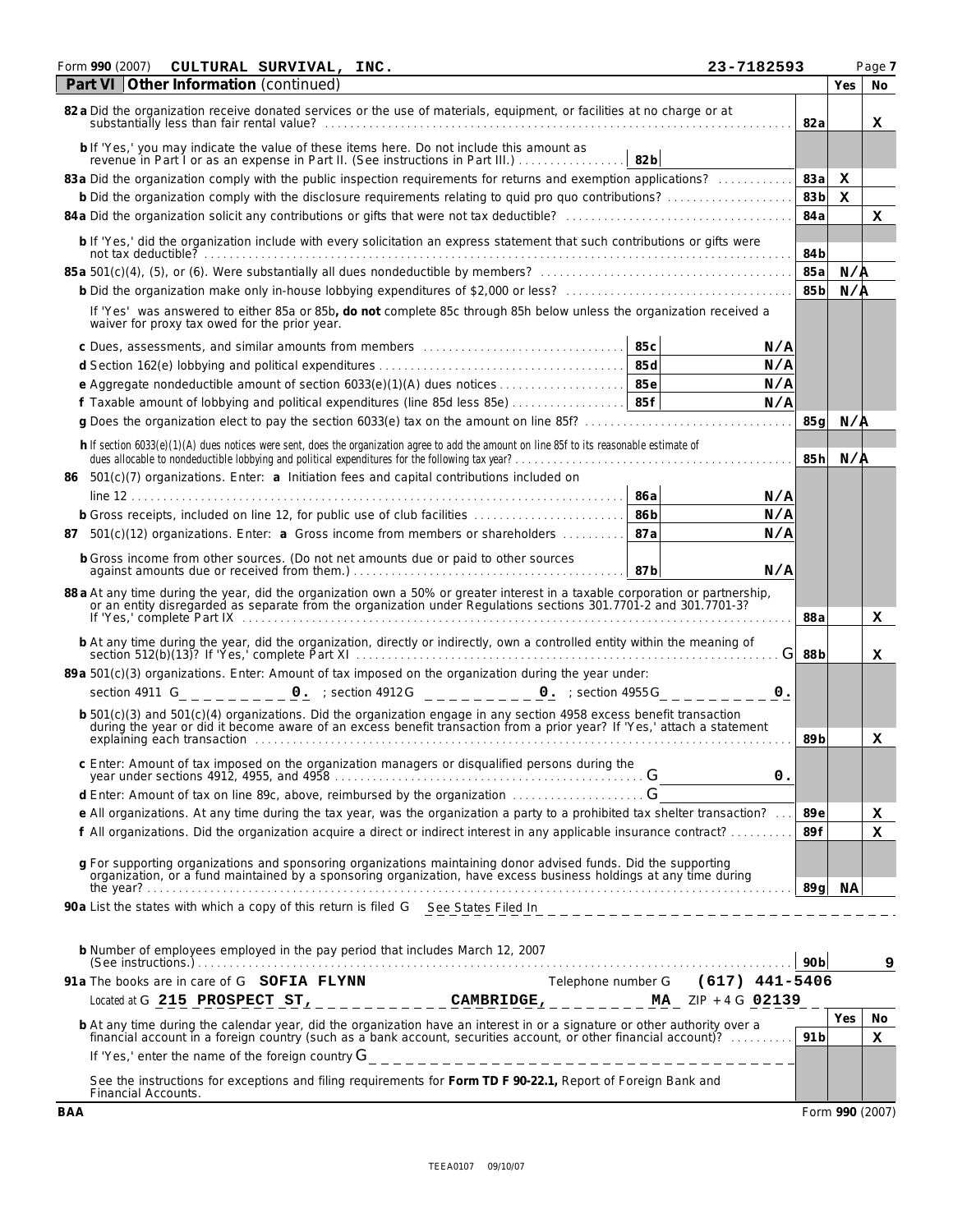| Form 990 (2007)                               | CULTURAL SURVIVAL, INC. | 23-7182593                                                                                                                                                                                                                                      |                 |     | Page 7 |
|-----------------------------------------------|-------------------------|-------------------------------------------------------------------------------------------------------------------------------------------------------------------------------------------------------------------------------------------------|-----------------|-----|--------|
| Part VI Other Information (continued)         |                         |                                                                                                                                                                                                                                                 |                 | Yes | No     |
|                                               |                         | 82 a Did the organization receive donated services or the use of materials, equipment, or facilities at no charge or at                                                                                                                         | 82a             |     | x      |
|                                               |                         | b If 'Yes,' you may indicate the value of these items here. Do not include this amount as<br>revenue in Part 1 or as an expense in Part II. (See instructions in Part III.)<br>82 <sub>b</sub>                                                  |                 |     |        |
|                                               |                         | 83 a Did the organization comply with the public inspection requirements for returns and exemption applications?                                                                                                                                | 83a             | x   |        |
|                                               |                         | b Did the organization comply with the disclosure requirements relating to quid pro quo contributions?                                                                                                                                          | 83b             | x   |        |
|                                               |                         |                                                                                                                                                                                                                                                 | 84a             |     | x      |
|                                               |                         | b If 'Yes,' did the organization include with every solicitation an express statement that such contributions or gifts were                                                                                                                     | 84b             |     |        |
|                                               |                         |                                                                                                                                                                                                                                                 | 85a             | N/A |        |
|                                               |                         |                                                                                                                                                                                                                                                 | 85b             | N/A |        |
| waiver for proxy tax owed for the prior year. |                         | If 'Yes' was answered to either 85a or 85b, do not complete 85c through 85h below unless the organization received a                                                                                                                            |                 |     |        |
|                                               |                         | 85c<br>N/A                                                                                                                                                                                                                                      |                 |     |        |
|                                               |                         | 85d<br>N/A                                                                                                                                                                                                                                      |                 |     |        |
|                                               |                         | 85e<br>N/A                                                                                                                                                                                                                                      |                 |     |        |
|                                               |                         | f Taxable amount of lobbying and political expenditures (line 85d less 85e)<br>85f<br>N/A                                                                                                                                                       |                 |     |        |
|                                               |                         | g Does the organization elect to pay the section 6033(e) tax on the amount on line 85f?                                                                                                                                                         | 85q             | N/A |        |
|                                               |                         | h If section 6033(e)(1)(A) dues notices were sent, does the organization agree to add the amount on line 85f to its reasonable estimate of<br>dues allocable to nondeductible lobbying and political expenditures for the following tax year? . | 85h             | N/A |        |
|                                               |                         | 86 501(c)(7) organizations. Enter: a Initiation fees and capital contributions included on                                                                                                                                                      |                 |     |        |
|                                               |                         | 86a<br>N/A                                                                                                                                                                                                                                      |                 |     |        |
|                                               |                         | 86b<br>b Gross receipts, included on line 12, for public use of club facilities<br>N/A                                                                                                                                                          |                 |     |        |
|                                               |                         | 87a<br>87 501(c)(12) organizations. Enter: a Gross income from members or shareholders<br>N/A                                                                                                                                                   |                 |     |        |
|                                               |                         | b Gross income from other sources. (Do not net amounts due or paid to other sources<br>87b<br>N/A                                                                                                                                               |                 |     |        |
|                                               |                         | 88 a At any time during the year, did the organization own a 50% or greater interest in a taxable corporation or partnership, or an entity disregarded as separate from the organization under Regulations sections 301.7701-2                  | 88a             |     | x      |
|                                               |                         | b At any time during the year, did the organization, directly or indirectly, own a controlled entity within the meaning of section 512(b)(13)? If 'Yes,' complete Part XI<br>G                                                                  | 88b             |     | x      |
|                                               |                         | 89 a 501(c)(3) organizations. Enter: Amount of tax imposed on the organization during the year under:                                                                                                                                           |                 |     |        |
|                                               |                         | $\mathfrak{o}$ .                                                                                                                                                                                                                                |                 |     |        |
|                                               |                         |                                                                                                                                                                                                                                                 |                 |     |        |
|                                               |                         | b 501(c)(3) and 501(c)(4) organizations. Did the organization engage in any section 4958 excess benefit transaction<br>during the year or did it become aware of an excess benefit transaction from a prior year? If 'Yes,' attac               | 89b             |     | х      |
|                                               |                         | c Enter: Amount of tax imposed on the organization managers or disqualified persons during the<br>О.                                                                                                                                            |                 |     |        |
|                                               |                         | d Enter: Amount of tax on line 89c, above, reimbursed by the organization                                                                                                                                                                       |                 |     |        |
|                                               |                         | e All organizations. At any time during the tax year, was the organization a party to a prohibited tax shelter transaction?                                                                                                                     | 89e             |     | х      |
|                                               |                         | f All organizations. Did the organization acquire a direct or indirect interest in any applicable insurance contract?                                                                                                                           | 89f             |     | x      |
|                                               |                         | g For supporting organizations and sponsoring organizations maintaining donor advised funds. Did the supporting<br>organization, or a fund maintained by a sponsoring organization, have excess business holdings at any time during            |                 |     |        |
|                                               |                         | 90a List the states with which a copy of this return is filed G See States Filed In                                                                                                                                                             | 89 a            | NA  |        |
|                                               |                         |                                                                                                                                                                                                                                                 |                 |     |        |
|                                               |                         | b Number of employees employed in the pay period that includes March 12, 2007<br>$(See$ instructions.)                                                                                                                                          | 90 <sub>b</sub> |     | 9      |
| 91a The books are in care of G SOFIA FLYNN    |                         | Telephone number G (617) 441-5406                                                                                                                                                                                                               |                 |     |        |
|                                               |                         | Located at G 215 PROSPECT ST, ____________CAMBRIDGE, ________ MA_ ZIP + 4 G 02139                                                                                                                                                               |                 |     |        |
|                                               |                         | b At any time during the calendar year, did the organization have an interest in or a signature or other authority over a financial account in a foreign country (such as a bank account, securities account, or other financi                  |                 | Yes | No.    |
|                                               |                         |                                                                                                                                                                                                                                                 | 91 <sub>b</sub> |     | x      |
|                                               |                         |                                                                                                                                                                                                                                                 |                 |     |        |
| Financial Accounts.                           |                         | See the instructions for exceptions and filing requirements for Form TD F 90-22.1, Report of Foreign Bank and                                                                                                                                   |                 |     |        |

**BAA** Form **990** (2007)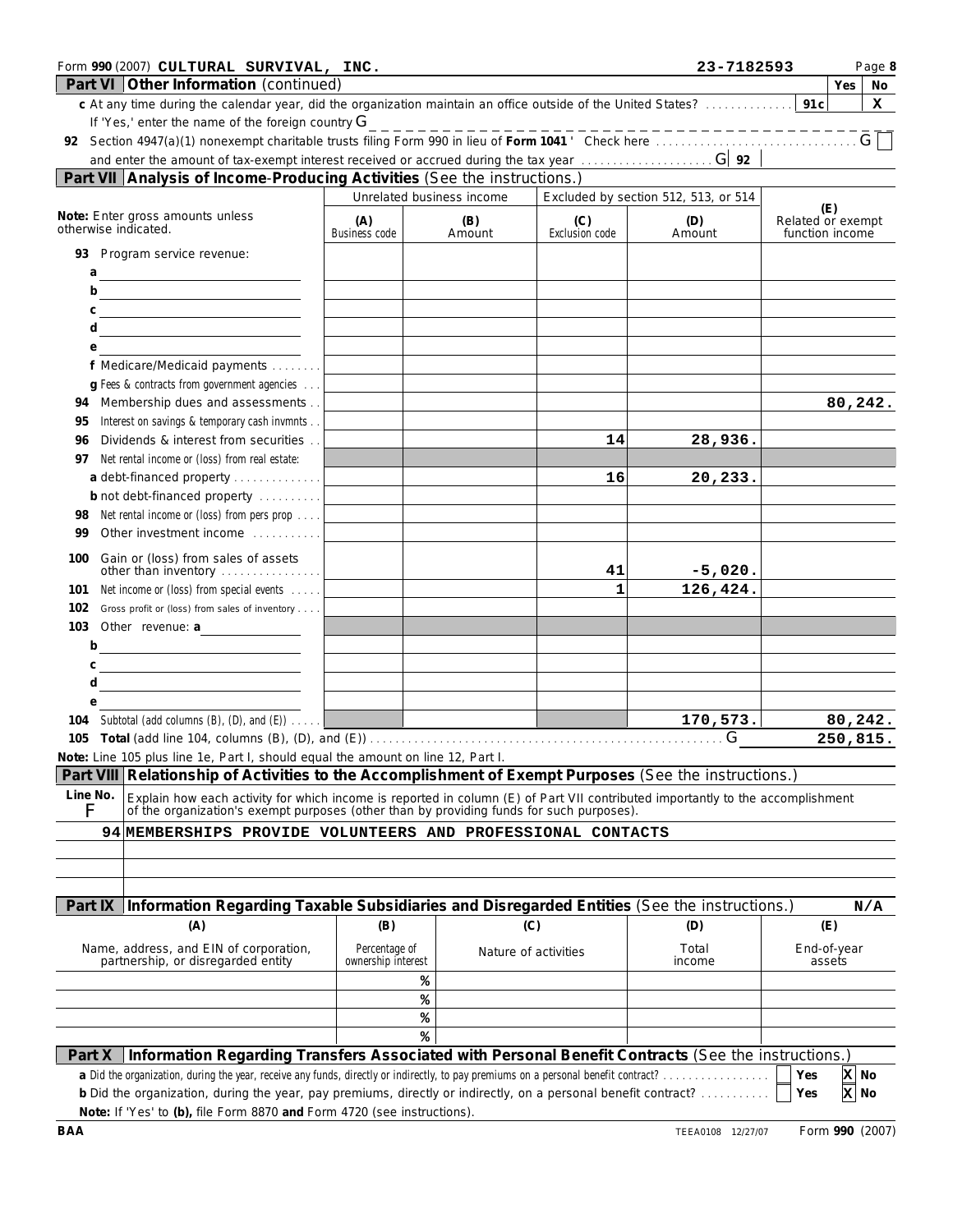| Form 990 (2007) CULTURAL SURVIVAL, INC.<br>Part VI Other Information (continued)                                                                                                                                             |                                     |                           |                              | 23-7182593                           | Page 8<br>Yes<br>No                         |
|------------------------------------------------------------------------------------------------------------------------------------------------------------------------------------------------------------------------------|-------------------------------------|---------------------------|------------------------------|--------------------------------------|---------------------------------------------|
| c At any time during the calendar year, did the organization maintain an office outside of the United States?                                                                                                                |                                     |                           |                              |                                      | 91c<br>x                                    |
| If 'Yes,' enter the name of the foreign country $G$                                                                                                                                                                          |                                     |                           |                              |                                      |                                             |
|                                                                                                                                                                                                                              |                                     |                           |                              |                                      | $G$ $\Box$                                  |
| Part VII Analysis of Income-Producing Activities (See the instructions.)                                                                                                                                                     |                                     |                           |                              |                                      |                                             |
|                                                                                                                                                                                                                              |                                     | Unrelated business income |                              | Excluded by section 512, 513, or 514 |                                             |
| Note: Enter gross amounts unless<br>otherwise indicated.                                                                                                                                                                     | (A)<br><b>Business code</b>         | (B)<br>Amount             | (C)<br><b>Exclusion code</b> | (D)<br>Amount                        | (E)<br>Related or exempt<br>function income |
| 93 Program service revenue:<br>a                                                                                                                                                                                             |                                     |                           |                              |                                      |                                             |
| b<br><u> 1989 - Johann Barn, mars eta inperiodo</u>                                                                                                                                                                          |                                     |                           |                              |                                      |                                             |
| С<br><u> 1980 - Johann Barbara, martin a</u>                                                                                                                                                                                 |                                     |                           |                              |                                      |                                             |
| d<br><u> 1989 - Johann Barn, amerikansk politiker (</u>                                                                                                                                                                      |                                     |                           |                              |                                      |                                             |
| е<br>f Medicare/Medicaid payments                                                                                                                                                                                            |                                     |                           |                              |                                      |                                             |
| g Fees & contracts from government agencies                                                                                                                                                                                  |                                     |                           |                              |                                      |                                             |
| Membership dues and assessments<br>94                                                                                                                                                                                        |                                     |                           |                              |                                      | 80,242.                                     |
| Interest on savings & temporary cash invmnts<br>95                                                                                                                                                                           |                                     |                           |                              |                                      |                                             |
| Dividends & interest from securities<br>96                                                                                                                                                                                   |                                     |                           | 14                           | 28,936.                              |                                             |
| Net rental income or (loss) from real estate:<br>97                                                                                                                                                                          |                                     |                           |                              |                                      |                                             |
| a debt-financed property<br>b not debt-financed property                                                                                                                                                                     |                                     |                           | 16                           | 20,233.                              |                                             |
| Net rental income or (loss) from pers prop<br>98                                                                                                                                                                             |                                     |                           |                              |                                      |                                             |
| Other investment income<br>99                                                                                                                                                                                                |                                     |                           |                              |                                      |                                             |
| Gain or (loss) from sales of assets<br>100                                                                                                                                                                                   |                                     |                           |                              |                                      |                                             |
| other than inventory                                                                                                                                                                                                         |                                     |                           | 41                           | $-5,020.$                            |                                             |
| Net income or (loss) from special events<br>101                                                                                                                                                                              |                                     |                           | 1                            | 126,424.                             |                                             |
| 102<br>Gross profit or (loss) from sales of inventory<br>103 Other revenue: a                                                                                                                                                |                                     |                           |                              |                                      |                                             |
| <u> 1989 - Johann Barbara, martin basa</u><br>b<br><u> 1980 - Johann Barn, mars eta bainar eta baina eta baina eta baina eta baina eta baina eta baina eta baina e</u>                                                       |                                     |                           |                              |                                      |                                             |
| C                                                                                                                                                                                                                            |                                     |                           |                              |                                      |                                             |
| d<br><u> 1989 - Johann Barbara, martin a</u>                                                                                                                                                                                 |                                     |                           |                              |                                      |                                             |
| е                                                                                                                                                                                                                            |                                     |                           |                              |                                      |                                             |
| 104 Subtotal (add columns (B), (D), and (E))                                                                                                                                                                                 |                                     |                           |                              | 170,573.<br>G                        | 80,242.                                     |
| Note: Line 105 plus line 1e, Part I, should equal the amount on line 12, Part I.                                                                                                                                             |                                     |                           |                              |                                      | 250,815.                                    |
| Part VIII Relationship of Activities to the Accomplishment of Exempt Purposes (See the instructions.)                                                                                                                        |                                     |                           |                              |                                      |                                             |
| Line No.                                                                                                                                                                                                                     |                                     |                           |                              |                                      |                                             |
| Explain how each activity for which income is reported in column (E) of Part VII contributed importantly to the accomplishment of the organization's exempt purposes (other than by providing funds for such purposes).<br>F |                                     |                           |                              |                                      |                                             |
| 94 MEMBERSHIPS PROVIDE VOLUNTEERS AND PROFESSIONAL CONTACTS                                                                                                                                                                  |                                     |                           |                              |                                      |                                             |
|                                                                                                                                                                                                                              |                                     |                           |                              |                                      |                                             |
|                                                                                                                                                                                                                              |                                     |                           |                              |                                      |                                             |
| Information Regarding Taxable Subsidiaries and Disregarded Entities (See the instructions.)<br>Part IX                                                                                                                       |                                     |                           |                              |                                      | N/A                                         |
| (A)                                                                                                                                                                                                                          | (B)                                 | (C)                       |                              | (D)                                  | (E)                                         |
| Name, address, and EIN of corporation,<br>partnership, or disregarded entity                                                                                                                                                 | Percentage of<br>ownership interest | Nature of activities      |                              | Total<br>income                      | End-of-year<br>assets                       |
|                                                                                                                                                                                                                              |                                     | ℁                         |                              |                                      |                                             |
|                                                                                                                                                                                                                              |                                     | ℁                         |                              |                                      |                                             |
|                                                                                                                                                                                                                              |                                     | ℁<br>℁                    |                              |                                      |                                             |
| Information Regarding Transfers Associated with Personal Benefit Contracts (See the instructions.)<br>Part X                                                                                                                 |                                     |                           |                              |                                      |                                             |
| a Did the organization, during the year, receive any funds, directly or indirectly, to pay premiums on a personal benefit contract?                                                                                          |                                     |                           |                              |                                      | X No<br>Yes                                 |
| b Did the organization, during the year, pay premiums, directly or indirectly, on a personal benefit contract?<br>Note: If 'Yes' to (b), file Form 8870 and Form 4720 (see instructions).                                    |                                     |                           |                              |                                      | X No<br>Yes                                 |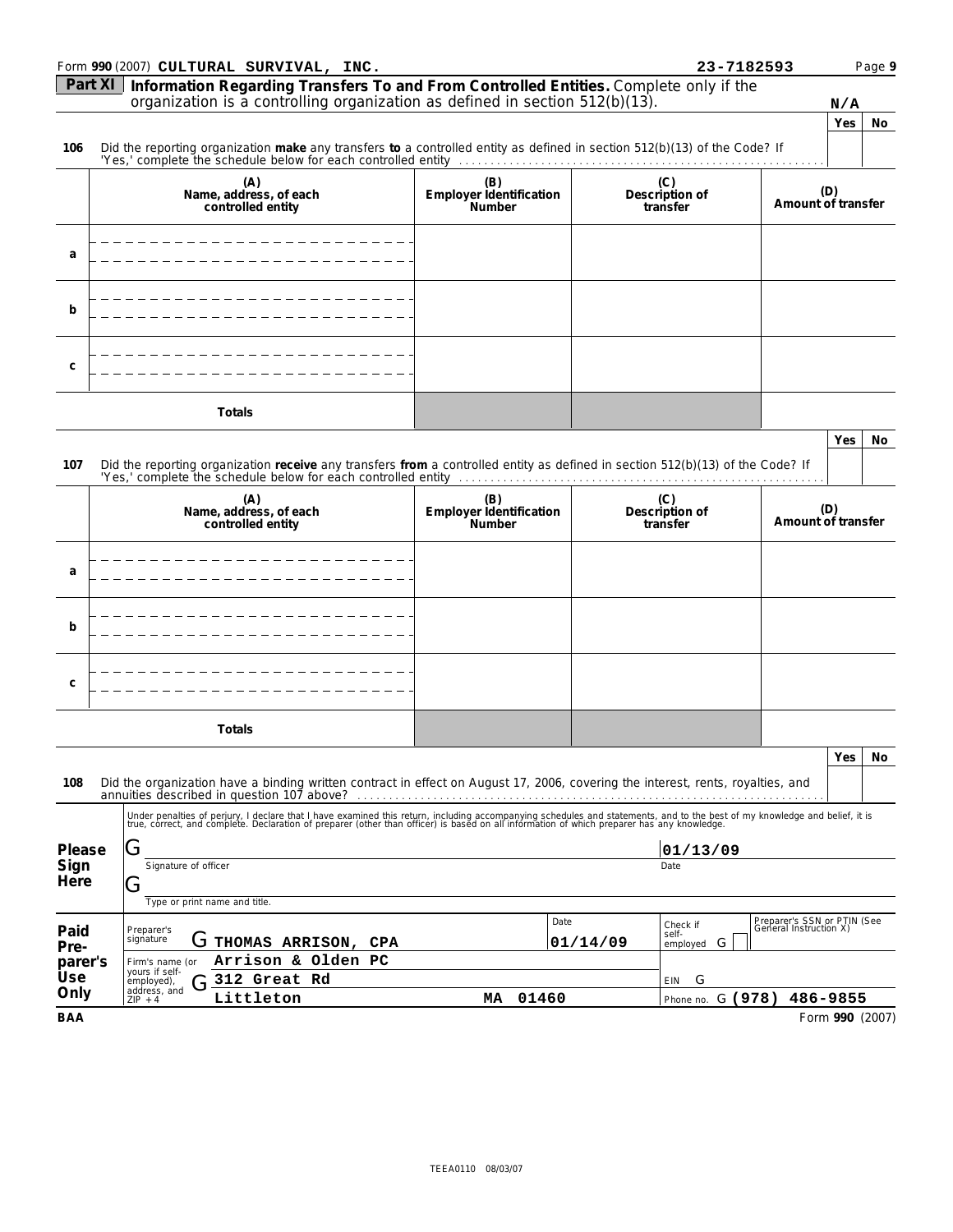|                 | Form 990 (2007) CULTURAL SURVIVAL, INC.                                                                                                                                                                                           |                                                 |          | 23-7182593                         |                                                       |                 | Page 9 |
|-----------------|-----------------------------------------------------------------------------------------------------------------------------------------------------------------------------------------------------------------------------------|-------------------------------------------------|----------|------------------------------------|-------------------------------------------------------|-----------------|--------|
| Part XI         | Information Regarding Transfers To and From Controlled Entities. Complete only if the                                                                                                                                             |                                                 |          |                                    |                                                       |                 |        |
|                 | organization is a controlling organization as defined in section $512(b)(13)$ .                                                                                                                                                   |                                                 |          |                                    |                                                       | N/A             |        |
|                 |                                                                                                                                                                                                                                   |                                                 |          |                                    |                                                       | Yes             | No     |
| 106             | Did the reporting organization make any transfers to a controlled entity as defined in section 512(b)(13) of the Code? If                                                                                                         |                                                 |          |                                    |                                                       |                 |        |
|                 | (A)<br>Name, address, of each<br>controlled entity                                                                                                                                                                                | (B)<br>Employer identification<br>Number        |          | Description of<br>transfer         | Amount of transfer                                    | (D)             |        |
| a               |                                                                                                                                                                                                                                   |                                                 |          |                                    |                                                       |                 |        |
| b               |                                                                                                                                                                                                                                   |                                                 |          |                                    |                                                       |                 |        |
| C               |                                                                                                                                                                                                                                   |                                                 |          |                                    |                                                       |                 |        |
|                 | Totals                                                                                                                                                                                                                            |                                                 |          |                                    |                                                       |                 |        |
|                 |                                                                                                                                                                                                                                   |                                                 |          |                                    |                                                       | Yes             | No.    |
| 107             | Did the reporting organization receive any transfers from a controlled entity as defined in section 512(b)(13) of the Code? If                                                                                                    |                                                 |          |                                    |                                                       |                 |        |
|                 |                                                                                                                                                                                                                                   |                                                 |          |                                    |                                                       |                 |        |
|                 | (A)<br>Name, address, of each<br>controlled entity                                                                                                                                                                                | (B)<br>Employer identification<br><b>Number</b> |          | (C)<br>Description of<br>transfer  | Amount of transfer                                    | (D)             |        |
| a               |                                                                                                                                                                                                                                   |                                                 |          |                                    |                                                       |                 |        |
| b               |                                                                                                                                                                                                                                   |                                                 |          |                                    |                                                       |                 |        |
| C               |                                                                                                                                                                                                                                   |                                                 |          |                                    |                                                       |                 |        |
|                 | Totals                                                                                                                                                                                                                            |                                                 |          |                                    |                                                       |                 |        |
|                 |                                                                                                                                                                                                                                   |                                                 |          |                                    |                                                       |                 |        |
| 108             | Did the organization have a binding written contract in effect on August 17, 2006, covering the interest, rents, royalties, and                                                                                                   |                                                 |          |                                    |                                                       | Yes             | NO.    |
|                 | Under penalties of perjury, I declare that I have examined this return, including accompanying schedules and statements, and to the best of my knowledge and belief, it is<br>true, correct, and complete. Declaration of prepare |                                                 |          |                                    |                                                       |                 |        |
| Please          | Ġ                                                                                                                                                                                                                                 |                                                 |          | 01/13/09                           |                                                       |                 |        |
| Sign            | Signature of officer                                                                                                                                                                                                              |                                                 |          | Date                               |                                                       |                 |        |
| Here            | تا                                                                                                                                                                                                                                |                                                 |          |                                    |                                                       |                 |        |
|                 | Type or print name and title.                                                                                                                                                                                                     | Date                                            |          |                                    |                                                       |                 |        |
| Paid            | Preparer's<br>signature<br>G THOMAS ARRISON, CPA                                                                                                                                                                                  |                                                 | 01/14/09 | Check if<br>self-<br>G<br>employed | Preparer's SSN or PTIN (See<br>General Instruction X) |                 |        |
| Pre-<br>parer's | Arrison & Olden PC<br>Firm's name (or                                                                                                                                                                                             |                                                 |          |                                    |                                                       |                 |        |
| Use             | yours if self-<br>312 Great Rd<br>employed),<br>٠,                                                                                                                                                                                |                                                 |          | G<br>EIN                           |                                                       |                 |        |
| Only            | address, and<br>Littleton<br>$ZIP + 4$                                                                                                                                                                                            | 01460<br>MA                                     |          | G (978)<br>Phone no.               | 486-9855                                              |                 |        |
| <b>BAA</b>      |                                                                                                                                                                                                                                   |                                                 |          |                                    |                                                       | Form 990 (2007) |        |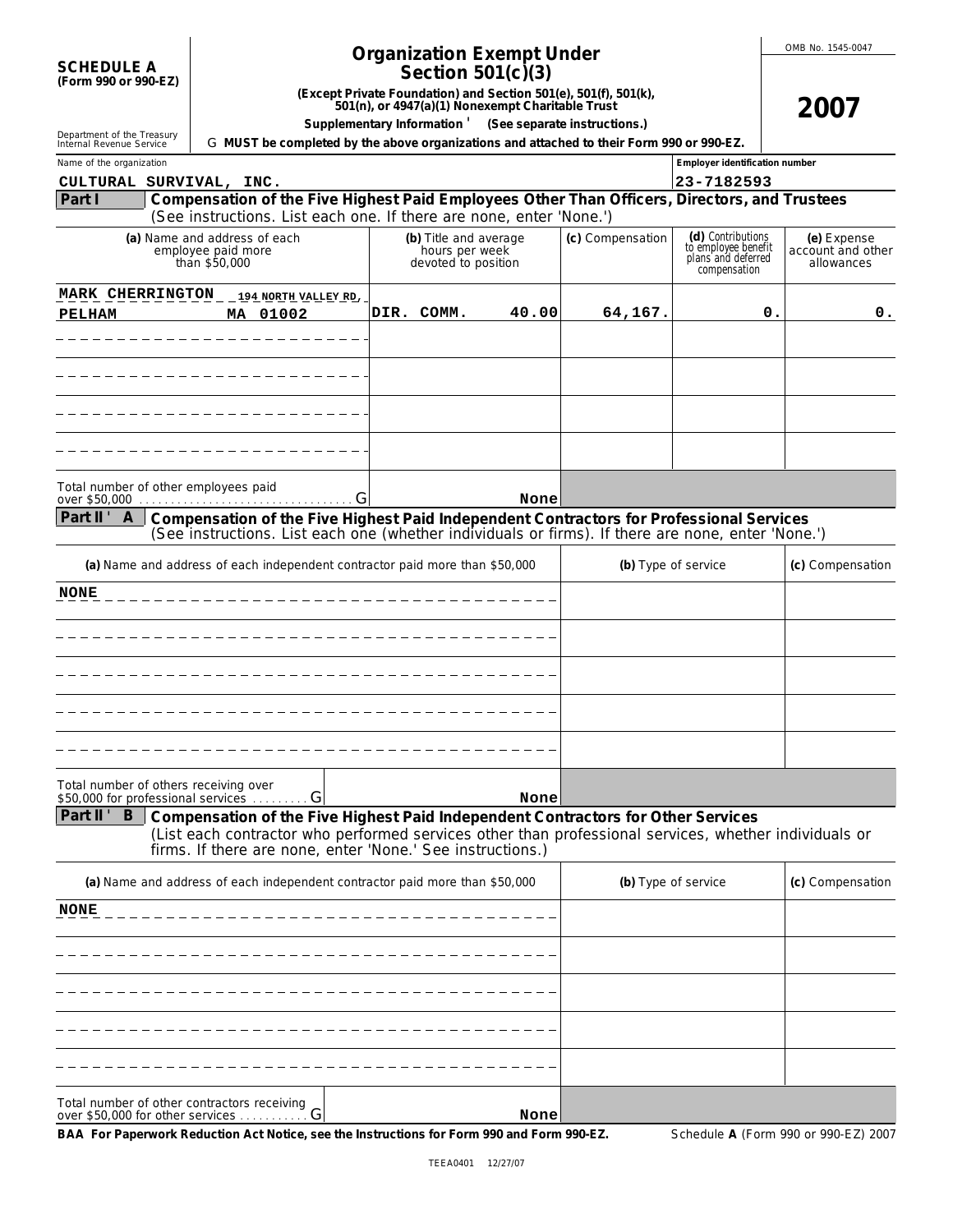| <b>SCHEDULE A</b>    |  |
|----------------------|--|
|                      |  |
| (Form 990 or 990-EZ) |  |

# **Organization Exempt Under**

**Section 501(c)(3)**

**(Except Private Foundation) and Section 501(e), 501(f), 501(k), 501(n), or 4947(a)(1) Nonexempt Charitable Trust**

OMB No. 1545-0047

**Supplementary Information** ' **(See separate instructions.)**

Department of the Treasury Internal Revenue Service G **MUST be completed by the above organizations and attached to their Form 990 or 990-EZ.**

| Internal Revenue Service |                                                                                                                                                                     | G MUST be completed by the above organizations and attached to their Form 990 or 990-EZ. |       |                  |                                                                                |                                                |
|--------------------------|---------------------------------------------------------------------------------------------------------------------------------------------------------------------|------------------------------------------------------------------------------------------|-------|------------------|--------------------------------------------------------------------------------|------------------------------------------------|
| Name of the organization |                                                                                                                                                                     |                                                                                          |       |                  | Employer identification number                                                 |                                                |
|                          | CULTURAL SURVIVAL, INC.                                                                                                                                             |                                                                                          |       |                  | 23-7182593                                                                     |                                                |
| Part I                   | Compensation of the Five Highest Paid Employees Other Than Officers, Directors, and Trustees<br>(See instructions. List each one. If there are none, enter 'None.') |                                                                                          |       |                  |                                                                                |                                                |
|                          | (a) Name and address of each<br>employee paid more<br>than \$50,000                                                                                                 | (b) Title and average<br>hours per week<br>devoted to position                           |       | (c) Compensation | (d) Contributions<br>to employee benefit<br>plans and deferred<br>compensation | (e) Expense<br>account and other<br>allowances |
|                          | MARK CHERRINGTON __ 194 NORTH VALLEY RD.                                                                                                                            |                                                                                          |       |                  |                                                                                |                                                |
| <b>PELHAM</b>            | MA 01002                                                                                                                                                            | DIR. COMM.                                                                               | 40.00 | 64,167.          | О.                                                                             | 0.                                             |
|                          |                                                                                                                                                                     |                                                                                          |       |                  |                                                                                |                                                |
|                          |                                                                                                                                                                     |                                                                                          |       |                  |                                                                                |                                                |
|                          |                                                                                                                                                                     |                                                                                          |       |                  |                                                                                |                                                |
|                          |                                                                                                                                                                     |                                                                                          |       |                  |                                                                                |                                                |
|                          |                                                                                                                                                                     |                                                                                          |       |                  |                                                                                |                                                |
|                          |                                                                                                                                                                     |                                                                                          |       |                  |                                                                                |                                                |
|                          |                                                                                                                                                                     |                                                                                          |       |                  |                                                                                |                                                |
|                          |                                                                                                                                                                     |                                                                                          |       |                  |                                                                                |                                                |
|                          | Total number of other employees paid                                                                                                                                |                                                                                          | None  |                  |                                                                                |                                                |
| Part II ' A              | Compensation of the Five Highest Paid Independent Contractors for Professional Services                                                                             |                                                                                          |       |                  |                                                                                |                                                |
|                          | (See instructions. List each one (whether individuals or firms). If there are none, enter 'None.')                                                                  |                                                                                          |       |                  |                                                                                |                                                |
|                          | (a) Name and address of each independent contractor paid more than \$50,000                                                                                         |                                                                                          |       |                  | (b) Type of service                                                            | (c) Compensation                               |
|                          |                                                                                                                                                                     |                                                                                          |       |                  |                                                                                |                                                |
| <b>NONE</b>              |                                                                                                                                                                     |                                                                                          |       |                  |                                                                                |                                                |
|                          |                                                                                                                                                                     |                                                                                          |       |                  |                                                                                |                                                |
|                          |                                                                                                                                                                     |                                                                                          |       |                  |                                                                                |                                                |
|                          |                                                                                                                                                                     |                                                                                          |       |                  |                                                                                |                                                |
|                          |                                                                                                                                                                     |                                                                                          |       |                  |                                                                                |                                                |
|                          |                                                                                                                                                                     |                                                                                          |       |                  |                                                                                |                                                |
|                          |                                                                                                                                                                     |                                                                                          |       |                  |                                                                                |                                                |
|                          |                                                                                                                                                                     |                                                                                          |       |                  |                                                                                |                                                |
|                          |                                                                                                                                                                     |                                                                                          |       |                  |                                                                                |                                                |
|                          | Total number of others receiving over<br>\$50,000 for professional services  G                                                                                      |                                                                                          | None  |                  |                                                                                |                                                |
| Part II ' $B$            | Compensation of the Five Highest Paid Independent Contractors for Other Services                                                                                    |                                                                                          |       |                  |                                                                                |                                                |
|                          | (List each contractor who performed services other than professional services, whether individuals or<br>firms. If there are none, enter 'None.' See instructions.) |                                                                                          |       |                  |                                                                                |                                                |
|                          | (a) Name and address of each independent contractor paid more than \$50,000                                                                                         |                                                                                          |       |                  | (b) Type of service                                                            | (c) Compensation                               |
| <b>NONE</b>              |                                                                                                                                                                     |                                                                                          |       |                  |                                                                                |                                                |
|                          |                                                                                                                                                                     |                                                                                          |       |                  |                                                                                |                                                |
|                          |                                                                                                                                                                     |                                                                                          |       |                  |                                                                                |                                                |
|                          |                                                                                                                                                                     |                                                                                          |       |                  |                                                                                |                                                |
|                          |                                                                                                                                                                     |                                                                                          |       |                  |                                                                                |                                                |
|                          |                                                                                                                                                                     |                                                                                          |       |                  |                                                                                |                                                |
|                          |                                                                                                                                                                     |                                                                                          |       |                  |                                                                                |                                                |
|                          |                                                                                                                                                                     |                                                                                          |       |                  |                                                                                |                                                |
|                          | Total number of other contractors receiving<br>over \$50,000 for other services $\ldots \ldots \ldots G$                                                            |                                                                                          | None  |                  |                                                                                |                                                |

**BAA For Paperwork Reduction Act Notice, see the Instructions for Form 990 and Form 990-EZ.** Schedule **A** (Form 990 or 990-EZ) 2007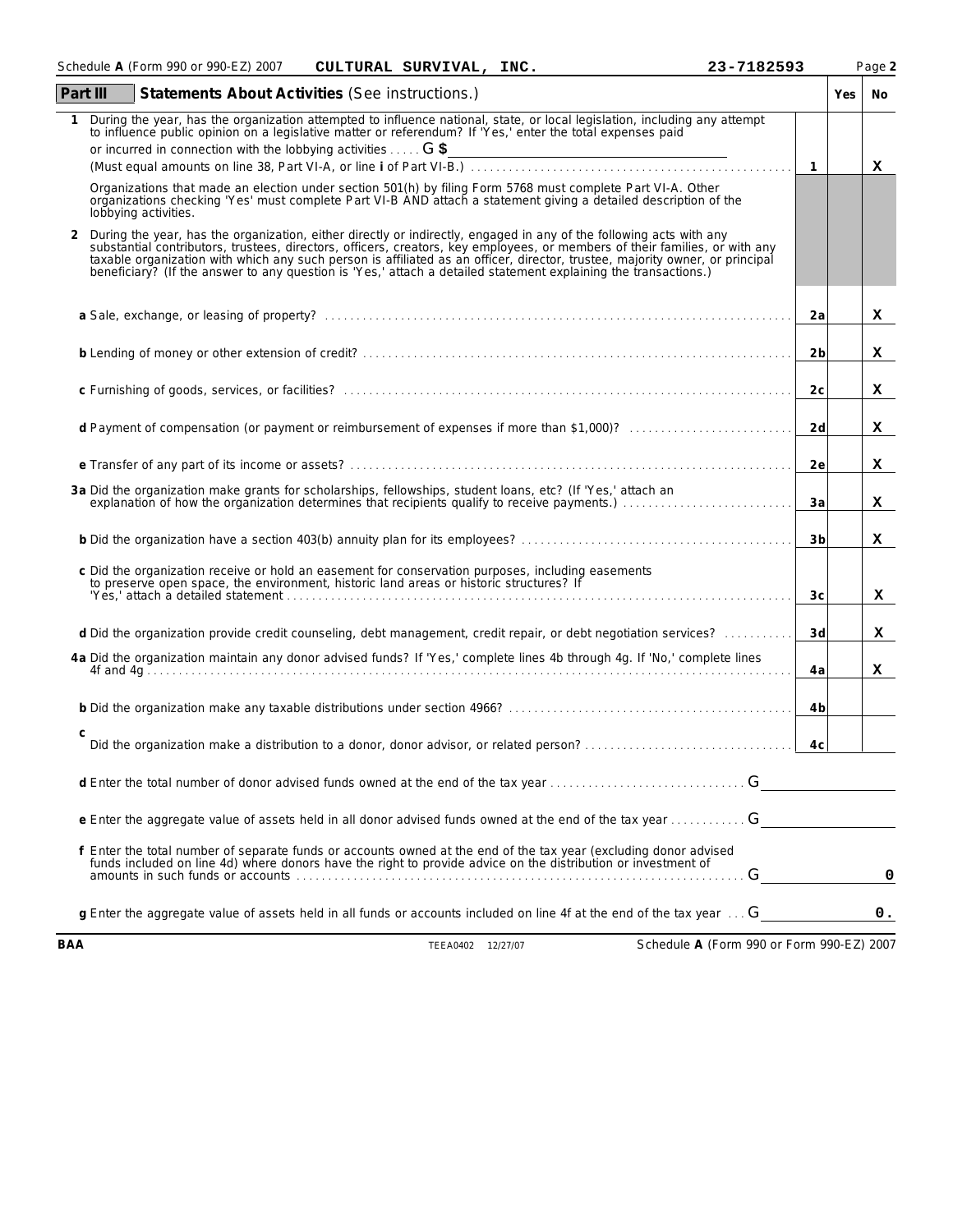|     | Schedule A (Form 990 or 990-EZ) 2007<br>CULTURAL SURVIVAL, INC.                                                                                                                                                                                                                                                                                                                                                                                                                                       | 23-7182593                                |                |     | Page 2 |
|-----|-------------------------------------------------------------------------------------------------------------------------------------------------------------------------------------------------------------------------------------------------------------------------------------------------------------------------------------------------------------------------------------------------------------------------------------------------------------------------------------------------------|-------------------------------------------|----------------|-----|--------|
|     | Part III<br>Statements About Activities (See instructions.)                                                                                                                                                                                                                                                                                                                                                                                                                                           |                                           |                | Yes | No     |
|     | During the year, has the organization attempted to influence national, state, or local legislation, including any attempt<br>to influence public opinion on a legislative matter or referendum? If 'Yes,' enter the total expenses paid                                                                                                                                                                                                                                                               |                                           |                |     |        |
|     | or incurred in connection with the lobbying activities  G \$                                                                                                                                                                                                                                                                                                                                                                                                                                          |                                           | $\overline{1}$ |     | x      |
|     | Organizations that made an election under section 501(h) by filing Form 5768 must complete Part VI-A. Other<br>organizations checking 'Yes' must complete Part VI-B AND attach a statement giving a detailed description of the<br>lobbying activities.                                                                                                                                                                                                                                               |                                           |                |     |        |
| 2   | During the year, has the organization, either directly or indirectly, engaged in any of the following acts with any<br>substantial contributors, trustees, directors, officers, creators, key employees, or members of their families, or with any<br>taxable organization with which any such person is affiliated as an officer, director, trustee, majority owner, or principal<br>beneficiary? (If the answer to any question is 'Yes,' attach a detailed statement explaining the transactions.) |                                           |                |     |        |
|     |                                                                                                                                                                                                                                                                                                                                                                                                                                                                                                       |                                           | 2a             |     | x      |
|     |                                                                                                                                                                                                                                                                                                                                                                                                                                                                                                       |                                           | 2 <sub>b</sub> |     | x      |
|     |                                                                                                                                                                                                                                                                                                                                                                                                                                                                                                       |                                           | 2c             |     | x      |
|     | d Payment of compensation (or payment or reimbursement of expenses if more than \$1,000)?                                                                                                                                                                                                                                                                                                                                                                                                             |                                           | 2d             |     | x      |
|     |                                                                                                                                                                                                                                                                                                                                                                                                                                                                                                       |                                           | 2e             |     | x      |
|     | 3a Did the organization make grants for scholarships, fellowships, student loans, etc? (If 'Yes,' attach an<br>explanation of how the organization determines that recipients qualify to receive payments.)                                                                                                                                                                                                                                                                                           |                                           | 3a             |     | x      |
|     |                                                                                                                                                                                                                                                                                                                                                                                                                                                                                                       |                                           | 3 <sub>b</sub> |     | x      |
|     | c Did the organization receive or hold an easement for conservation purposes, including easements<br>to preserve open space, the environment, historic land areas or historic structures? If<br>ves, attach a detailed statement                                                                                                                                                                                                                                                                      |                                           | 3c             |     | x      |
|     | d Did the organization provide credit counseling, debt management, credit repair, or debt negotiation services?                                                                                                                                                                                                                                                                                                                                                                                       |                                           | 3d             |     | x      |
|     | 4a Did the organization maintain any donor advised funds? If 'Yes,' complete lines 4b through 4g. If 'No,' complete lines                                                                                                                                                                                                                                                                                                                                                                             |                                           | 4a             |     | x      |
|     |                                                                                                                                                                                                                                                                                                                                                                                                                                                                                                       |                                           | 4b             |     |        |
|     | С                                                                                                                                                                                                                                                                                                                                                                                                                                                                                                     |                                           | 4c             |     |        |
|     | d Enter the total number of donor advised funds owned at the end of the tax year                                                                                                                                                                                                                                                                                                                                                                                                                      | G                                         |                |     |        |
|     | e Enter the aggregate value of assets held in all donor advised funds owned at the end of the tax year                                                                                                                                                                                                                                                                                                                                                                                                | G                                         |                |     |        |
|     | f Enter the total number of separate funds or accounts owned at the end of the tax year (excluding donor advised<br>funds included on line 4d) where donors have the right to provide advice on the distribution or investment of                                                                                                                                                                                                                                                                     | G                                         |                |     | 0      |
|     | q Enter the aggregate value of assets held in all funds or accounts included on line 4f at the end of the tax year $\dots$ G                                                                                                                                                                                                                                                                                                                                                                          |                                           |                |     | 0.     |
| BAA | TEEA0402 12/27/07                                                                                                                                                                                                                                                                                                                                                                                                                                                                                     | Schedule A (Form 990 or Form 990-EZ) 2007 |                |     |        |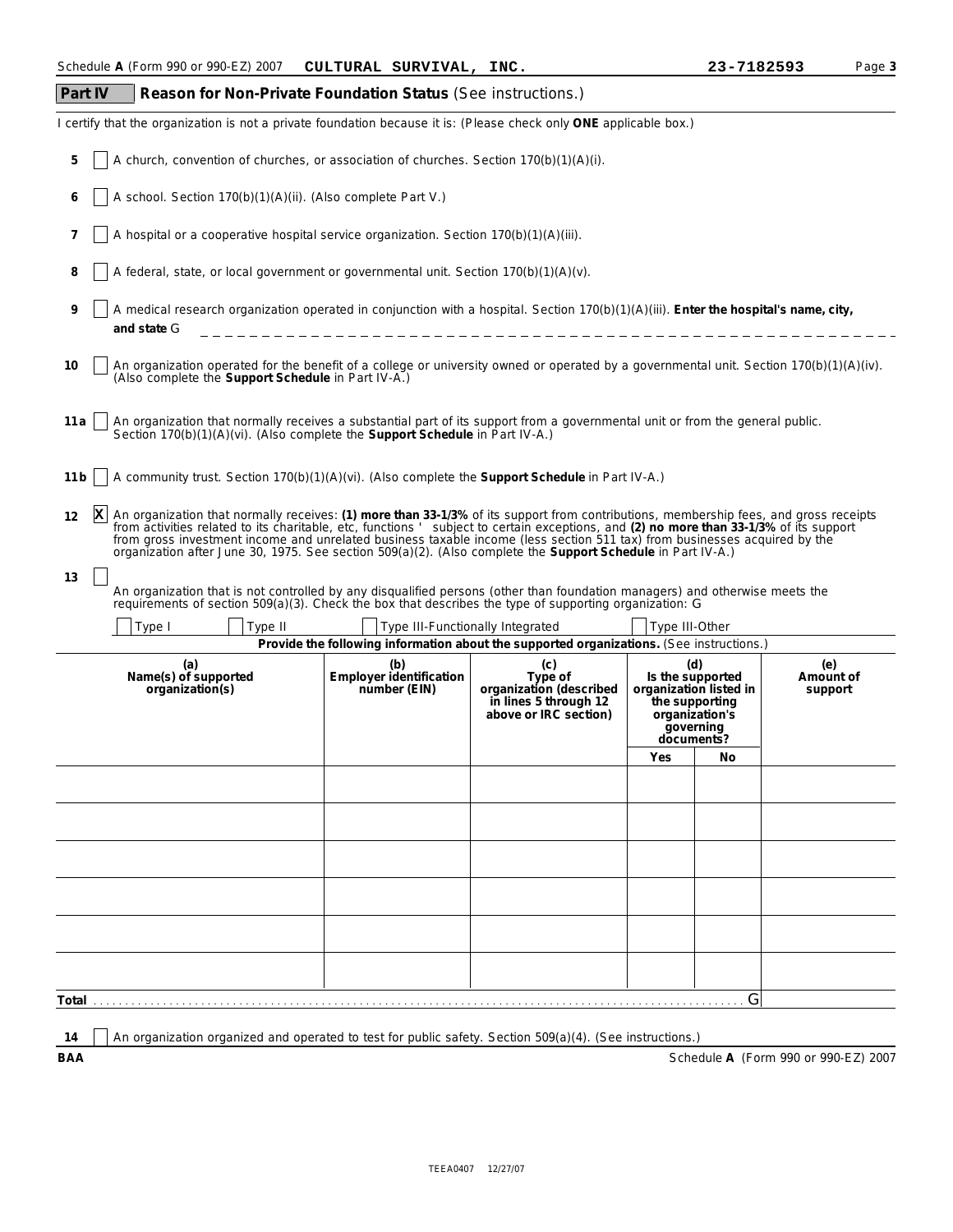| Part IV<br>Reason for Non-Private Foundation Status (See instructions.)                                                                                                                                                                                                                                                                                                                                                                                                                                                               |                                                                                           |                                                                                             |                                                  |                                                              |                             |  |  |  |  |  |
|---------------------------------------------------------------------------------------------------------------------------------------------------------------------------------------------------------------------------------------------------------------------------------------------------------------------------------------------------------------------------------------------------------------------------------------------------------------------------------------------------------------------------------------|-------------------------------------------------------------------------------------------|---------------------------------------------------------------------------------------------|--------------------------------------------------|--------------------------------------------------------------|-----------------------------|--|--|--|--|--|
| certify that the organization is not a private foundation because it is: (Please check only ONE applicable box.)                                                                                                                                                                                                                                                                                                                                                                                                                      |                                                                                           |                                                                                             |                                                  |                                                              |                             |  |  |  |  |  |
| 5                                                                                                                                                                                                                                                                                                                                                                                                                                                                                                                                     | A church, convention of churches, or association of churches. Section $170(b)(1)(A)(i)$ . |                                                                                             |                                                  |                                                              |                             |  |  |  |  |  |
| A school. Section 170(b)(1)(A)(ii). (Also complete Part V.)<br>6                                                                                                                                                                                                                                                                                                                                                                                                                                                                      |                                                                                           |                                                                                             |                                                  |                                                              |                             |  |  |  |  |  |
| A hospital or a cooperative hospital service organization. Section 170(b)(1)(A)(iii).<br>7                                                                                                                                                                                                                                                                                                                                                                                                                                            |                                                                                           |                                                                                             |                                                  |                                                              |                             |  |  |  |  |  |
| 8<br>A federal, state, or local government or governmental unit. Section 170(b)(1)(A)(v).                                                                                                                                                                                                                                                                                                                                                                                                                                             |                                                                                           |                                                                                             |                                                  |                                                              |                             |  |  |  |  |  |
| 9<br>A medical research organization operated in conjunction with a hospital. Section 170(b)(1)(A)(iii). Enter the hospital's name, city,<br>and state G                                                                                                                                                                                                                                                                                                                                                                              |                                                                                           |                                                                                             |                                                  |                                                              |                             |  |  |  |  |  |
| An organization operated for the benefit of a college or university owned or operated by a governmental unit. Section 170(b)(1)(A)(iv).<br>10<br>(Also complete the Support Schedule in Part IV-A.)                                                                                                                                                                                                                                                                                                                                   |                                                                                           |                                                                                             |                                                  |                                                              |                             |  |  |  |  |  |
| An organization that normally receives a substantial part of its support from a governmental unit or from the general public.<br>11 a<br>Section 170(b)(1)(A)(vi). (Also complete the Support Schedule in Part IV-A.)                                                                                                                                                                                                                                                                                                                 |                                                                                           |                                                                                             |                                                  |                                                              |                             |  |  |  |  |  |
| A community trust. Section 170(b)(1)(A)(vi). (Also complete the Support Schedule in Part IV-A.)<br>11 b                                                                                                                                                                                                                                                                                                                                                                                                                               |                                                                                           |                                                                                             |                                                  |                                                              |                             |  |  |  |  |  |
| An organization that normally receives: (1) more than 33-1/3% of its support from contributions, membership fees, and gross receipts<br>x<br>12<br>from activities related to its charitable, etc, functions ' subject to certain exceptions, and (2) no more than 33-1/3% of its support<br>from gross investment income and unrelated business taxable income (less section 511 tax) from businesses acquired by the<br>organization after June 30, 1975. See section 509(a)(2). (Also complete the Support Schedule in Part IV-A.) |                                                                                           |                                                                                             |                                                  |                                                              |                             |  |  |  |  |  |
| 13<br>An organization that is not controlled by any disqualified persons (other than foundation managers) and otherwise meets the<br>requirements of section 509(a)(3). Check the box that describes the type of supporting organization: G                                                                                                                                                                                                                                                                                           |                                                                                           |                                                                                             |                                                  |                                                              |                             |  |  |  |  |  |
| Type I<br>Type II                                                                                                                                                                                                                                                                                                                                                                                                                                                                                                                     | Type III-Functionally Integrated                                                          | Provide the following information about the supported organizations. (See instructions.)    | Type III-Other                                   |                                                              |                             |  |  |  |  |  |
| (a)<br>Name(s) of supported<br>organization(s)                                                                                                                                                                                                                                                                                                                                                                                                                                                                                        | (b)<br>Employer identification<br>number (EIN)                                            | (c)<br>Type of<br>organization (described<br>in lines 5 through 12<br>above or IRC section) | (d)<br>the supporting<br>governing<br>documents? | Is the supported<br>organization listed in<br>organization's | (e)<br>Amount of<br>support |  |  |  |  |  |
|                                                                                                                                                                                                                                                                                                                                                                                                                                                                                                                                       |                                                                                           |                                                                                             | Yes                                              | No                                                           |                             |  |  |  |  |  |
|                                                                                                                                                                                                                                                                                                                                                                                                                                                                                                                                       |                                                                                           |                                                                                             |                                                  |                                                              |                             |  |  |  |  |  |
|                                                                                                                                                                                                                                                                                                                                                                                                                                                                                                                                       |                                                                                           |                                                                                             |                                                  |                                                              |                             |  |  |  |  |  |
|                                                                                                                                                                                                                                                                                                                                                                                                                                                                                                                                       |                                                                                           |                                                                                             |                                                  |                                                              |                             |  |  |  |  |  |
|                                                                                                                                                                                                                                                                                                                                                                                                                                                                                                                                       |                                                                                           |                                                                                             |                                                  |                                                              |                             |  |  |  |  |  |
|                                                                                                                                                                                                                                                                                                                                                                                                                                                                                                                                       |                                                                                           |                                                                                             |                                                  |                                                              |                             |  |  |  |  |  |
|                                                                                                                                                                                                                                                                                                                                                                                                                                                                                                                                       |                                                                                           |                                                                                             |                                                  |                                                              |                             |  |  |  |  |  |
|                                                                                                                                                                                                                                                                                                                                                                                                                                                                                                                                       |                                                                                           |                                                                                             |                                                  | G                                                            |                             |  |  |  |  |  |
|                                                                                                                                                                                                                                                                                                                                                                                                                                                                                                                                       |                                                                                           |                                                                                             |                                                  |                                                              |                             |  |  |  |  |  |

14 An organization organized and operated to test for public safety. Section 509(a)(4). (See instructions.)

**BAA** Schedule **A** (Form 990 or 990-EZ) 2007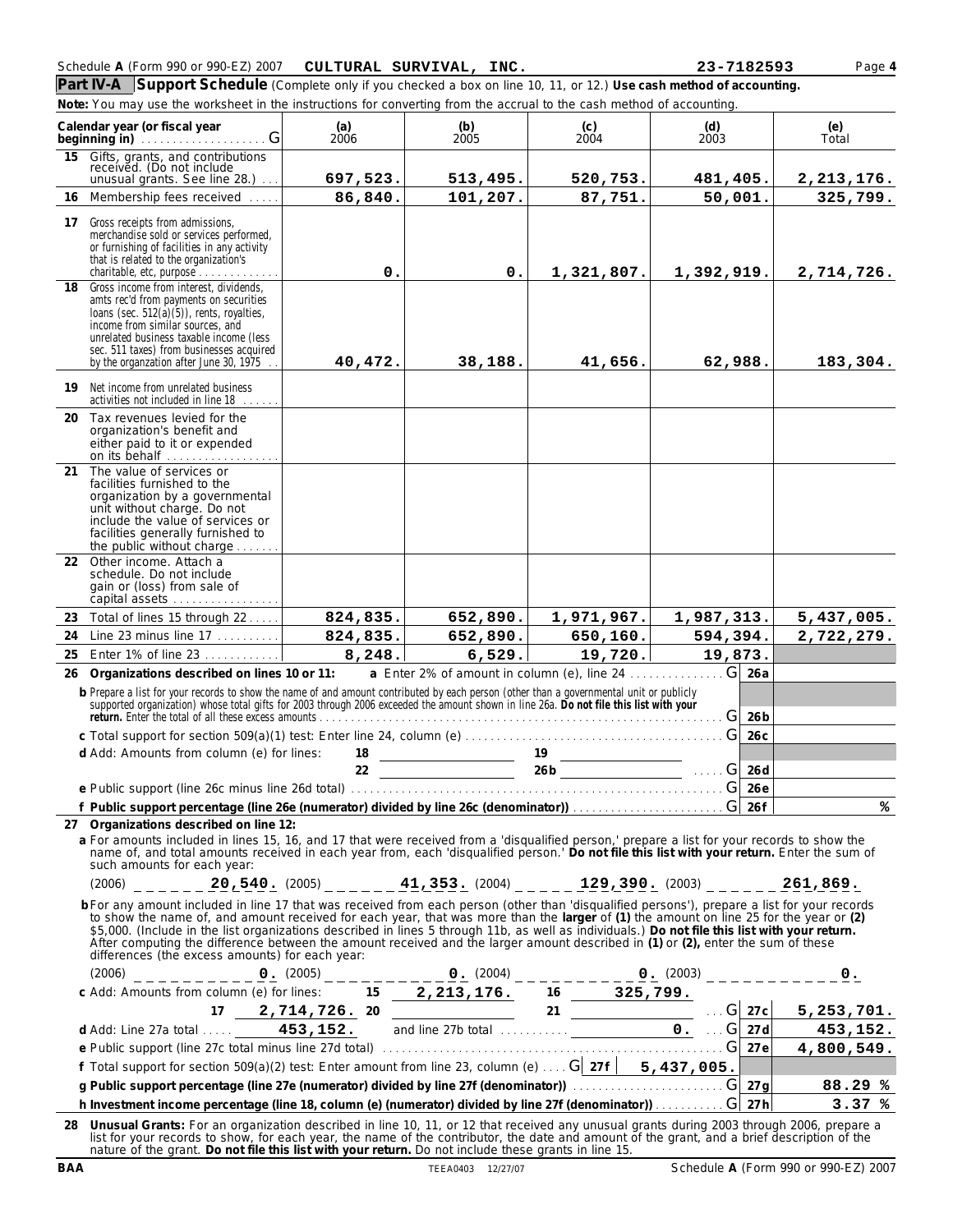| Schedule A (Form 990 or 990-EZ) 2007 | CULTURAL SURVIVAL,<br>INC. | 23-7182593 | Page 4 |
|--------------------------------------|----------------------------|------------|--------|
|--------------------------------------|----------------------------|------------|--------|

**Part IV-A Support Schedule** (Complete only if you checked a box on line 10, 11, or 12.) *Use cash method of accounting.* **Note:** *You may use the worksheet in the instructions for converting from the accrual to the cash method of accounting.*

|    | Calendar year (or fiscal year                                                                                                                                                                                                                                                                                                                                                                                                                                                                                                                                                                                                  | (a)<br>2006 | (b)<br>2005                                       | (c)<br>2004 | (d)<br>2003        | (e)<br>Total             |   |
|----|--------------------------------------------------------------------------------------------------------------------------------------------------------------------------------------------------------------------------------------------------------------------------------------------------------------------------------------------------------------------------------------------------------------------------------------------------------------------------------------------------------------------------------------------------------------------------------------------------------------------------------|-------------|---------------------------------------------------|-------------|--------------------|--------------------------|---|
| 15 | Gifts, grants, and contributions<br>received. (Do not include<br>unusual grants. See line 28.)                                                                                                                                                                                                                                                                                                                                                                                                                                                                                                                                 | 697,523.    | 513,495.                                          | 520,753.    | 481,405.           |                          |   |
|    | 16 Membership fees received                                                                                                                                                                                                                                                                                                                                                                                                                                                                                                                                                                                                    | 86,840.     | 101,207.                                          | 87,751.     | 50,001.            | 2, 213, 176.<br>325,799. |   |
| 17 | Gross receipts from admissions,<br>merchandise sold or services performed,<br>or furnishing of facilities in any activity<br>that is related to the organization's                                                                                                                                                                                                                                                                                                                                                                                                                                                             |             |                                                   |             |                    |                          |   |
|    | charitable, etc, purpose $\ldots \ldots \ldots \ldots$                                                                                                                                                                                                                                                                                                                                                                                                                                                                                                                                                                         | 0.          | 0.                                                | 1,321,807.  | 1,392,919.         | 2,714,726.               |   |
| 18 | Gross income from interest, dividends,<br>amts rec'd from payments on securities<br>loans (sec. $512(a)(5)$ ), rents, royalties,<br>income from similar sources, and<br>unrelated business taxable income (less<br>sec. 511 taxes) from businesses acquired<br>by the organzation after June 30, 1975                                                                                                                                                                                                                                                                                                                          | 40,472.     | 38,188.                                           | 41,656.     | 62,988.            | 183,304.                 |   |
| 19 | Net income from unrelated business<br>activities not included in line 18                                                                                                                                                                                                                                                                                                                                                                                                                                                                                                                                                       |             |                                                   |             |                    |                          |   |
|    | 20 Tax revenues levied for the<br>organization's benefit and<br>either paid to it or expended<br>on its behalf                                                                                                                                                                                                                                                                                                                                                                                                                                                                                                                 |             |                                                   |             |                    |                          |   |
| 21 | The value of services or<br>facilities furnished to the<br>organization by a governmental<br>unit without charge. Do not<br>include the value of services or<br>facilities generally furnished to<br>the public without charge                                                                                                                                                                                                                                                                                                                                                                                                 |             |                                                   |             |                    |                          |   |
| 22 | Other income. Attach a<br>schedule. Do not include<br>gain or (loss) from sale of<br>capital assets                                                                                                                                                                                                                                                                                                                                                                                                                                                                                                                            |             |                                                   |             |                    |                          |   |
|    | 23 Total of lines 15 through 22                                                                                                                                                                                                                                                                                                                                                                                                                                                                                                                                                                                                | 824, 835.   | 652,890.                                          | 1,971,967.  | 1,987,313.         | 5,437,005.               |   |
| 24 | Line 23 minus line 17                                                                                                                                                                                                                                                                                                                                                                                                                                                                                                                                                                                                          | 824,835.    | 652,890.                                          | 650,160.    | 594,394.           | 2,722,279.               |   |
| 25 | Enter 1% of line 23                                                                                                                                                                                                                                                                                                                                                                                                                                                                                                                                                                                                            | 8,248.      | 6,529.                                            | 19,720.     | 19,873.            |                          |   |
| 26 | Organizations described on lines 10 or 11:<br>b Prepare a list for your records to show the name of and amount contributed by each person (other than a governmental unit or publicly supported organization) whose total gifts for 2003 through 2006 exceeded the amount sh<br>return. Enter the total of all these excess amounts entertainment and the content of the content of the content of the content of the content of the content of the content of the content of the content of the content of th                                                                                                                 |             | a Enter 2% of amount in column (e), line 24       |             |                    | $G$ 26a<br>G 26b         |   |
|    |                                                                                                                                                                                                                                                                                                                                                                                                                                                                                                                                                                                                                                |             |                                                   |             |                    | G 26c                    |   |
|    | d Add: Amounts from column (e) for lines:                                                                                                                                                                                                                                                                                                                                                                                                                                                                                                                                                                                      |             | $\frac{18}{22}$ $\frac{19}{260}$ $\frac{19}{260}$ |             |                    |                          |   |
|    |                                                                                                                                                                                                                                                                                                                                                                                                                                                                                                                                                                                                                                |             |                                                   |             | $\therefore$ G 26d |                          |   |
|    |                                                                                                                                                                                                                                                                                                                                                                                                                                                                                                                                                                                                                                |             |                                                   |             |                    | G 26e                    |   |
|    |                                                                                                                                                                                                                                                                                                                                                                                                                                                                                                                                                                                                                                |             |                                                   |             |                    |                          | ዱ |
|    |                                                                                                                                                                                                                                                                                                                                                                                                                                                                                                                                                                                                                                |             |                                                   |             |                    |                          |   |
|    | 27 Organizations described on line 12:<br>a For amounts included in lines 15, 16, and 17 that were received from a 'disqualified person,' prepare a list for your records to show the<br>name of, and total amounts received in each year from, each 'disqualified person.' Do not file this list with your return. Enter the sum of<br>such amounts for each year:                                                                                                                                                                                                                                                            |             |                                                   |             |                    |                          |   |
|    | $(2006)$ $_{---}$ $_{---}$ $_{20}$ $_{5}$ $_{5}$ $_{0}$ $_{0}$ $(2005)$ $_{---}$ $_{---}$ $_{-}$ $_{4}$ $_{1}$ $_{2}$ $_{3}$ $_{2}$ $_{0}$ $(2004)$ $_{---}$ $_{---}$ $_{1}$ $_{2}$ $_{9}$ $_{2}$ $_{0}$ $_{0}$ $_{0}$ $_{0}$ $_{1}$ $(2003)$ $_{---}$ $_{---}$ $_{2}$ $_{6}$                                                                                                                                                                                                                                                                                                                                                  |             |                                                   |             |                    |                          |   |
|    | bFor any amount included in line 17 that was received from each person (other than 'disqualified persons'), prepare a list for your records<br>to show the name of, and amount received for each year, that was more than the larger of (1) the amount on line 25 for the year or (2)<br>\$5,000. (Include in the list organizations described in lines 5 through 11b, as well as individuals.) Do not file this list with your return.<br>After computing the difference between the amount received and the larger amount described in (1) or (2), enter the sum of these<br>differences (the excess amounts) for each year: |             |                                                   |             |                    |                          |   |
|    |                                                                                                                                                                                                                                                                                                                                                                                                                                                                                                                                                                                                                                |             |                                                   |             |                    |                          |   |
|    |                                                                                                                                                                                                                                                                                                                                                                                                                                                                                                                                                                                                                                |             |                                                   |             |                    |                          |   |
|    |                                                                                                                                                                                                                                                                                                                                                                                                                                                                                                                                                                                                                                |             |                                                   |             |                    |                          |   |
|    |                                                                                                                                                                                                                                                                                                                                                                                                                                                                                                                                                                                                                                |             |                                                   |             |                    |                          |   |
|    |                                                                                                                                                                                                                                                                                                                                                                                                                                                                                                                                                                                                                                |             |                                                   |             |                    |                          |   |
|    | f Total support for section 509(a)(2) test: Enter amount from line 23, column (e)  . $G\left[\begin{array}{c c} 27f & 5,437,005.\end{array}\right]$                                                                                                                                                                                                                                                                                                                                                                                                                                                                            |             |                                                   |             |                    |                          |   |
|    | g Public support percentage (line 27e (numerator) divided by line 27f (denominator)) $\overline{1, 1, 2, 3}$ $\overline{1, 3, 4}$ $\overline{1, 4, 5}$ $\overline{1, 2, 3}$ $\overline{2, 3}$ $\overline{3, 29, 8}$                                                                                                                                                                                                                                                                                                                                                                                                            |             |                                                   |             |                    |                          |   |
|    | h Investment income percentage (line 18, column (e) (numerator) divided by line 27f (denominator)) $G$ 27h $G$ 27h<br>28 Unusual Grants: For an organization described in line 10, 11, or 12 that received any unusual grants during 2003 through 2006, prepare a                                                                                                                                                                                                                                                                                                                                                              |             |                                                   |             |                    |                          |   |

28 Unusual Grants: For an organization described in line 10, 11, or 12 that received any unusual grants during 2003 through 2006, prepare a<br>list for your records to show, for each year, the name of the contributor, the dat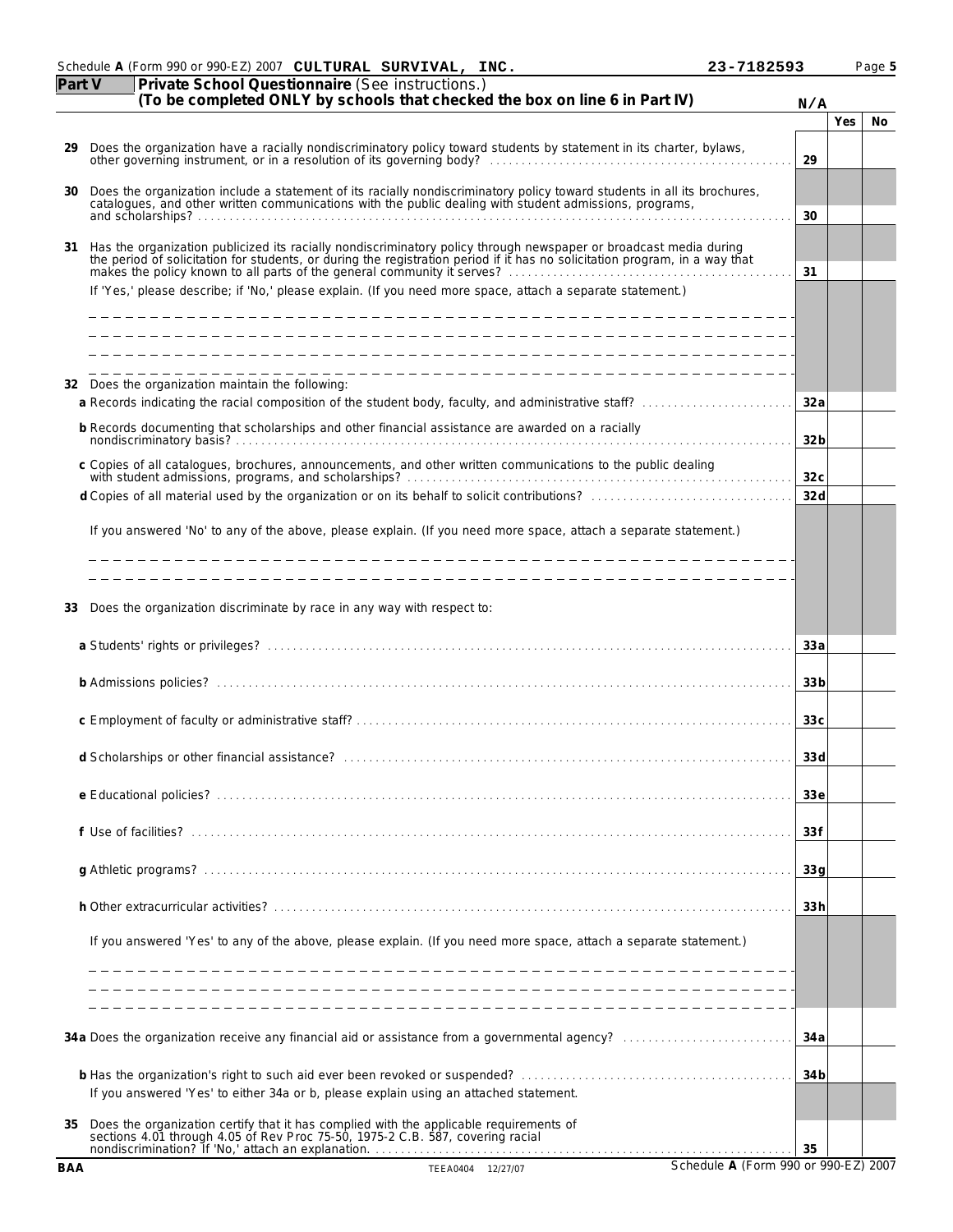|            | Schedule A (Form 990 or 990-EZ) 2007 CULTURAL SURVIVAL, INC.                                                                                                                                                                      | 23-7182593                           |     | Page 5 |
|------------|-----------------------------------------------------------------------------------------------------------------------------------------------------------------------------------------------------------------------------------|--------------------------------------|-----|--------|
| Part V     | Private School Questionnaire (See instructions.)<br>(To be completed ONLY by schools that checked the box on line 6 in Part IV)                                                                                                   | N/A                                  |     |        |
|            |                                                                                                                                                                                                                                   |                                      | Yes | No     |
| 29.        | Does the organization have a racially nondiscriminatory policy toward students by statement in its charter, bylaws, other governing instrument, or in a resolution of its governing body?                                         | 29                                   |     |        |
| 30         | Does the organization include a statement of its racially nondiscriminatory policy toward students in all its brochures, catalogues, and other written communications with the public dealing with student admissions, program    | 30                                   |     |        |
| 31         | Has the organization publicized its racially nondiscriminatory policy through newspaper or broadcast media during<br>the period of solicitation for students, or during the registration period if it has no solicitation program | 31                                   |     |        |
|            | If 'Yes,' please describe; if 'No,' please explain. (If you need more space, attach a separate statement.)                                                                                                                        |                                      |     |        |
|            | 32 Does the organization maintain the following:<br>a Records indicating the racial composition of the student body, faculty, and administrative staff?                                                                           | 32a                                  |     |        |
|            | b Records documenting that scholarships and other financial assistance are awarded on a racially                                                                                                                                  |                                      |     |        |
|            |                                                                                                                                                                                                                                   | 32 <sub>b</sub>                      |     |        |
|            | c Copies of all catalogues, brochures, announcements, and other written communications to the public dealing                                                                                                                      | 32c                                  |     |        |
|            |                                                                                                                                                                                                                                   | 32d                                  |     |        |
|            | If you answered 'No' to any of the above, please explain. (If you need more space, attach a separate statement.)<br>____________________________                                                                                  |                                      |     |        |
| 33         | Does the organization discriminate by race in any way with respect to:                                                                                                                                                            |                                      |     |        |
|            |                                                                                                                                                                                                                                   | 33a                                  |     |        |
|            |                                                                                                                                                                                                                                   | 33 <sub>b</sub>                      |     |        |
|            |                                                                                                                                                                                                                                   | 33c                                  |     |        |
|            | d Scholarships or other financial assistance?                                                                                                                                                                                     | 33d                                  |     |        |
|            |                                                                                                                                                                                                                                   | 33e                                  |     |        |
|            |                                                                                                                                                                                                                                   | 33f                                  |     |        |
|            |                                                                                                                                                                                                                                   | 33q                                  |     |        |
|            |                                                                                                                                                                                                                                   | 33h                                  |     |        |
|            | If you answered 'Yes' to any of the above, please explain. (If you need more space, attach a separate statement.)                                                                                                                 |                                      |     |        |
|            |                                                                                                                                                                                                                                   |                                      |     |        |
|            |                                                                                                                                                                                                                                   | 34 a                                 |     |        |
|            | If you answered 'Yes' to either 34a or b, please explain using an attached statement.                                                                                                                                             | 34 <sub>b</sub>                      |     |        |
| 35         | Does the organization certify that it has complied with the applicable requirements of sections 4.01 through 4.05 of Rev Proc 75-50, 1975-2 C.B. 587, covering racial<br>nondiscrimination? If 'No,' attach an explanation.       | 35                                   |     |        |
| <b>BAA</b> | TEEA0404 12/27/07                                                                                                                                                                                                                 | Schedule A (Form 990 or 990-EZ) 2007 |     |        |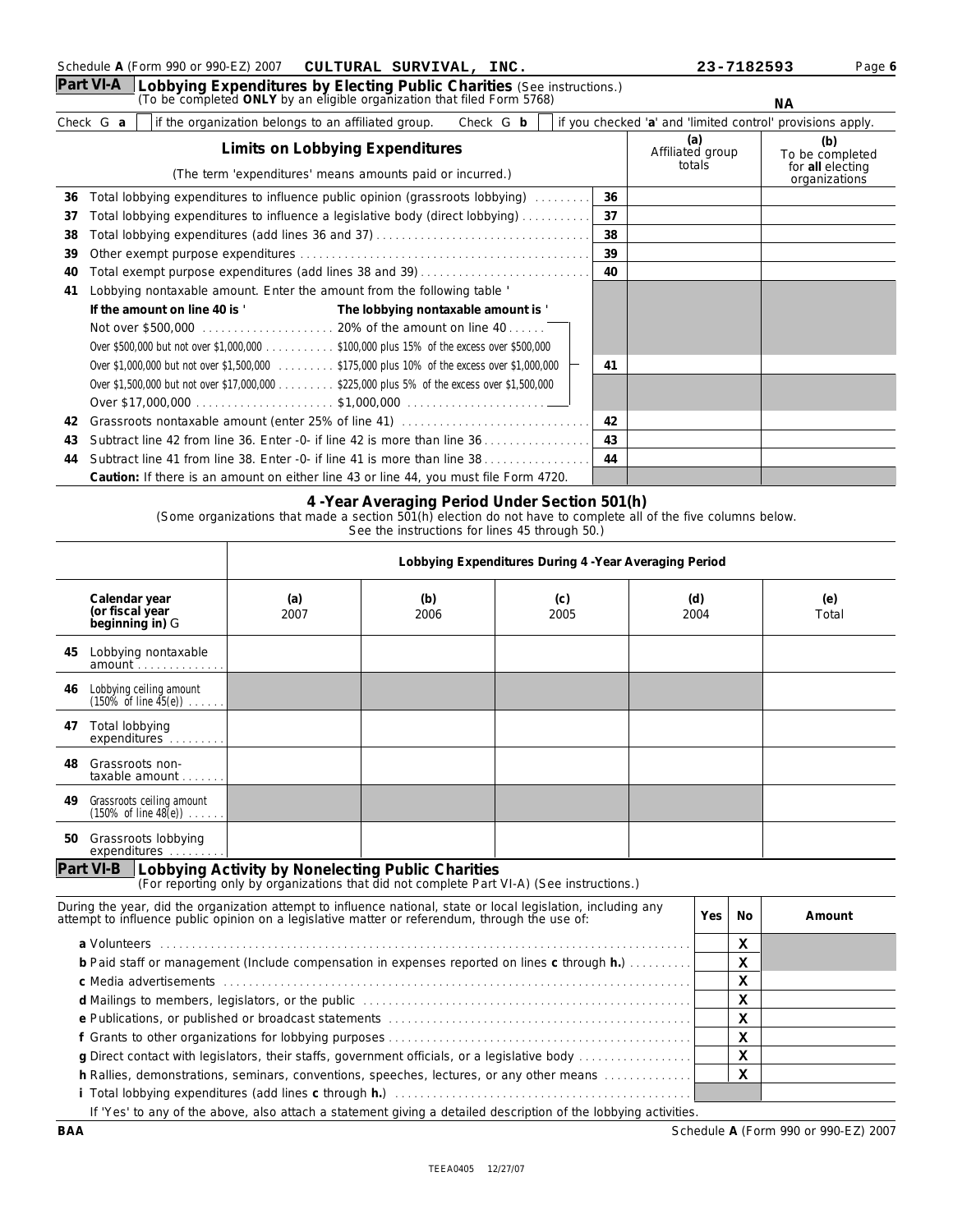**Part VI-A** Lobbying Expenditures by Electing Public Charities (See instructions.)<br>(To be completed ONLY by an eligible organization that filed Form 5768)

**CULTURAL SURVIVAL,** 

Schedule A (Form 990 or 990-EZ) 2007 **CULTURAL SURVIVAL, INC.** 23-7182593 Page 6

**NA** 

|    |           |                                                                                              |                                     |                                   |                                                             |    |                                                            | <b>NA</b> |
|----|-----------|----------------------------------------------------------------------------------------------|-------------------------------------|-----------------------------------|-------------------------------------------------------------|----|------------------------------------------------------------|-----------|
|    | Check G a | if the organization belongs to an affiliated group.                                          |                                     | Check G b                         |                                                             |    | if you checked 'a' and 'limited control' provisions apply. |           |
|    |           | Limits on Lobbying Expenditures<br>(The term 'expenditures' means amounts paid or incurred.) |                                     | (a)<br>Affiliated group<br>totals | (b)<br>To be completed<br>for all electing<br>organizations |    |                                                            |           |
| 36 |           | Total lobbying expenditures to influence public opinion (grassroots lobbying)                |                                     |                                   | .                                                           | 36 |                                                            |           |
| 37 |           | Total lobbying expenditures to influence a legislative body (direct lobbying)                |                                     |                                   |                                                             | 37 |                                                            |           |
| 38 |           |                                                                                              |                                     |                                   |                                                             | 38 |                                                            |           |
| 39 |           |                                                                                              |                                     |                                   |                                                             | 39 |                                                            |           |
| 40 |           | Total exempt purpose expenditures (add lines 38 and 39)                                      |                                     |                                   |                                                             | 40 |                                                            |           |
| 41 |           | Lobbying nontaxable amount. Enter the amount from the following table '                      |                                     |                                   |                                                             |    |                                                            |           |
|    |           | If the amount on line 40 is '                                                                | The lobbying nontaxable amount is ' |                                   |                                                             |    |                                                            |           |
|    |           |                                                                                              |                                     |                                   |                                                             |    |                                                            |           |
|    |           | Over \$500,000 but not over \$1,000,000 \$100,000 plus 15% of the excess over \$500,000      |                                     |                                   |                                                             |    |                                                            |           |
|    |           | Over \$1,000,000 but not over \$1,500,000 \$175,000 plus 10% of the excess over \$1,000,000  |                                     |                                   |                                                             | 41 |                                                            |           |
|    |           | Over \$1,500,000 but not over \$17,000,000 \$225,000 plus 5% of the excess over \$1,500,000  |                                     |                                   |                                                             |    |                                                            |           |
|    |           |                                                                                              |                                     |                                   |                                                             |    |                                                            |           |
| 42 |           |                                                                                              |                                     |                                   |                                                             | 42 |                                                            |           |
| 43 |           |                                                                                              |                                     |                                   |                                                             | 43 |                                                            |           |
| 44 |           | Subtract line 41 from line 38. Enter -0- if line 41 is more than line 38                     |                                     |                                   |                                                             | 44 |                                                            |           |
|    |           | Caution: If there is an amount on either line 43 or line 44, you must file Form 4720.        |                                     |                                   |                                                             |    |                                                            |           |

### **4 -Year Averaging Period Under Section 501(h)**

(Some organizations that made a section 501(h) election do not have to complete all of the five columns below.

See the instructions for lines 45 through 50.)

|                                                     |                                                               |             | Lobbying Expenditures During 4 - Year Averaging Period                                                                                                                                                                        |             |  |             |           |              |  |  |
|-----------------------------------------------------|---------------------------------------------------------------|-------------|-------------------------------------------------------------------------------------------------------------------------------------------------------------------------------------------------------------------------------|-------------|--|-------------|-----------|--------------|--|--|
| Calendar year<br>(or fiscal year<br>beginning in) G |                                                               | (a)<br>2007 | (b)<br>2006                                                                                                                                                                                                                   | (c)<br>2005 |  | (d)<br>2004 |           | (e)<br>Total |  |  |
| 45                                                  | Lobbying nontaxable<br>amount                                 |             |                                                                                                                                                                                                                               |             |  |             |           |              |  |  |
| 46                                                  | Lobbying ceiling amount<br>$(150\% \text{ of line } 45(e))$   |             |                                                                                                                                                                                                                               |             |  |             |           |              |  |  |
| Total lobbying<br>47                                | expenditures                                                  |             |                                                                                                                                                                                                                               |             |  |             |           |              |  |  |
| Grassroots non-<br>48.                              | $taxable$ amount $\ldots$ .                                   |             |                                                                                                                                                                                                                               |             |  |             |           |              |  |  |
| 49                                                  | Grassroots ceiling amount<br>$(150\% \text{ of line } 48(e))$ |             |                                                                                                                                                                                                                               |             |  |             |           |              |  |  |
| 50                                                  | Grassroots lobbying<br>expenditures                           |             |                                                                                                                                                                                                                               |             |  |             |           |              |  |  |
|                                                     |                                                               |             | Part VI-B   Lobbying Activity by Nonelecting Public Charities<br>(For reporting only by organizations that did not complete Part VI-A) (See instructions.)                                                                    |             |  |             |           |              |  |  |
|                                                     |                                                               |             | During the year, did the organization attempt to influence national, state or local legislation, including any<br>attempt to influence public opinion on a legislative matter or referendum, through the use of:              |             |  | Yes         | <b>No</b> | Amount       |  |  |
|                                                     |                                                               |             | a Volunteers (a) contain a control of the control of the control of the control of the control of the control of the control of the control of the control of the control of the control of the control of the control of the |             |  |             | x         |              |  |  |
|                                                     |                                                               |             | b Paid staff or management (Include compensation in expenses reported on lines c through h.)                                                                                                                                  |             |  |             | X         |              |  |  |
|                                                     |                                                               |             |                                                                                                                                                                                                                               |             |  |             | X         |              |  |  |
|                                                     |                                                               |             |                                                                                                                                                                                                                               |             |  |             | X         |              |  |  |
|                                                     |                                                               |             |                                                                                                                                                                                                                               |             |  |             | X         |              |  |  |
|                                                     |                                                               |             | g Direct contact with legislators, their staffs, government officials, or a legislative body                                                                                                                                  |             |  |             | X<br>X    |              |  |  |
|                                                     |                                                               |             | h Rallies, demonstrations, seminars, conventions, speeches, lectures, or any other means                                                                                                                                      |             |  |             | x         |              |  |  |
|                                                     |                                                               |             |                                                                                                                                                                                                                               |             |  |             |           |              |  |  |

If 'Yes' to any of the above, also attach a statement giving a detailed description of the lobbying activities.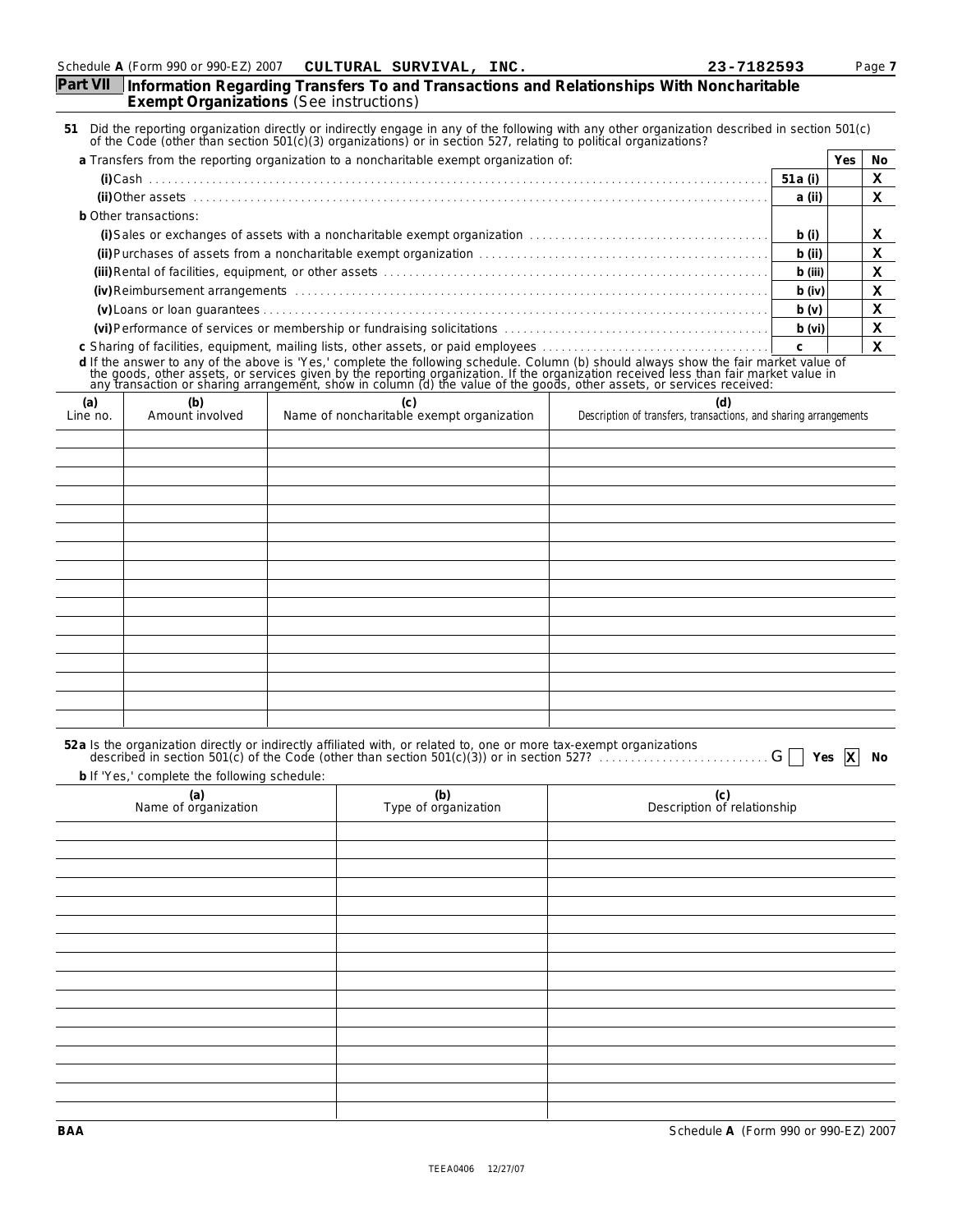| Part VII             | Exempt Organizations (See instructions)      |  | Information Regarding Transfers To and Transactions and Relationships With Noncharitable                                                                                                                                       |                                    |                 |        |
|----------------------|----------------------------------------------|--|--------------------------------------------------------------------------------------------------------------------------------------------------------------------------------------------------------------------------------|------------------------------------|-----------------|--------|
|                      |                                              |  | 51 Did the reporting organization directly or indirectly engage in any of the following with any other organization described in section 501(c) of the Code (other than section 501(c)(3) organizations) or in section 527, re |                                    |                 |        |
|                      |                                              |  | a Transfers from the reporting organization to a noncharitable exempt organization of:                                                                                                                                         |                                    | Yes             | No     |
|                      |                                              |  |                                                                                                                                                                                                                                | 51 a (i)                           |                 | x      |
|                      |                                              |  |                                                                                                                                                                                                                                | a (ii)                             |                 | x      |
|                      | b Other transactions:                        |  |                                                                                                                                                                                                                                | b(i)                               |                 |        |
|                      |                                              |  |                                                                                                                                                                                                                                | $b$ (ii)                           |                 | x<br>x |
|                      |                                              |  |                                                                                                                                                                                                                                | b (iii)                            |                 | x      |
|                      |                                              |  |                                                                                                                                                                                                                                |                                    |                 | x      |
|                      |                                              |  |                                                                                                                                                                                                                                | $b$ (iv)<br>b(v)                   |                 | x      |
|                      |                                              |  |                                                                                                                                                                                                                                | b (vi)                             |                 | x      |
|                      |                                              |  |                                                                                                                                                                                                                                | $\mathsf{C}$                       |                 | х      |
|                      |                                              |  | d If the answer to any of the above is 'Yes,' complete the following schedule. Column (b) should always show the fair market value of the goods, other assets, or services given by the reporting organization. If the organiz |                                    |                 |        |
| (a)<br>Line no.      | (b)<br>Amount involved                       |  | (d)<br>Name of noncharitable exempt organization<br>Description of transfers, transactions, and sharing arrangements                                                                                                           |                                    |                 |        |
|                      |                                              |  |                                                                                                                                                                                                                                |                                    |                 |        |
|                      |                                              |  |                                                                                                                                                                                                                                |                                    |                 |        |
|                      |                                              |  |                                                                                                                                                                                                                                |                                    |                 |        |
|                      |                                              |  |                                                                                                                                                                                                                                |                                    |                 |        |
|                      |                                              |  |                                                                                                                                                                                                                                |                                    |                 |        |
|                      |                                              |  |                                                                                                                                                                                                                                |                                    |                 |        |
|                      |                                              |  |                                                                                                                                                                                                                                |                                    |                 |        |
|                      |                                              |  |                                                                                                                                                                                                                                |                                    |                 |        |
|                      |                                              |  |                                                                                                                                                                                                                                |                                    |                 |        |
|                      |                                              |  |                                                                                                                                                                                                                                |                                    |                 |        |
|                      |                                              |  |                                                                                                                                                                                                                                |                                    |                 |        |
|                      |                                              |  |                                                                                                                                                                                                                                |                                    |                 |        |
|                      |                                              |  |                                                                                                                                                                                                                                |                                    |                 |        |
|                      |                                              |  |                                                                                                                                                                                                                                |                                    |                 |        |
|                      |                                              |  |                                                                                                                                                                                                                                |                                    |                 |        |
|                      | b If 'Yes,' complete the following schedule: |  | 52a Is the organization directly or indirectly affiliated with, or related to, one or more tax-exempt organizations<br>described in section 501(c) of the Code (other than section 501(c)(3)) or in section 527?               |                                    | Yes $\mathbf x$ | No     |
|                      | (a)                                          |  | (b)                                                                                                                                                                                                                            |                                    |                 |        |
| Name of organization |                                              |  | Type of organization                                                                                                                                                                                                           | (c)<br>Description of relationship |                 |        |
|                      |                                              |  |                                                                                                                                                                                                                                |                                    |                 |        |
|                      |                                              |  |                                                                                                                                                                                                                                |                                    |                 |        |
|                      |                                              |  |                                                                                                                                                                                                                                |                                    |                 |        |
|                      |                                              |  |                                                                                                                                                                                                                                |                                    |                 |        |
|                      |                                              |  |                                                                                                                                                                                                                                |                                    |                 |        |
|                      |                                              |  |                                                                                                                                                                                                                                |                                    |                 |        |
|                      |                                              |  |                                                                                                                                                                                                                                |                                    |                 |        |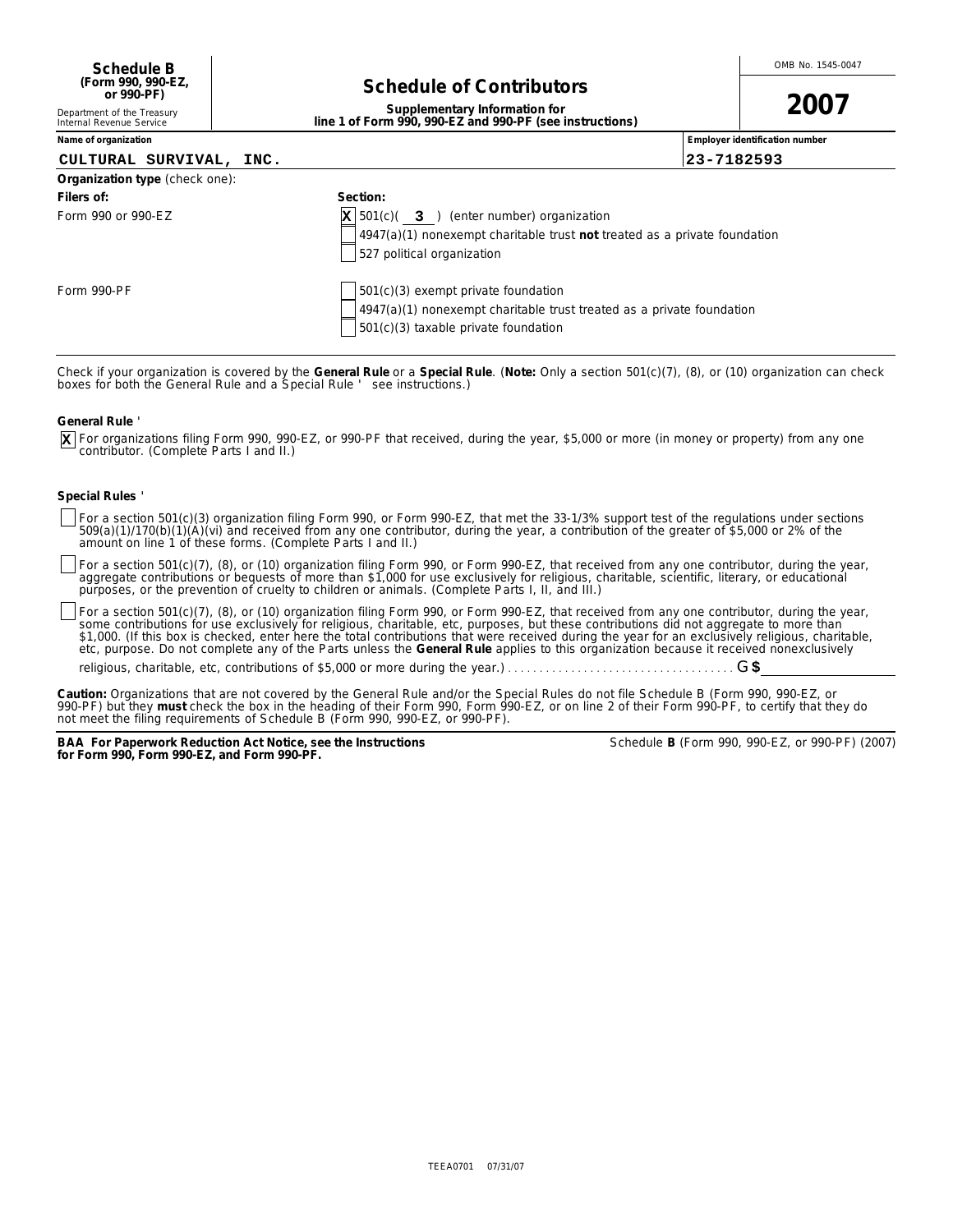# **Schedule of Contributors**

**2007**

| Supplementary Information for                            |  |
|----------------------------------------------------------|--|
|                                                          |  |
| line 1 of Form 990, 990-EZ and 990-PF (see instructions) |  |
|                                                          |  |
|                                                          |  |

**Name of organization number Employer identification number** *Employer identification* **number** 

Department of the Treasury Internal Revenue Service

## **CULTURAL SURVIVAL, INC. 23-7182593**

| Organization type (check one): |                                                                                                                                                                        |
|--------------------------------|------------------------------------------------------------------------------------------------------------------------------------------------------------------------|
| Filers of:                     | Section:                                                                                                                                                               |
| Form 990 or 990-EZ             | $\mathbf{X}$ 501(c)( 3) (enter number) organization<br>$\vert$ 4947(a)(1) nonexempt charitable trust not treated as a private foundation<br>527 political organization |
| Form 990-PF                    | $501(c)(3)$ exempt private foundation<br>$4947(a)(1)$ nonexempt charitable trust treated as a private foundation<br>$501(c)(3)$ taxable private foundation             |

Check if your organization is covered by the General Rule or a Special Rule. (Note: *Only a section 501(c)(7), (8), or (10) organization can check*<br>*boxes for both the General Rule and a Special Rule ' see instructions.)* 

**General Rule** '

For organizations filing Form 990, 990-EZ, or 990-PF that received, during the year, \$5,000 or more (in money or property) from any one contributor. (Complete Parts I and II.) **X**

### **Special Rules** '

For a section 501(c)(3) organization filing Form 990, or Form 990-EZ, that met the 33-1/3% support test of the regulations under sections<br>509(a)(1)/170(b)(1)(A)(vi) and received from any one contributor, during the year, a

For a section 501(c)(7), (8), or (10) organization filing Form 990, or Form 990-EZ, that received from any one contributor, during the year,<br>aggregate contributions or bequests of more than \$1,000 for use *exclusively* for

For a section 501(c)(7), (8), or (10) organization filing Form 990, or Form 990-EZ, that received from any one contributor, during the year, some contributions for use *exclusively* for religious, charitable, etc, purposes, but these contributions did not aggregate to more than<br>\$1,000. (If this box is checked, enter here the total contributions that were receiv etc, purpose. Do not complete any of the Parts unless the **General Rule** applies to this organization because it received nonexclusively

religious, charitable, etc, contributions of \$5,000 or more during the year.) . . . . . . . . . . . . . . . . . . . . . . . . . . . . . . . . . . . . G**\$**

Caution: Organizations that are not covered by the General Rule and/or the Special Rules do not file Schedule B (Form 990, 990-EZ, or 990-PF) but they must check the box in the heading of their Form 990, Form 990-EZ, or on line 2 of their Form 990-PF, to certify that they do *not meet the filing requirements of Schedule B (Form 990, 990-EZ, or 990-PF).*

**BAA For Paperwork Reduction Act Notice, see the Instructions for Form 990, Form 990-EZ, and Form 990-PF.**

|  |  |  | Schedule B (Form 990, 990-EZ, or 990-PF) (2007) |  |
|--|--|--|-------------------------------------------------|--|
|--|--|--|-------------------------------------------------|--|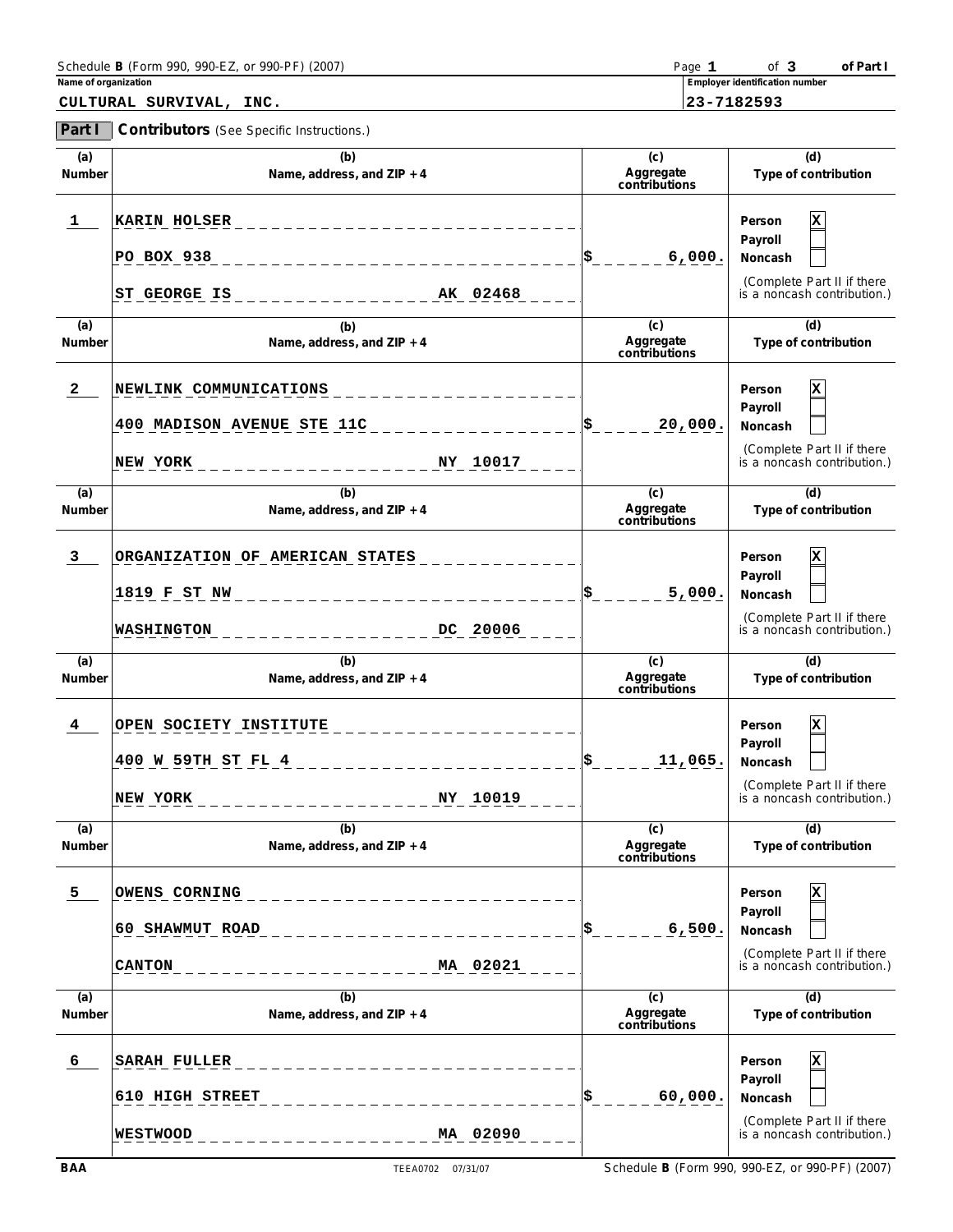| Schedule B (Form 990, 990-EZ, or 990-PF) (2007) | Page | 0t                             | f Part i |
|-------------------------------------------------|------|--------------------------------|----------|
| Name of organization                            |      | Employer identification number |          |

| CULTURAL SURVIVAL, |  | INC. |
|--------------------|--|------|
|--------------------|--|------|

**CULTURAL SURVIVAL, INC. 23-7182593**

**Part I Contributors** (See Specific Instructions.)

| (a)<br>Number  | (b)<br>Name, address, and ZIP + 4                                                | (c)<br>Aggregate<br>contributions | (d)<br>Type of contribution                                                                              |
|----------------|----------------------------------------------------------------------------------|-----------------------------------|----------------------------------------------------------------------------------------------------------|
| 1              | <b>KARIN HOLSER</b><br><b>PO BOX 938</b><br>ST GEORGE IS<br>AK 02468             | 6,000.                            | $\mathbf x$<br>Person<br>Payroll<br>Noncash<br>(Complete Part II if there<br>is a noncash contribution.) |
| (a)<br>Number  | (b)<br>Name, address, and ZIP + 4                                                | (c)<br>Aggregate<br>contributions | (d)<br>Type of contribution                                                                              |
| $\overline{a}$ | NEWLINK COMMUNICATIONS<br>400 MADISON AVENUE STE 11C<br>NY 10017<br>NEW YORK     | 20,000.                           | x<br>Person<br>Payroll<br>Noncash<br>(Complete Part II if there<br>is a noncash contribution.)           |
| (a)<br>Number  | (b)<br>Name, address, and ZIP + 4                                                | (c)<br>Aggregate<br>contributions | (d)<br>Type of contribution                                                                              |
| 3              | ORGANIZATION OF AMERICAN STATES<br>1819 F ST NW<br><b>WASHINGTON</b><br>DC 20006 | 5,000.                            | $\mathbf x$<br>Person<br>Payroll<br>Noncash<br>(Complete Part II if there<br>is a noncash contribution.) |
| (a)<br>Number  | (b)<br>Name, address, and ZIP + 4                                                | (c)<br>Aggregate<br>contributions | (d)<br>Type of contribution                                                                              |
| 4              | OPEN SOCIETY INSTITUTE<br>400 W 59TH ST FL 4<br>NY 10019<br>NEW YORK             | 11,065.                           | $\mathbf x$<br>Person<br>Payroll<br>Noncash<br>(Complete Part II if there<br>is a noncash contribution.) |
| (a)<br>Number  | (b)<br>Name, address, and ZIP + 4                                                | (c)<br>Aggregate<br>contributions | (d)<br>Type of contribution                                                                              |
| 5              | OWENS CORNING<br>60 SHAWMUT ROAD<br><b>CANTON</b><br>MA 02021                    | 6,500.                            | X<br>Person<br>Payroll<br>Noncash<br>(Complete Part II if there<br>is a noncash contribution.)           |
| (a)<br>Number  | (b)<br>Name, address, and ZIP + 4                                                | (c)<br>Aggregate<br>contributions | (d)<br>Type of contribution                                                                              |
| 6              | <b>SARAH FULLER</b><br>610 HIGH STREET<br><b>WESTWOOD</b><br>MA 02090            | 60,000.                           | $\mathbf x$<br>Person<br>Payroll<br>Noncash<br>(Complete Part II if there<br>is a noncash contribution.) |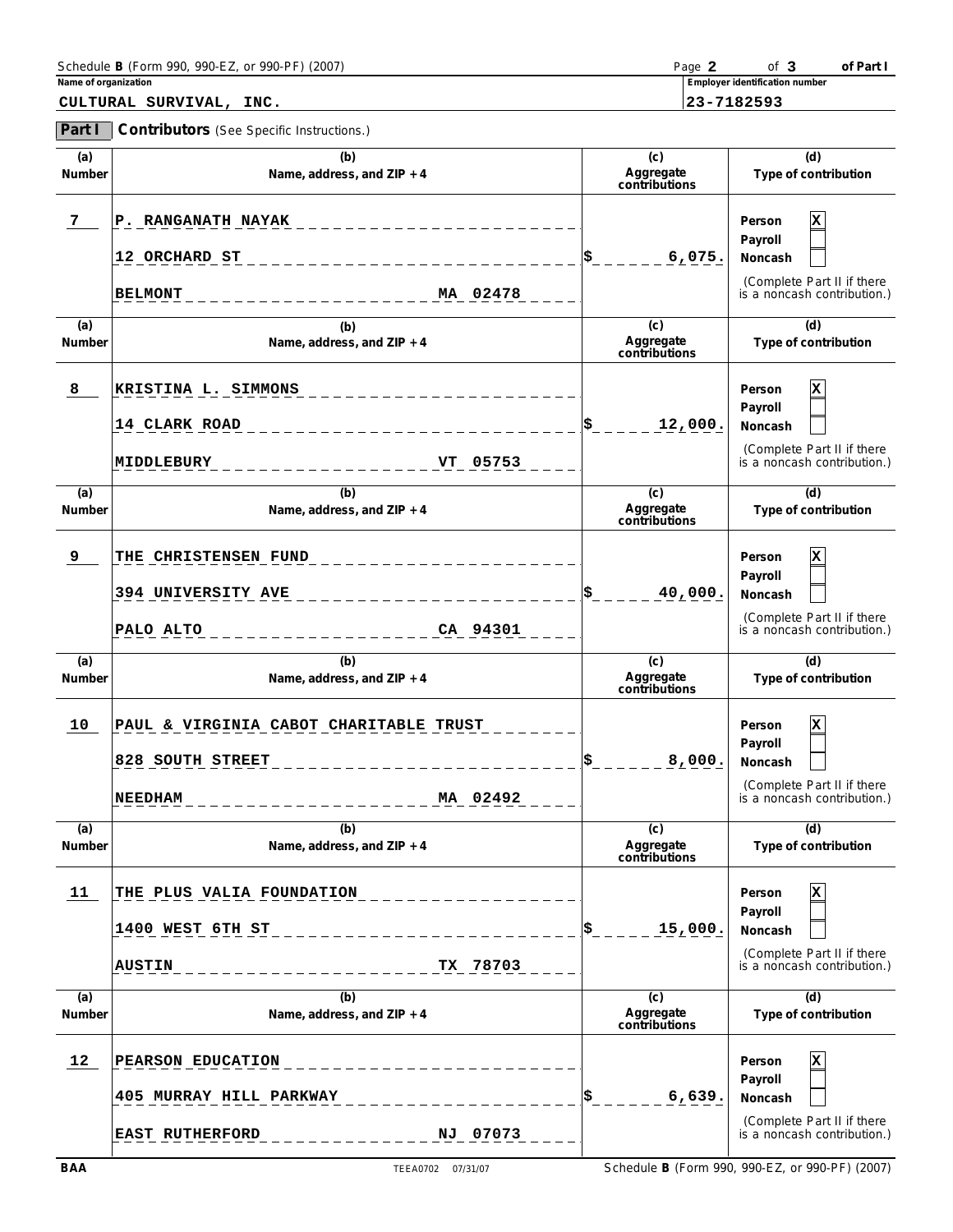| Schedule B (Form 990, 990-EZ, or 990-PF) (2007) | Page | 0t                             | of Part |
|-------------------------------------------------|------|--------------------------------|---------|
| Name of organization                            |      | Employer identification number |         |

|--|

|               | CULTURAL SURVIVAL,<br>INC.                                                               |                                              | 23-7182593                                                                                     |
|---------------|------------------------------------------------------------------------------------------|----------------------------------------------|------------------------------------------------------------------------------------------------|
| Part I        | Contributors (See Specific Instructions.)                                                |                                              |                                                                                                |
| (a)<br>Number | (b)<br>Name, address, and ZIP + 4                                                        | (c)<br>Aggregate<br>contributions            | (d)<br>Type of contribution                                                                    |
| 7             | P. RANGANATH NAYAK<br>12 ORCHARD ST<br>MA 02478<br><b>BELMONT</b>                        | 6,075.                                       | Person<br>х<br>Payroll<br>Noncash<br>(Complete Part II if there<br>is a noncash contribution.) |
| (a)<br>Number | (b)<br>Name, address, and ZIP + 4                                                        | $\overline{c}$<br>Aggregate<br>contributions | (d)<br>Type of contribution                                                                    |
| 8             | KRISTINA L. SIMMONS<br>14 CLARK ROAD<br>VT 05753<br>MIDDLEBURY                           | 12,000.                                      | Person<br>х<br>Payroll<br>Noncash<br>(Complete Part II if there<br>is a noncash contribution.) |
| (a)<br>Number | (b)<br>Name, address, and ZIP + 4                                                        | $\overline{c}$<br>Aggregate<br>contributions | (d)<br>Type of contribution                                                                    |
| 9             | THE CHRISTENSEN FUND<br>394 UNIVERSITY AVE<br>CA 94301<br>PALO ALTO                      | 40,000.                                      | Person<br>х<br>Payroll<br>Noncash<br>(Complete Part II if there<br>is a noncash contribution.) |
| (a)<br>Number | (b)<br>Name, address, and ZIP + 4                                                        | $\overline{c}$<br>Aggregate<br>contributions | (d)<br>Type of contribution                                                                    |
| 10            | PAUL & VIRGINIA CABOT CHARITABLE TRUST<br>828 SOUTH STREET<br>MA 02492<br><b>NEEDHAM</b> | 8,000.                                       | Person<br>х<br>Payroll<br>Noncash<br>(Complete Part II if there<br>is a noncash contribution.) |
| (a)<br>Number | (b)<br>Name, address, and ZIP + 4                                                        | $\overline{c}$<br>Aggregate<br>contributions | (d)<br>Type of contribution                                                                    |
| 11            | THE PLUS VALIA FOUNDATION<br>1400 WEST 6TH ST<br>TX 78703<br><b>AUSTIN</b>               | 15,000.                                      | Person<br>х<br>Payroll<br>Noncash<br>(Complete Part II if there<br>is a noncash contribution.) |
| (a)<br>Number | (b)<br>Name, address, and ZIP + 4                                                        | $\overline{c}$<br>Aggregate<br>contributions | (d)<br>Type of contribution                                                                    |

**\$**

L.

**12 PEARSON EDUCATION X**

**405 MURRAY HILL PARKWAY 6,639.**

**EAST RUTHERFORD NJ 07073**

**Person Payroll Noncash**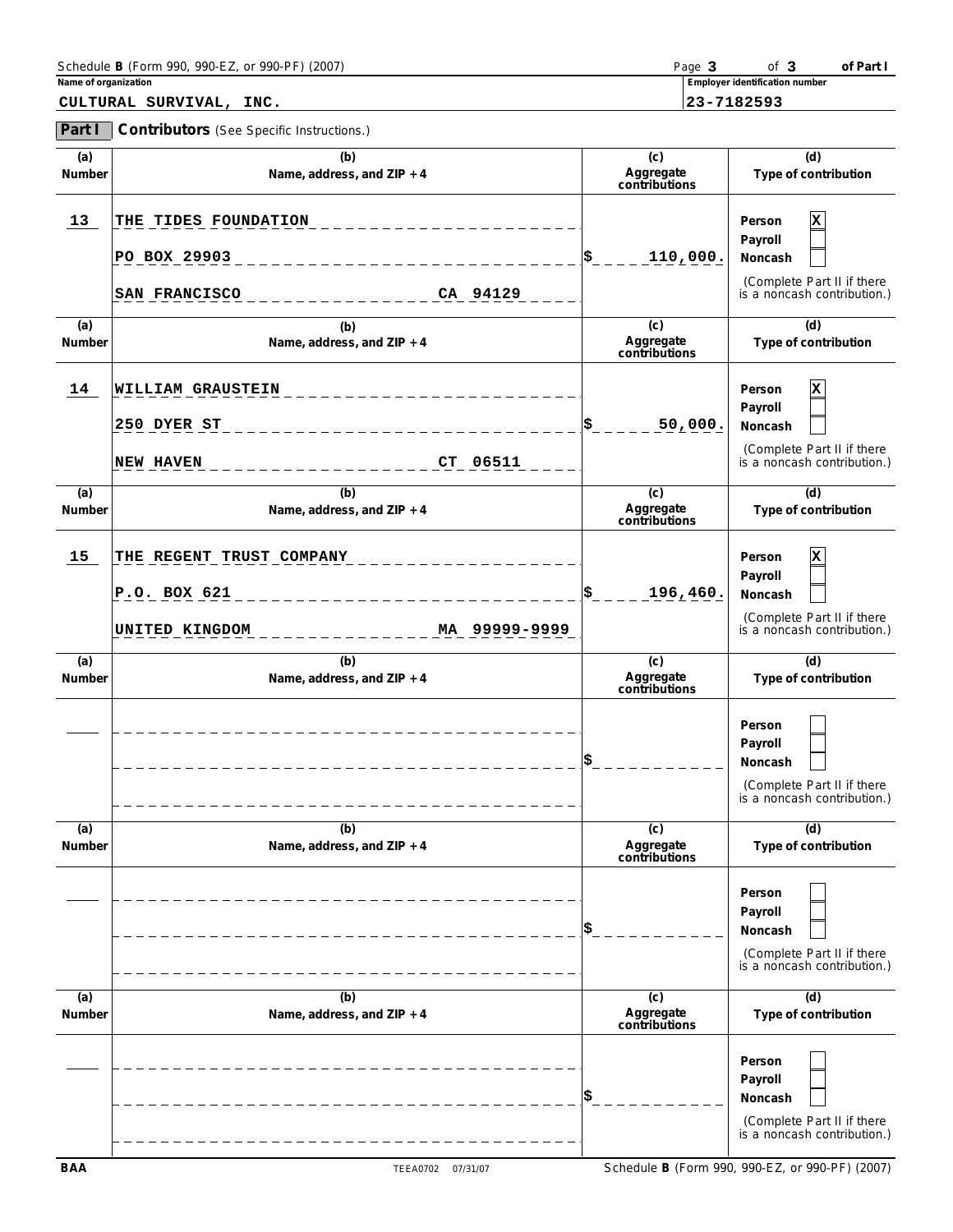| Schedule B (Form 990, 990-EZ, or 990-PF) (2007) | Page | -of                            | of Part |
|-------------------------------------------------|------|--------------------------------|---------|
| Name of organization                            |      | Employer identification number |         |

**CULTURAL SURVIVAL, INC. 23-7182593**

**Part I Contributors** (See Specific Instructions.)

| (a)<br>Number | (b)<br>Name, address, and ZIP + 4                                           | (c)<br>Aggregate<br>contributions | (d)<br>Type of contribution                                                                    |
|---------------|-----------------------------------------------------------------------------|-----------------------------------|------------------------------------------------------------------------------------------------|
| 13            | THE TIDES FOUNDATION<br>PO BOX 29903<br>CA 94129<br><b>SAN FRANCISCO</b>    | 110,000.<br>\$                    | x<br>Person<br>Payroll<br>Noncash<br>(Complete Part II if there<br>is a noncash contribution.) |
| (a)<br>Number | (b)<br>Name, address, and ZIP + 4                                           | (c)<br>Aggregate<br>contributions | (d)<br>Type of contribution                                                                    |
| 14            | WILLIAM GRAUSTEIN<br>250 DYER ST<br>CT 06511<br><b>NEW HAVEN</b>            | 50,000.                           | x<br>Person<br>Payroll<br>Noncash<br>(Complete Part II if there<br>is a noncash contribution.) |
| (a)<br>Number | (b)<br>Name, address, and ZIP + 4                                           | (c)<br>Aggregate<br>contributions | (d)<br>Type of contribution                                                                    |
| 15            | THE REGENT TRUST COMPANY<br>P.O. BOX 621<br>MA 99999-9999<br>UNITED KINGDOM | 196,460.                          | x<br>Person<br>Payroll<br>Noncash<br>(Complete Part II if there<br>is a noncash contribution.) |
| (a)<br>Number | (b)<br>Name, address, and ZIP + 4                                           | (c)<br>Aggregate<br>contributions | (d)<br>Type of contribution                                                                    |
|               |                                                                             |                                   | Person<br>Payroll<br>Noncash<br>(Complete Part II if there<br>is a noncash contribution.)      |
| (a)<br>Number | (b)<br>Name, address, and ZIP + 4                                           | (c)<br>Aggregate<br>contributions | (d)<br>Type of contribution                                                                    |
|               |                                                                             |                                   | Person<br>Payroll<br>Noncash<br>(Complete Part II if there<br>is a noncash contribution.)      |
| (a)<br>Number | (b)<br>Name, address, and ZIP + 4                                           | (c)<br>Aggregate<br>contributions | (d)<br>Type of contribution                                                                    |
|               |                                                                             |                                   | Person<br>Payroll<br>Noncash<br>(Complete Part II if there<br>is a noncash contribution.)      |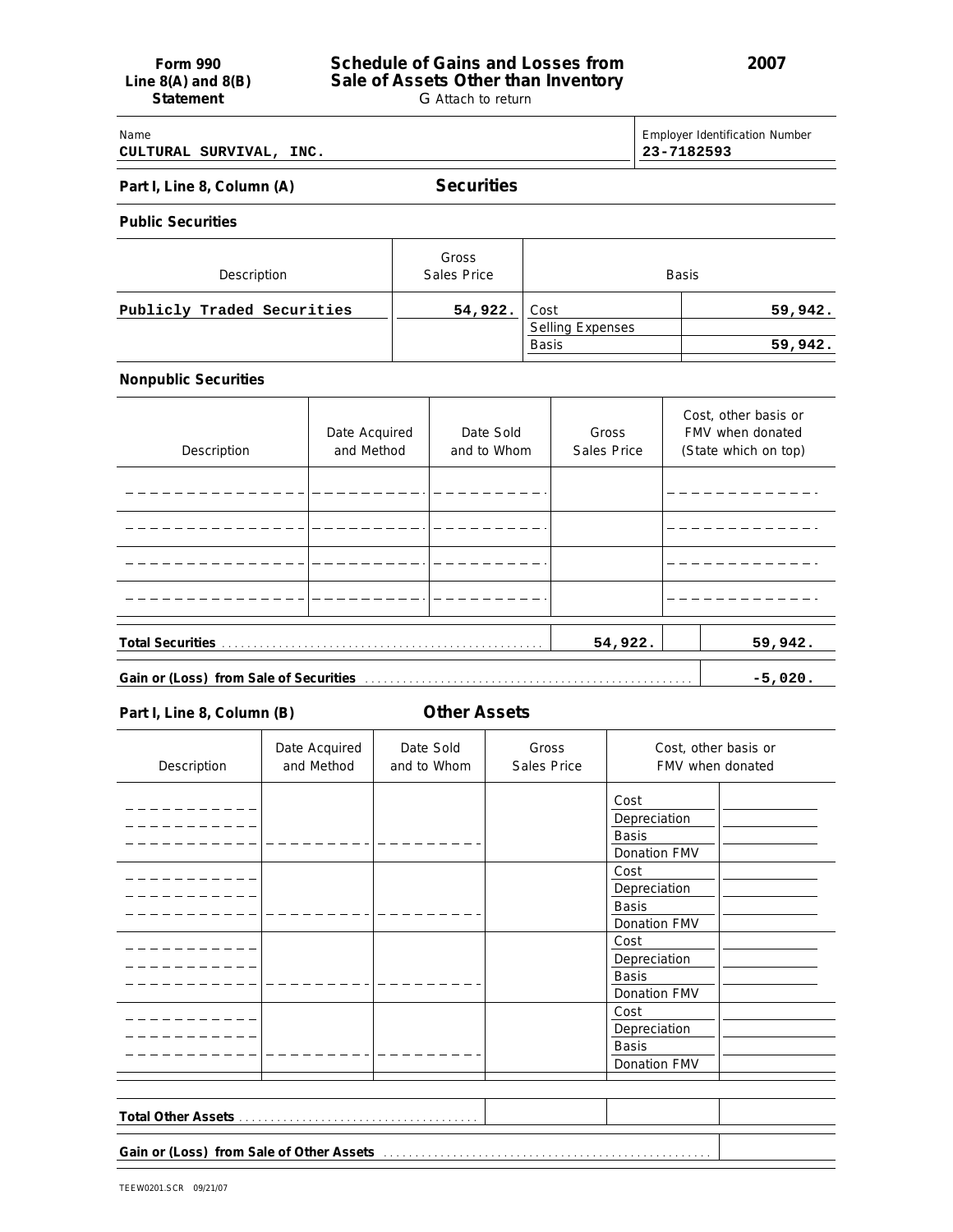## Name Employer Identification Number **CULTURAL SURVIVAL, INC. 23-7182593**

# Part I, Line 8, Column (A) **Securities**

**Public Securities**

| Description                | Gross<br>Sales Price |                                 | <b>Basis</b> |
|----------------------------|----------------------|---------------------------------|--------------|
| Publicly Traded Securities | 54,922.              | Cost<br><b>Selling Expenses</b> | 59,942.      |
|                            |                      | <b>Basis</b>                    | 59,942.      |

## **Nonpublic Securities**

| Description | Date Acquired<br>and Method | Date Sold<br>and to Whom | Gross<br>Sales Price |  | Cost, other basis or<br>FMV when donated<br>(State which on top) |
|-------------|-----------------------------|--------------------------|----------------------|--|------------------------------------------------------------------|
|             |                             |                          |                      |  |                                                                  |
|             |                             |                          |                      |  |                                                                  |
|             |                             |                          |                      |  |                                                                  |
|             |                             |                          |                      |  |                                                                  |
|             |                             |                          | 54,922.              |  | 59,942.                                                          |
|             | $-5,020.$                   |                          |                      |  |                                                                  |

**Part I, Line 8, Column (B) Other Assets**

| Description | Date Acquired<br>and Method | Date Sold<br>and to Whom | Gross<br>Sales Price | Cost, other basis or<br>FMV when donated |  |
|-------------|-----------------------------|--------------------------|----------------------|------------------------------------------|--|
|             |                             |                          |                      | Cost                                     |  |
|             |                             |                          |                      | Depreciation                             |  |
|             |                             |                          |                      | <b>Basis</b>                             |  |
|             |                             |                          |                      | Donation FMV                             |  |
|             |                             |                          |                      | Cost                                     |  |
|             |                             |                          |                      | Depreciation                             |  |
|             |                             |                          |                      | <b>Basis</b>                             |  |
|             |                             |                          |                      | Donation FMV                             |  |
|             |                             |                          |                      | Cost                                     |  |
|             |                             |                          |                      | Depreciation                             |  |
|             |                             |                          |                      | <b>Basis</b>                             |  |
|             |                             |                          |                      | Donation FMV                             |  |
|             |                             |                          |                      | Cost                                     |  |
|             |                             |                          |                      | Depreciation                             |  |
|             |                             |                          |                      | <b>Basis</b>                             |  |
|             |                             |                          |                      |                                          |  |
|             |                             |                          |                      | Donation FMV                             |  |
|             |                             |                          |                      |                                          |  |
|             |                             |                          |                      |                                          |  |
|             |                             |                          |                      |                                          |  |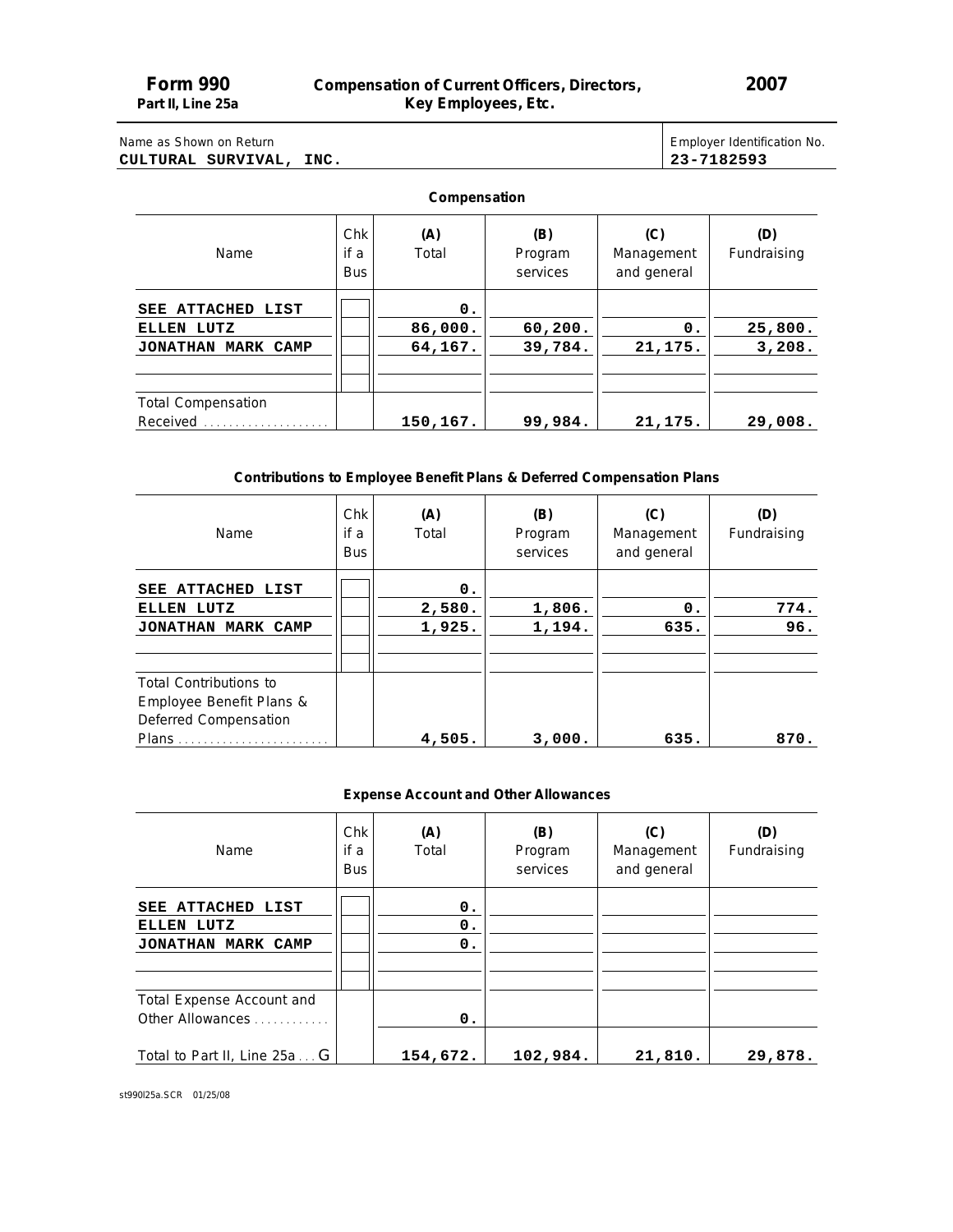# **Form 990 Compensation of Current Officers, Directors,** 2007<br>Part II, Line 25a **Compensation Comployees**, Etc. **Part II, Line 25a Key Employees, Etc.**

# Name as Shown on Return **CULTURAL SURVIVAL, INC. 23-7182593**

| Employer Identification No. |
|-----------------------------|
| 23-7182593                  |

Τ

# **Compensation**

| Name                                                            | Chk<br>if a<br><b>Bus</b> | (A)<br>Total             | (B)<br>Program<br>services | (C)<br>Management<br>and general | (D)<br>Fundraising |
|-----------------------------------------------------------------|---------------------------|--------------------------|----------------------------|----------------------------------|--------------------|
| SEE ATTACHED LIST<br>ELLEN LUTZ<br><b>JONATHAN</b><br>MARK CAMP |                           | 0.<br>86,000.<br>64,167. | 60, 200.<br>39,784.        | $\mathbf{0}$ .<br>21, 175.       | 25,800.<br>3,208.  |
| <b>Total Compensation</b><br>Received                           |                           | 150,167.                 | 99,984.                    | 21,175.                          | 29,008.            |

# **Contributions to Employee Benefit Plans & Deferred Compensation Plans**

| Name                          | Chk<br>if a<br><b>Bus</b> | (A)<br>Total | (B)<br>Program<br>services | (C)<br>Management<br>and general | (D)<br>Fundraising |
|-------------------------------|---------------------------|--------------|----------------------------|----------------------------------|--------------------|
| SEE ATTACHED LIST             |                           | 0.           |                            |                                  |                    |
| ELLEN LUTZ                    |                           | 2,580.       | 1,806.                     | 0.                               | 774.               |
| JONATHAN MARK CAMP            |                           | 1,925.       | 1,194.                     | 635.                             | 96.                |
|                               |                           |              |                            |                                  |                    |
|                               |                           |              |                            |                                  |                    |
| <b>Total Contributions to</b> |                           |              |                            |                                  |                    |
| Employee Benefit Plans &      |                           |              |                            |                                  |                    |
| Deferred Compensation         |                           |              |                            |                                  |                    |
| Plans                         |                           | 4,505.       | 3,000.                     | 635.                             | 870.               |

# **Expense Account and Other Allowances**

| Name                         | Chk<br>if a<br><b>Bus</b> | (A)<br>Total   | (B)<br>Program<br>services | (C)<br>Management<br>and general | (D)<br>Fundraising |
|------------------------------|---------------------------|----------------|----------------------------|----------------------------------|--------------------|
| SEE ATTACHED LIST            |                           | 0.             |                            |                                  |                    |
| ELLEN LUTZ                   |                           | 0.             |                            |                                  |                    |
| JONATHAN MARK CAMP           |                           | 0.             |                            |                                  |                    |
|                              |                           |                |                            |                                  |                    |
|                              |                           |                |                            |                                  |                    |
| Total Expense Account and    |                           |                |                            |                                  |                    |
| Other Allowances             |                           | $\mathbf{0}$ . |                            |                                  |                    |
| Total to Part II, Line 25a G |                           | 154,672.       | 102,984.                   | 21,810.                          | 29,878.            |

st990l25a.SCR 01/25/08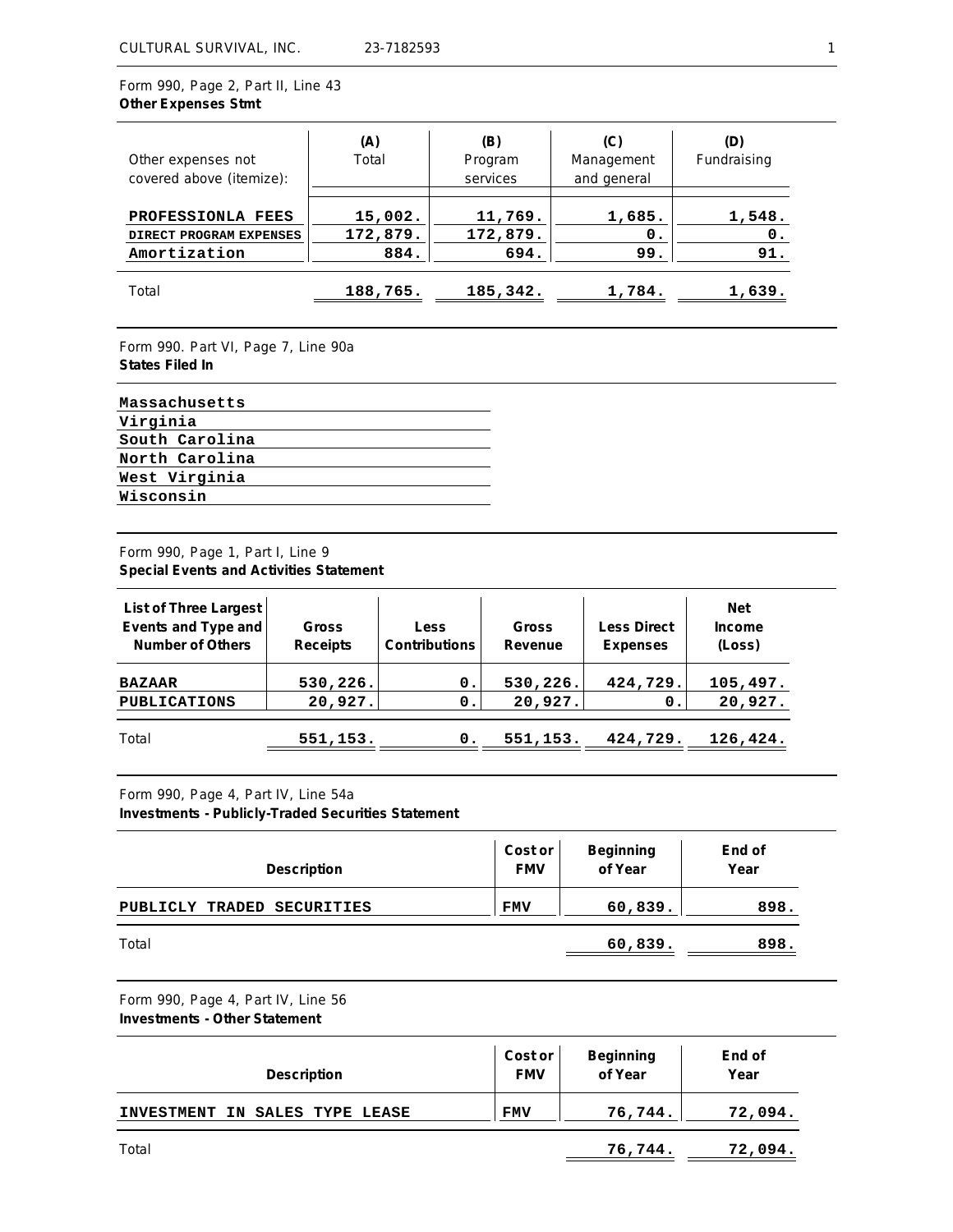Form 990, Page 2, Part II, Line 43 **Other Expenses Stmt**

| Other expenses not<br>covered above (itemize):               | (A)<br>Total                | (B)<br>Program<br>services  | (C)<br>Management<br>and general | (D)<br>Fundraising              |
|--------------------------------------------------------------|-----------------------------|-----------------------------|----------------------------------|---------------------------------|
| PROFESSIONLA FEES<br>DIRECT PROGRAM EXPENSES<br>Amortization | 15,002.<br>172,879.<br>884. | 11,769.<br>172,879.<br>694. | 1,685.<br>0.<br>99.              | 1,548.<br>$\mathbf{0}$ .<br>91. |
| Total                                                        | 188,765.                    | 185,342.                    | 1,784.                           | 1,639.                          |

Form 990. Part VI, Page 7, Line 90a **States Filed In**

| Massachusetts  |
|----------------|
| Virginia       |
| South Carolina |
| North Carolina |
| West Virginia  |
| Wisconsin      |

# Form 990, Page 1, Part I, Line 9 **Special Events and Activities Statement**

| List of Three Largest<br>Events and Type and<br>Number of Others | Gross<br>Receipts | <b>Less</b><br><b>Contributions</b> | Gross<br>Revenue | Less Direct<br>Expenses | <b>Net</b><br>Income<br>(Loss) |
|------------------------------------------------------------------|-------------------|-------------------------------------|------------------|-------------------------|--------------------------------|
| <b>BAZAAR</b>                                                    | 530, 226.         | 0.                                  | 530, 226.        | 424,729.                | 105,497.                       |
| <b>PUBLICATIONS</b>                                              | 20,927.           | 0.                                  | 20,927.          | 0.                      | 20,927.                        |
| Total                                                            | 551,153.          | 0                                   | 551,153.         | 424,729.                | 126,424.                       |

Form 990, Page 4, Part IV, Line 54a

**Investments - Publicly-Traded Securities Statement**

| Description                | Cost or<br><b>FMV</b> | Beginning<br>of Year | End of<br>Year |
|----------------------------|-----------------------|----------------------|----------------|
| PUBLICLY TRADED SECURITIES | <b>FMV</b>            | 60,839.              | 898.           |
| Total                      |                       | 60,839.              | 898.           |

Form 990, Page 4, Part IV, Line 56 **Investments - Other Statement**

| Description                    | Cost or<br><b>FMV</b> | Beginning<br>of Year | End of<br>Year |
|--------------------------------|-----------------------|----------------------|----------------|
| INVESTMENT IN SALES TYPE LEASE | <b>FMV</b>            | 76,744.              | 72,094.        |
| Total                          |                       | 76,744.              | 72,094.        |